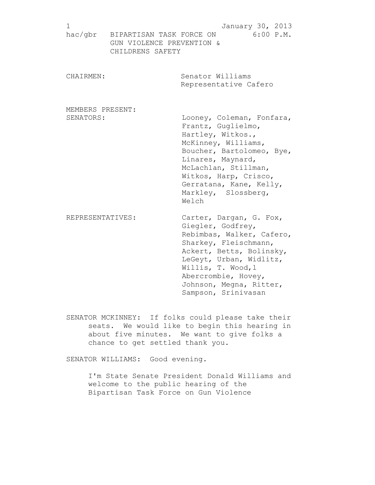| 1<br>hac/gbr     | BIPARTISAN TASK FORCE ON                      | January 30, 2013<br>$6:00$ $P.M.$                                                                                                                                                                                                                         |
|------------------|-----------------------------------------------|-----------------------------------------------------------------------------------------------------------------------------------------------------------------------------------------------------------------------------------------------------------|
|                  | GUN VIOLENCE PREVENTION &<br>CHILDRENS SAFETY |                                                                                                                                                                                                                                                           |
| CHAIRMEN:        |                                               | Senator Williams<br>Representative Cafero                                                                                                                                                                                                                 |
| MEMBERS PRESENT: |                                               |                                                                                                                                                                                                                                                           |
| SENATORS:        |                                               | Looney, Coleman, Fonfara,<br>Frantz, Guglielmo,<br>Hartley, Witkos.,<br>McKinney, Williams,<br>Boucher, Bartolomeo, Bye,<br>Linares, Maynard,<br>McLachlan, Stillman,<br>Witkos, Harp, Crisco,<br>Gerratana, Kane, Kelly,<br>Markley, Slossberg,<br>Welch |
| REPRESENTATIVES: |                                               | Carter, Dargan, G. Fox,<br>Giegler, Godfrey,<br>Rebimbas, Walker, Cafero,<br>Sharkey, Fleischmann,<br>Ackert, Betts, Bolinsky,<br>LeGeyt, Urban, Widlitz,<br>Willis, T. Wood, 1<br>Abercrombie, Hovey,<br>Johnson, Megna, Ritter,                         |

SENATOR MCKINNEY: If folks could please take their seats. We would like to begin this hearing in about five minutes. We want to give folks a chance to get settled thank you.

Sampson, Srinivasan

SENATOR WILLIAMS: Good evening.

I'm State Senate President Donald Williams and welcome to the public hearing of the Bipartisan Task Force on Gun Violence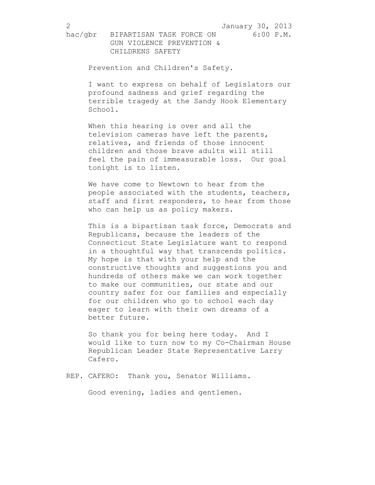Prevention and Children's Safety.

I want to express on behalf of Legislators our profound sadness and grief regarding the terrible tragedy at the Sandy Hook Elementary School.

When this hearing is over and all the television cameras have left the parents, relatives, and friends of those innocent children and those brave adults will still feel the pain of immeasurable loss. Our goal tonight is to listen.

We have come to Newtown to hear from the people associated with the students, teachers, staff and first responders, to hear from those who can help us as policy makers.

This is a bipartisan task force, Democrats and Republicans, because the leaders of the Connecticut State Legislature want to respond in a thoughtful way that transcends politics. My hope is that with your help and the constructive thoughts and suggestions you and hundreds of others make we can work together to make our communities, our state and our country safer for our families and especially for our children who go to school each day eager to learn with their own dreams of a better future.

So thank you for being here today. And I would like to turn now to my Co-Chairman House Republican Leader State Representative Larry Cafero.

REP. CAFERO: Thank you, Senator Williams.

Good evening, ladies and gentlemen.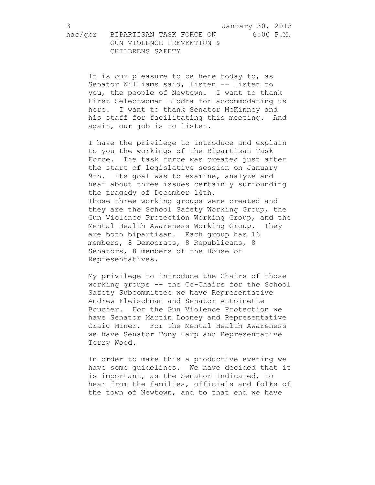It is our pleasure to be here today to, as Senator Williams said, listen -- listen to you, the people of Newtown. I want to thank First Selectwoman Llodra for accommodating us here. I want to thank Senator McKinney and his staff for facilitating this meeting. And again, our job is to listen.

I have the privilege to introduce and explain to you the workings of the Bipartisan Task Force. The task force was created just after the start of legislative session on January 9th. Its goal was to examine, analyze and hear about three issues certainly surrounding the tragedy of December 14th. Those three working groups were created and they are the School Safety Working Group, the Gun Violence Protection Working Group, and the Mental Health Awareness Working Group. They are both bipartisan. Each group has 16 members, 8 Democrats, 8 Republicans, 8 Senators, 8 members of the House of Representatives.

My privilege to introduce the Chairs of those working groups -- the Co-Chairs for the School Safety Subcommittee we have Representative Andrew Fleischman and Senator Antoinette Boucher. For the Gun Violence Protection we have Senator Martin Looney and Representative Craig Miner. For the Mental Health Awareness we have Senator Tony Harp and Representative Terry Wood.

In order to make this a productive evening we have some guidelines. We have decided that it is important, as the Senator indicated, to hear from the families, officials and folks of the town of Newtown, and to that end we have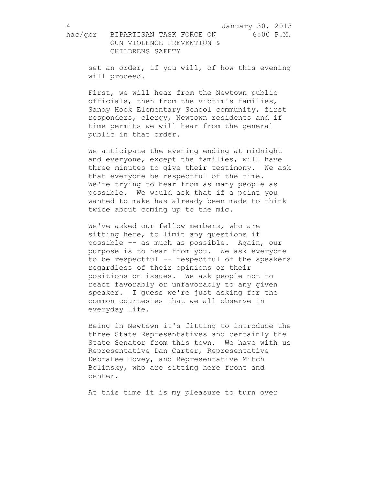set an order, if you will, of how this evening will proceed.

First, we will hear from the Newtown public officials, then from the victim's families, Sandy Hook Elementary School community, first responders, clergy, Newtown residents and if time permits we will hear from the general public in that order.

We anticipate the evening ending at midnight and everyone, except the families, will have three minutes to give their testimony. We ask that everyone be respectful of the time. We're trying to hear from as many people as possible. We would ask that if a point you wanted to make has already been made to think twice about coming up to the mic.

We've asked our fellow members, who are sitting here, to limit any questions if possible -- as much as possible. Again, our purpose is to hear from you. We ask everyone to be respectful -- respectful of the speakers regardless of their opinions or their positions on issues. We ask people not to react favorably or unfavorably to any given speaker. I guess we're just asking for the common courtesies that we all observe in everyday life.

Being in Newtown it's fitting to introduce the three State Representatives and certainly the State Senator from this town. We have with us Representative Dan Carter, Representative DebraLee Hovey, and Representative Mitch Bolinsky, who are sitting here front and center.

At this time it is my pleasure to turn over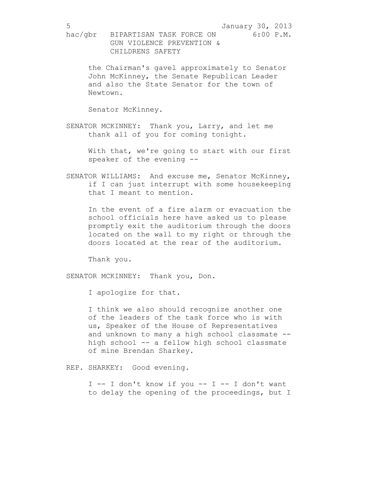the Chairman's gavel approximately to Senator John McKinney, the Senate Republican Leader and also the State Senator for the town of Newtown.

Senator McKinney.

SENATOR MCKINNEY: Thank you, Larry, and let me thank all of you for coming tonight.

> With that, we're going to start with our first speaker of the evening --

SENATOR WILLIAMS: And excuse me, Senator McKinney, if I can just interrupt with some housekeeping that I meant to mention.

In the event of a fire alarm or evacuation the school officials here have asked us to please promptly exit the auditorium through the doors located on the wall to my right or through the doors located at the rear of the auditorium.

Thank you.

SENATOR MCKINNEY: Thank you, Don.

I apologize for that.

I think we also should recognize another one of the leaders of the task force who is with us, Speaker of the House of Representatives and unknown to many a high school classmate - high school -- a fellow high school classmate of mine Brendan Sharkey.

REP. SHARKEY: Good evening.

 $I$  -- I don't know if you -- I -- I don't want to delay the opening of the proceedings, but I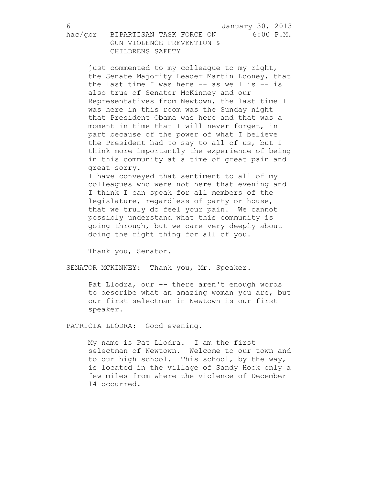just commented to my colleague to my right, the Senate Majority Leader Martin Looney, that the last time I was here -- as well is -- is also true of Senator McKinney and our Representatives from Newtown, the last time I was here in this room was the Sunday night that President Obama was here and that was a moment in time that I will never forget, in part because of the power of what I believe the President had to say to all of us, but I think more importantly the experience of being in this community at a time of great pain and great sorry.

I have conveyed that sentiment to all of my colleagues who were not here that evening and I think I can speak for all members of the legislature, regardless of party or house, that we truly do feel your pain. We cannot possibly understand what this community is going through, but we care very deeply about doing the right thing for all of you.

Thank you, Senator.

SENATOR MCKINNEY: Thank you, Mr. Speaker.

Pat Llodra, our -- there aren't enough words to describe what an amazing woman you are, but our first selectman in Newtown is our first speaker.

PATRICIA LLODRA: Good evening.

My name is Pat Llodra. I am the first selectman of Newtown. Welcome to our town and to our high school. This school, by the way, is located in the village of Sandy Hook only a few miles from where the violence of December 14 occurred.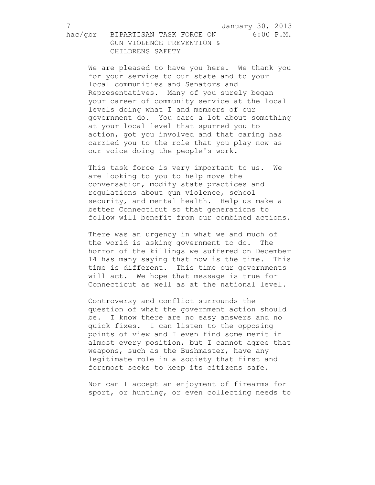We are pleased to have you here. We thank you for your service to our state and to your local communities and Senators and Representatives. Many of you surely began your career of community service at the local levels doing what I and members of our government do. You care a lot about something at your local level that spurred you to action, got you involved and that caring has carried you to the role that you play now as our voice doing the people's work.

This task force is very important to us. We are looking to you to help move the conversation, modify state practices and regulations about gun violence, school security, and mental health. Help us make a better Connecticut so that generations to follow will benefit from our combined actions.

There was an urgency in what we and much of the world is asking government to do. The horror of the killings we suffered on December 14 has many saying that now is the time. This time is different. This time our governments will act. We hope that message is true for Connecticut as well as at the national level.

Controversy and conflict surrounds the question of what the government action should be. I know there are no easy answers and no quick fixes. I can listen to the opposing points of view and I even find some merit in almost every position, but I cannot agree that weapons, such as the Bushmaster, have any legitimate role in a society that first and foremost seeks to keep its citizens safe.

Nor can I accept an enjoyment of firearms for sport, or hunting, or even collecting needs to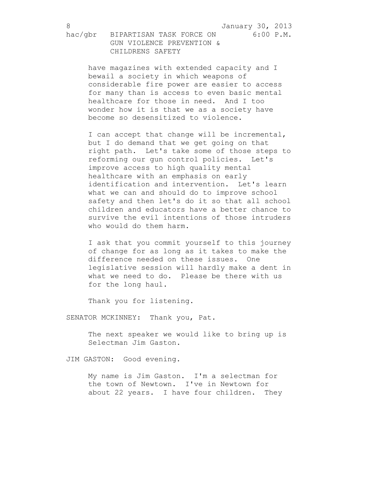have magazines with extended capacity and I bewail a society in which weapons of considerable fire power are easier to access for many than is access to even basic mental healthcare for those in need. And I too wonder how it is that we as a society have become so desensitized to violence.

I can accept that change will be incremental, but I do demand that we get going on that right path. Let's take some of those steps to reforming our gun control policies. Let's improve access to high quality mental healthcare with an emphasis on early identification and intervention. Let's learn what we can and should do to improve school safety and then let's do it so that all school children and educators have a better chance to survive the evil intentions of those intruders who would do them harm.

I ask that you commit yourself to this journey of change for as long as it takes to make the difference needed on these issues. One legislative session will hardly make a dent in what we need to do. Please be there with us for the long haul.

Thank you for listening.

SENATOR MCKINNEY: Thank you, Pat.

The next speaker we would like to bring up is Selectman Jim Gaston.

JIM GASTON: Good evening.

My name is Jim Gaston. I'm a selectman for the town of Newtown. I've in Newtown for about 22 years. I have four children. They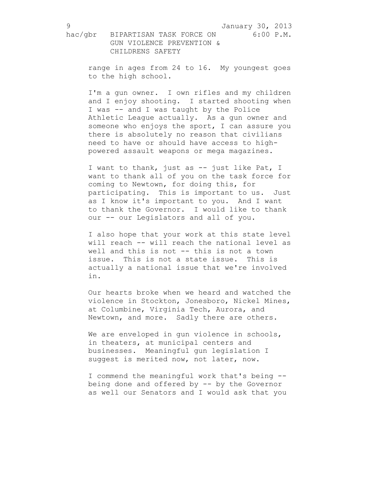range in ages from 24 to 16. My youngest goes to the high school.

I'm a gun owner. I own rifles and my children and I enjoy shooting. I started shooting when I was -- and I was taught by the Police Athletic League actually. As a gun owner and someone who enjoys the sport, I can assure you there is absolutely no reason that civilians need to have or should have access to highpowered assault weapons or mega magazines.

I want to thank, just as -- just like Pat, I want to thank all of you on the task force for coming to Newtown, for doing this, for participating. This is important to us. Just as I know it's important to you. And I want to thank the Governor. I would like to thank our -- our Legislators and all of you.

I also hope that your work at this state level will reach -- will reach the national level as well and this is not -- this is not a town issue. This is not a state issue. This is actually a national issue that we're involved in.

Our hearts broke when we heard and watched the violence in Stockton, Jonesboro, Nickel Mines, at Columbine, Virginia Tech, Aurora, and Newtown, and more. Sadly there are others.

We are enveloped in qun violence in schools, in theaters, at municipal centers and businesses. Meaningful gun legislation I suggest is merited now, not later, now.

I commend the meaningful work that's being - being done and offered by -- by the Governor as well our Senators and I would ask that you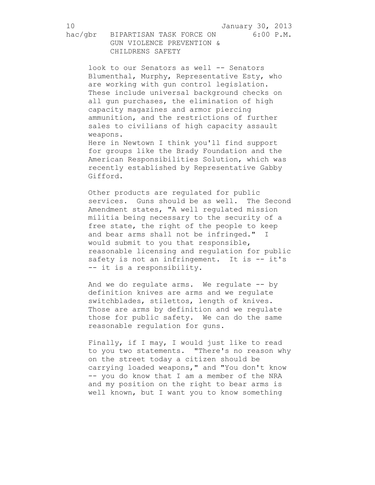10 January 30, 2013

hac/gbr BIPARTISAN TASK FORCE ON 6:00 P.M. GUN VIOLENCE PREVENTION & CHILDRENS SAFETY

look to our Senators as well -- Senators Blumenthal, Murphy, Representative Esty, who are working with gun control legislation. These include universal background checks on all gun purchases, the elimination of high capacity magazines and armor piercing ammunition, and the restrictions of further sales to civilians of high capacity assault weapons.

Here in Newtown I think you'll find support for groups like the Brady Foundation and the American Responsibilities Solution, which was recently established by Representative Gabby Gifford.

Other products are regulated for public services. Guns should be as well. The Second Amendment states, "A well regulated mission militia being necessary to the security of a free state, the right of the people to keep and bear arms shall not be infringed." I would submit to you that responsible, reasonable licensing and regulation for public safety is not an infringement. It is -- it's -- it is a responsibility.

And we do regulate arms. We regulate -- by definition knives are arms and we regulate switchblades, stilettos, length of knives. Those are arms by definition and we regulate those for public safety. We can do the same reasonable regulation for guns.

Finally, if I may, I would just like to read to you two statements. "There's no reason why on the street today a citizen should be carrying loaded weapons," and "You don't know -- you do know that I am a member of the NRA and my position on the right to bear arms is well known, but I want you to know something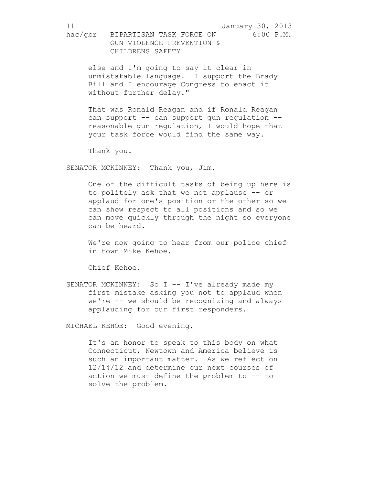else and I'm going to say it clear in unmistakable language. I support the Brady Bill and I encourage Congress to enact it without further delay."

That was Ronald Reagan and if Ronald Reagan can support -- can support gun regulation -reasonable gun regulation, I would hope that your task force would find the same way.

Thank you.

SENATOR MCKINNEY: Thank you, Jim.

One of the difficult tasks of being up here is to politely ask that we not applause -- or applaud for one's position or the other so we can show respect to all positions and so we can move quickly through the night so everyone can be heard.

We're now going to hear from our police chief in town Mike Kehoe.

Chief Kehoe.

SENATOR MCKINNEY: So I -- I've already made my first mistake asking you not to applaud when we're -- we should be recognizing and always applauding for our first responders.

MICHAEL KEHOE: Good evening.

It's an honor to speak to this body on what Connecticut, Newtown and America believe is such an important matter. As we reflect on 12/14/12 and determine our next courses of action we must define the problem to -- to solve the problem.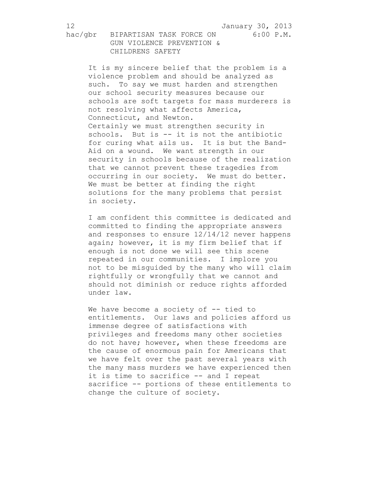It is my sincere belief that the problem is a violence problem and should be analyzed as such. To say we must harden and strengthen our school security measures because our schools are soft targets for mass murderers is not resolving what affects America, Connecticut, and Newton. Certainly we must strengthen security in schools. But is -- it is not the antibiotic for curing what ails us. It is but the Band-Aid on a wound. We want strength in our security in schools because of the realization that we cannot prevent these tragedies from occurring in our society. We must do better. We must be better at finding the right solutions for the many problems that persist in society.

I am confident this committee is dedicated and committed to finding the appropriate answers and responses to ensure 12/14/12 never happens again; however, it is my firm belief that if enough is not done we will see this scene repeated in our communities. I implore you not to be misguided by the many who will claim rightfully or wrongfully that we cannot and should not diminish or reduce rights afforded under law.

We have become a society of -- tied to entitlements. Our laws and policies afford us immense degree of satisfactions with privileges and freedoms many other societies do not have; however, when these freedoms are the cause of enormous pain for Americans that we have felt over the past several years with the many mass murders we have experienced then it is time to sacrifice -- and I repeat sacrifice -- portions of these entitlements to change the culture of society.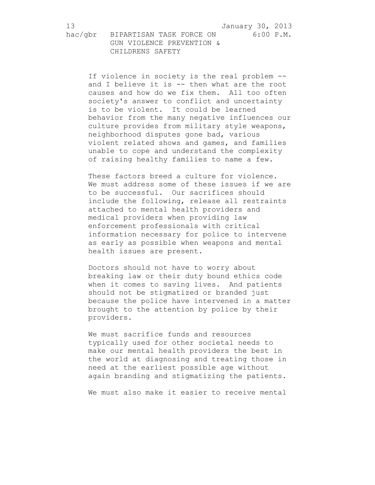If violence in society is the real problem - and I believe it is -- then what are the root causes and how do we fix them. All too often society's answer to conflict and uncertainty is to be violent. It could be learned behavior from the many negative influences our culture provides from military style weapons, neighborhood disputes gone bad, various violent related shows and games, and families unable to cope and understand the complexity of raising healthy families to name a few.

These factors breed a culture for violence. We must address some of these issues if we are to be successful. Our sacrifices should include the following, release all restraints attached to mental health providers and medical providers when providing law enforcement professionals with critical information necessary for police to intervene as early as possible when weapons and mental health issues are present.

Doctors should not have to worry about breaking law or their duty bound ethics code when it comes to saving lives. And patients should not be stigmatized or branded just because the police have intervened in a matter brought to the attention by police by their providers.

We must sacrifice funds and resources typically used for other societal needs to make our mental health providers the best in the world at diagnosing and treating those in need at the earliest possible age without again branding and stigmatizing the patients.

We must also make it easier to receive mental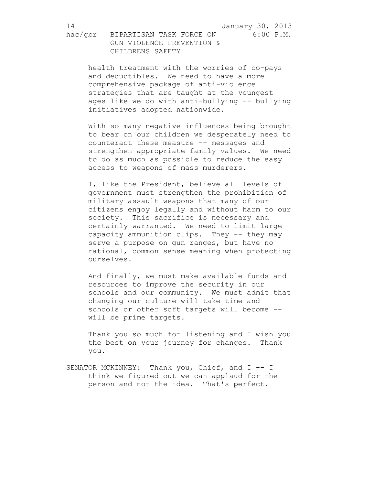health treatment with the worries of co-pays and deductibles. We need to have a more comprehensive package of anti-violence strategies that are taught at the youngest ages like we do with anti-bullying -- bullying initiatives adopted nationwide.

With so many negative influences being brought to bear on our children we desperately need to counteract these measure -- messages and strengthen appropriate family values. We need to do as much as possible to reduce the easy access to weapons of mass murderers.

I, like the President, believe all levels of government must strengthen the prohibition of military assault weapons that many of our citizens enjoy legally and without harm to our society. This sacrifice is necessary and certainly warranted. We need to limit large capacity ammunition clips. They -- they may serve a purpose on gun ranges, but have no rational, common sense meaning when protecting ourselves.

And finally, we must make available funds and resources to improve the security in our schools and our community. We must admit that changing our culture will take time and schools or other soft targets will become - will be prime targets.

Thank you so much for listening and I wish you the best on your journey for changes. Thank you.

SENATOR MCKINNEY: Thank you, Chief, and I -- I think we figured out we can applaud for the person and not the idea. That's perfect.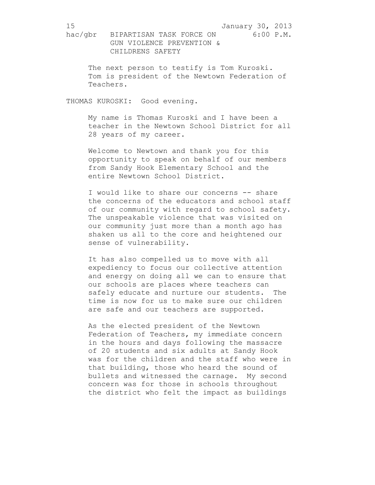The next person to testify is Tom Kuroski. Tom is president of the Newtown Federation of Teachers.

THOMAS KUROSKI: Good evening.

My name is Thomas Kuroski and I have been a teacher in the Newtown School District for all 28 years of my career.

Welcome to Newtown and thank you for this opportunity to speak on behalf of our members from Sandy Hook Elementary School and the entire Newtown School District.

I would like to share our concerns -- share the concerns of the educators and school staff of our community with regard to school safety. The unspeakable violence that was visited on our community just more than a month ago has shaken us all to the core and heightened our sense of vulnerability.

It has also compelled us to move with all expediency to focus our collective attention and energy on doing all we can to ensure that our schools are places where teachers can safely educate and nurture our students. The time is now for us to make sure our children are safe and our teachers are supported.

As the elected president of the Newtown Federation of Teachers, my immediate concern in the hours and days following the massacre of 20 students and six adults at Sandy Hook was for the children and the staff who were in that building, those who heard the sound of bullets and witnessed the carnage. My second concern was for those in schools throughout the district who felt the impact as buildings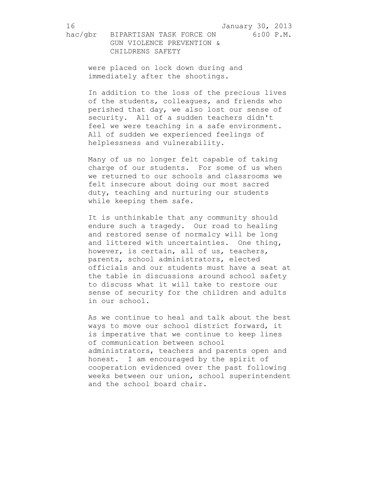16 January 30, 2013

hac/gbr BIPARTISAN TASK FORCE ON 6:00 P.M. GUN VIOLENCE PREVENTION & CHILDRENS SAFETY

were placed on lock down during and immediately after the shootings.

In addition to the loss of the precious lives of the students, colleagues, and friends who perished that day, we also lost our sense of security. All of a sudden teachers didn't feel we were teaching in a safe environment. All of sudden we experienced feelings of helplessness and vulnerability.

Many of us no longer felt capable of taking charge of our students. For some of us when we returned to our schools and classrooms we felt insecure about doing our most sacred duty, teaching and nurturing our students while keeping them safe.

It is unthinkable that any community should endure such a tragedy. Our road to healing and restored sense of normalcy will be long and littered with uncertainties. One thing, however, is certain, all of us, teachers, parents, school administrators, elected officials and our students must have a seat at the table in discussions around school safety to discuss what it will take to restore our sense of security for the children and adults in our school.

As we continue to heal and talk about the best ways to move our school district forward, it is imperative that we continue to keep lines of communication between school administrators, teachers and parents open and honest. I am encouraged by the spirit of cooperation evidenced over the past following weeks between our union, school superintendent and the school board chair.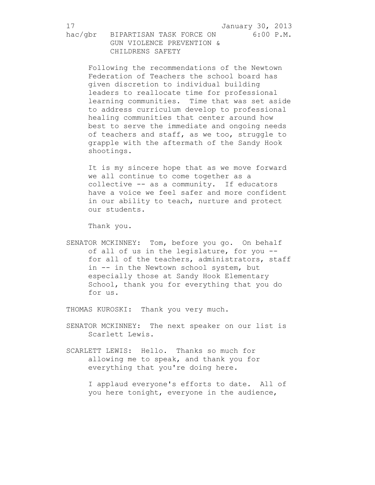17 January 30, 2013

hac/gbr BIPARTISAN TASK FORCE ON 6:00 P.M. GUN VIOLENCE PREVENTION & CHILDRENS SAFETY

Following the recommendations of the Newtown Federation of Teachers the school board has given discretion to individual building leaders to reallocate time for professional learning communities. Time that was set aside to address curriculum develop to professional healing communities that center around how best to serve the immediate and ongoing needs of teachers and staff, as we too, struggle to grapple with the aftermath of the Sandy Hook shootings.

It is my sincere hope that as we move forward we all continue to come together as a collective -- as a community. If educators have a voice we feel safer and more confident in our ability to teach, nurture and protect our students.

Thank you.

SENATOR MCKINNEY: Tom, before you go. On behalf of all of us in the legislature, for you - for all of the teachers, administrators, staff in -- in the Newtown school system, but especially those at Sandy Hook Elementary School, thank you for everything that you do for us.

THOMAS KUROSKI: Thank you very much.

SENATOR MCKINNEY: The next speaker on our list is Scarlett Lewis.

SCARLETT LEWIS: Hello. Thanks so much for allowing me to speak, and thank you for everything that you're doing here.

> I applaud everyone's efforts to date. All of you here tonight, everyone in the audience,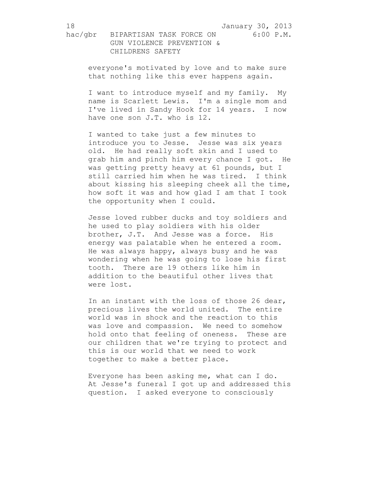everyone's motivated by love and to make sure that nothing like this ever happens again.

I want to introduce myself and my family. My name is Scarlett Lewis. I'm a single mom and I've lived in Sandy Hook for 14 years. I now have one son J.T. who is 12.

I wanted to take just a few minutes to introduce you to Jesse. Jesse was six years old. He had really soft skin and I used to grab him and pinch him every chance I got. He was getting pretty heavy at 61 pounds, but I still carried him when he was tired. I think about kissing his sleeping cheek all the time, how soft it was and how glad I am that I took the opportunity when I could.

Jesse loved rubber ducks and toy soldiers and he used to play soldiers with his older brother, J.T. And Jesse was a force. His energy was palatable when he entered a room. He was always happy, always busy and he was wondering when he was going to lose his first tooth. There are 19 others like him in addition to the beautiful other lives that were lost.

In an instant with the loss of those 26 dear, precious lives the world united. The entire world was in shock and the reaction to this was love and compassion. We need to somehow hold onto that feeling of oneness. These are our children that we're trying to protect and this is our world that we need to work together to make a better place.

Everyone has been asking me, what can I do. At Jesse's funeral I got up and addressed this question. I asked everyone to consciously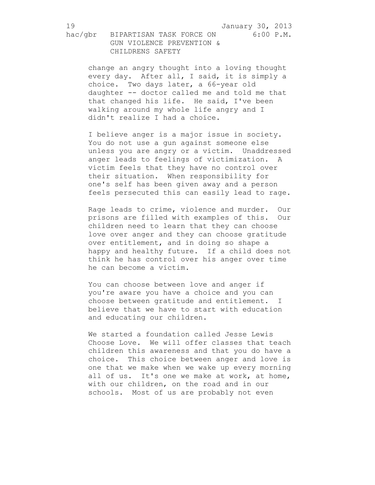change an angry thought into a loving thought every day. After all, I said, it is simply a choice. Two days later, a 66-year old daughter -- doctor called me and told me that that changed his life. He said, I've been walking around my whole life angry and I didn't realize I had a choice.

I believe anger is a major issue in society. You do not use a gun against someone else unless you are angry or a victim. Unaddressed anger leads to feelings of victimization. A victim feels that they have no control over their situation. When responsibility for one's self has been given away and a person feels persecuted this can easily lead to rage.

Rage leads to crime, violence and murder. Our prisons are filled with examples of this. Our children need to learn that they can choose love over anger and they can choose gratitude over entitlement, and in doing so shape a happy and healthy future. If a child does not think he has control over his anger over time he can become a victim.

You can choose between love and anger if you're aware you have a choice and you can choose between gratitude and entitlement. I believe that we have to start with education and educating our children.

We started a foundation called Jesse Lewis Choose Love. We will offer classes that teach children this awareness and that you do have a choice. This choice between anger and love is one that we make when we wake up every morning all of us. It's one we make at work, at home, with our children, on the road and in our schools. Most of us are probably not even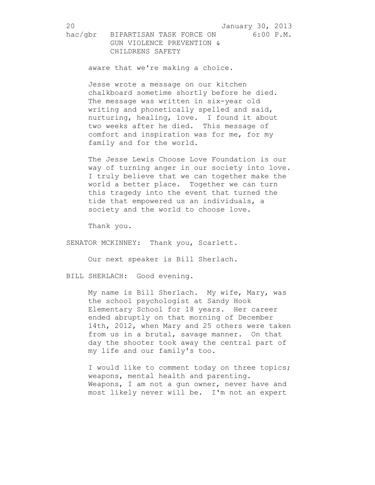20 January 30, 2013

hac/gbr BIPARTISAN TASK FORCE ON 6:00 P.M. GUN VIOLENCE PREVENTION & CHILDRENS SAFETY

aware that we're making a choice.

Jesse wrote a message on our kitchen chalkboard sometime shortly before he died. The message was written in six-year old writing and phonetically spelled and said, nurturing, healing, love. I found it about two weeks after he died. This message of comfort and inspiration was for me, for my family and for the world.

The Jesse Lewis Choose Love Foundation is our way of turning anger in our society into love. I truly believe that we can together make the world a better place. Together we can turn this tragedy into the event that turned the tide that empowered us an individuals, a society and the world to choose love.

Thank you.

SENATOR MCKINNEY: Thank you, Scarlett.

Our next speaker is Bill Sherlach.

BILL SHERLACH: Good evening.

My name is Bill Sherlach. My wife, Mary, was the school psychologist at Sandy Hook Elementary School for 18 years. Her career ended abruptly on that morning of December 14th, 2012, when Mary and 25 others were taken from us in a brutal, savage manner. On that day the shooter took away the central part of my life and our family's too.

I would like to comment today on three topics; weapons, mental health and parenting. Weapons, I am not a gun owner, never have and most likely never will be. I'm not an expert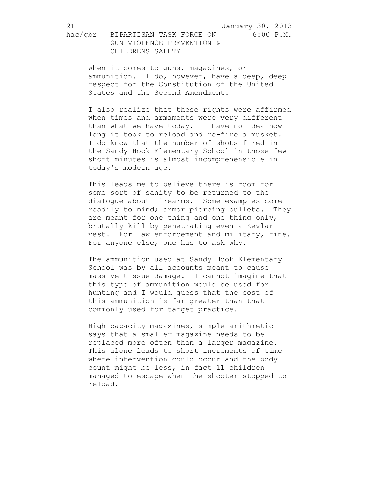when it comes to guns, magazines, or ammunition. I do, however, have a deep, deep respect for the Constitution of the United States and the Second Amendment.

I also realize that these rights were affirmed when times and armaments were very different than what we have today. I have no idea how long it took to reload and re-fire a musket. I do know that the number of shots fired in the Sandy Hook Elementary School in those few short minutes is almost incomprehensible in today's modern age.

This leads me to believe there is room for some sort of sanity to be returned to the dialogue about firearms. Some examples come readily to mind; armor piercing bullets. They are meant for one thing and one thing only, brutally kill by penetrating even a Kevlar vest. For law enforcement and military, fine. For anyone else, one has to ask why.

The ammunition used at Sandy Hook Elementary School was by all accounts meant to cause massive tissue damage. I cannot imagine that this type of ammunition would be used for hunting and I would guess that the cost of this ammunition is far greater than that commonly used for target practice.

High capacity magazines, simple arithmetic says that a smaller magazine needs to be replaced more often than a larger magazine. This alone leads to short increments of time where intervention could occur and the body count might be less, in fact 11 children managed to escape when the shooter stopped to reload.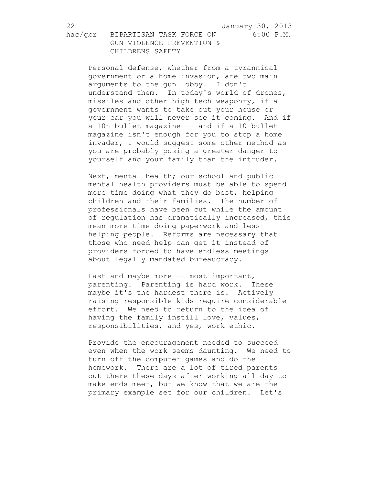22 January 30, 2013

hac/gbr BIPARTISAN TASK FORCE ON 6:00 P.M. GUN VIOLENCE PREVENTION & CHILDRENS SAFETY

Personal defense, whether from a tyrannical government or a home invasion, are two main arguments to the gun lobby. I don't understand them. In today's world of drones, missiles and other high tech weaponry, if a government wants to take out your house or your car you will never see it coming. And if a 10n bullet magazine -- and if a 10 bullet magazine isn't enough for you to stop a home invader, I would suggest some other method as you are probably posing a greater danger to yourself and your family than the intruder.

Next, mental health; our school and public mental health providers must be able to spend more time doing what they do best, helping children and their families. The number of professionals have been cut while the amount of regulation has dramatically increased, this mean more time doing paperwork and less helping people. Reforms are necessary that those who need help can get it instead of providers forced to have endless meetings about legally mandated bureaucracy.

Last and maybe more -- most important, parenting. Parenting is hard work. These maybe it's the hardest there is. Actively raising responsible kids require considerable effort. We need to return to the idea of having the family instill love, values, responsibilities, and yes, work ethic.

Provide the encouragement needed to succeed even when the work seems daunting. We need to turn off the computer games and do the homework. There are a lot of tired parents out there these days after working all day to make ends meet, but we know that we are the primary example set for our children. Let's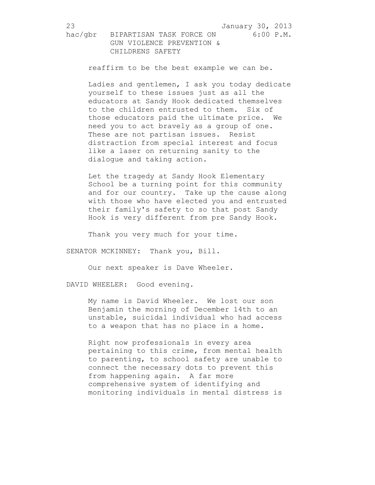reaffirm to be the best example we can be.

Ladies and gentlemen, I ask you today dedicate yourself to these issues just as all the educators at Sandy Hook dedicated themselves to the children entrusted to them. Six of those educators paid the ultimate price. We need you to act bravely as a group of one. These are not partisan issues. Resist distraction from special interest and focus like a laser on returning sanity to the dialogue and taking action.

Let the tragedy at Sandy Hook Elementary School be a turning point for this community and for our country. Take up the cause along with those who have elected you and entrusted their family's safety to so that post Sandy Hook is very different from pre Sandy Hook.

Thank you very much for your time.

SENATOR MCKINNEY: Thank you, Bill.

Our next speaker is Dave Wheeler.

DAVID WHEELER: Good evening.

My name is David Wheeler. We lost our son Benjamin the morning of December 14th to an unstable, suicidal individual who had access to a weapon that has no place in a home.

Right now professionals in every area pertaining to this crime, from mental health to parenting, to school safety are unable to connect the necessary dots to prevent this from happening again. A far more comprehensive system of identifying and monitoring individuals in mental distress is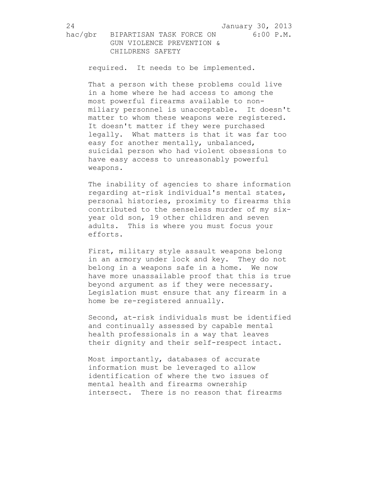required. It needs to be implemented.

That a person with these problems could live in a home where he had access to among the most powerful firearms available to nonmiliary personnel is unacceptable. It doesn't matter to whom these weapons were registered. It doesn't matter if they were purchased legally. What matters is that it was far too easy for another mentally, unbalanced, suicidal person who had violent obsessions to have easy access to unreasonably powerful weapons.

The inability of agencies to share information regarding at-risk individual's mental states, personal histories, proximity to firearms this contributed to the senseless murder of my sixyear old son, 19 other children and seven adults. This is where you must focus your efforts.

First, military style assault weapons belong in an armory under lock and key. They do not belong in a weapons safe in a home. We now have more unassailable proof that this is true beyond argument as if they were necessary. Legislation must ensure that any firearm in a home be re-registered annually.

Second, at-risk individuals must be identified and continually assessed by capable mental health professionals in a way that leaves their dignity and their self-respect intact.

Most importantly, databases of accurate information must be leveraged to allow identification of where the two issues of mental health and firearms ownership intersect. There is no reason that firearms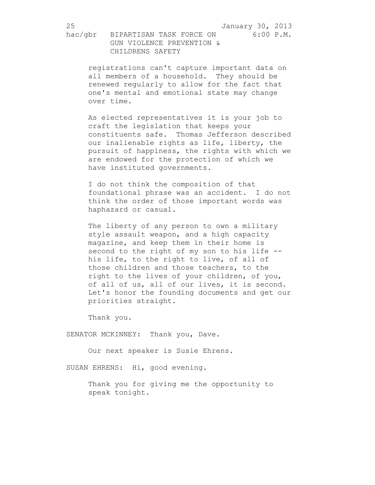registrations can't capture important data on all members of a household. They should be renewed regularly to allow for the fact that one's mental and emotional state may change over time.

As elected representatives it is your job to craft the legislation that keeps your constituents safe. Thomas Jefferson described our inalienable rights as life, liberty, the pursuit of happiness, the rights with which we are endowed for the protection of which we have instituted governments.

I do not think the composition of that foundational phrase was an accident. I do not think the order of those important words was haphazard or casual.

The liberty of any person to own a military style assault weapon, and a high capacity magazine, and keep them in their home is second to the right of my son to his life - his life, to the right to live, of all of those children and those teachers, to the right to the lives of your children, of you, of all of us, all of our lives, it is second. Let's honor the founding documents and get our priorities straight.

Thank you.

SENATOR MCKINNEY: Thank you, Dave.

Our next speaker is Susie Ehrens.

SUSAN EHRENS: Hi, good evening.

Thank you for giving me the opportunity to speak tonight.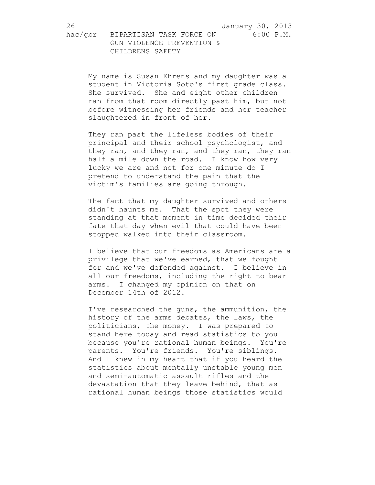26 January 30, 2013

hac/gbr BIPARTISAN TASK FORCE ON 6:00 P.M. GUN VIOLENCE PREVENTION & CHILDRENS SAFETY

My name is Susan Ehrens and my daughter was a student in Victoria Soto's first grade class. She survived. She and eight other children ran from that room directly past him, but not before witnessing her friends and her teacher slaughtered in front of her.

They ran past the lifeless bodies of their principal and their school psychologist, and they ran, and they ran, and they ran, they ran half a mile down the road. I know how very lucky we are and not for one minute do I pretend to understand the pain that the victim's families are going through.

The fact that my daughter survived and others didn't haunts me. That the spot they were standing at that moment in time decided their fate that day when evil that could have been stopped walked into their classroom.

I believe that our freedoms as Americans are a privilege that we've earned, that we fought for and we've defended against. I believe in all our freedoms, including the right to bear arms. I changed my opinion on that on December 14th of 2012.

I've researched the guns, the ammunition, the history of the arms debates, the laws, the politicians, the money. I was prepared to stand here today and read statistics to you because you're rational human beings. You're parents. You're friends. You're siblings. And I knew in my heart that if you heard the statistics about mentally unstable young men and semi-automatic assault rifles and the devastation that they leave behind, that as rational human beings those statistics would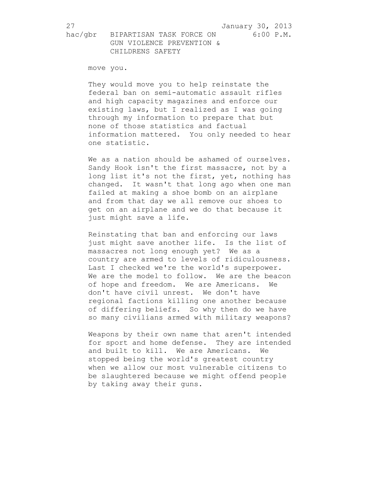move you.

They would move you to help reinstate the federal ban on semi-automatic assault rifles and high capacity magazines and enforce our existing laws, but I realized as I was going through my information to prepare that but none of those statistics and factual information mattered. You only needed to hear one statistic.

We as a nation should be ashamed of ourselves. Sandy Hook isn't the first massacre, not by a long list it's not the first, yet, nothing has changed. It wasn't that long ago when one man failed at making a shoe bomb on an airplane and from that day we all remove our shoes to get on an airplane and we do that because it just might save a life.

Reinstating that ban and enforcing our laws just might save another life. Is the list of massacres not long enough yet? We as a country are armed to levels of ridiculousness. Last I checked we're the world's superpower. We are the model to follow. We are the beacon of hope and freedom. We are Americans. We don't have civil unrest. We don't have regional factions killing one another because of differing beliefs. So why then do we have so many civilians armed with military weapons?

Weapons by their own name that aren't intended for sport and home defense. They are intended and built to kill. We are Americans. We stopped being the world's greatest country when we allow our most vulnerable citizens to be slaughtered because we might offend people by taking away their guns.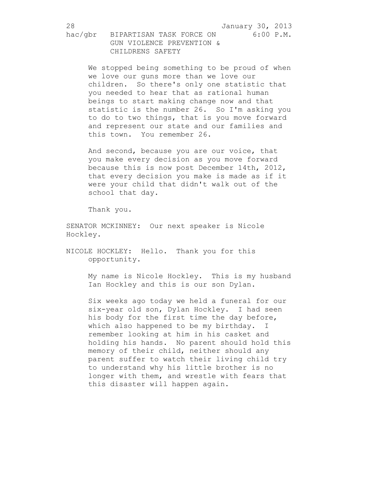We stopped being something to be proud of when we love our guns more than we love our children. So there's only one statistic that you needed to hear that as rational human beings to start making change now and that statistic is the number 26. So I'm asking you to do to two things, that is you move forward and represent our state and our families and this town. You remember 26.

And second, because you are our voice, that you make every decision as you move forward because this is now post December 14th, 2012, that every decision you make is made as if it were your child that didn't walk out of the school that day.

Thank you.

SENATOR MCKINNEY: Our next speaker is Nicole Hockley.

NICOLE HOCKLEY: Hello. Thank you for this opportunity.

> My name is Nicole Hockley. This is my husband Ian Hockley and this is our son Dylan.

> Six weeks ago today we held a funeral for our six-year old son, Dylan Hockley. I had seen his body for the first time the day before, which also happened to be my birthday. I remember looking at him in his casket and holding his hands. No parent should hold this memory of their child, neither should any parent suffer to watch their living child try to understand why his little brother is no longer with them, and wrestle with fears that this disaster will happen again.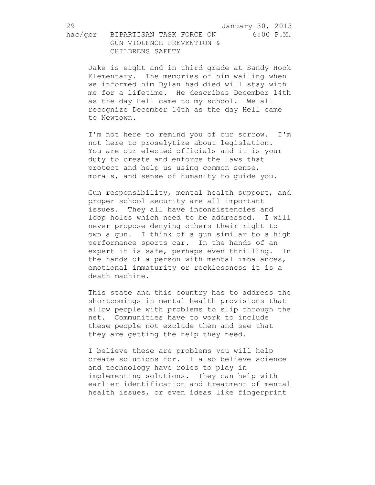Jake is eight and in third grade at Sandy Hook Elementary. The memories of him wailing when we informed him Dylan had died will stay with me for a lifetime. He describes December 14th as the day Hell came to my school. We all recognize December 14th as the day Hell came to Newtown.

I'm not here to remind you of our sorrow. I'm not here to proselytize about legislation. You are our elected officials and it is your duty to create and enforce the laws that protect and help us using common sense, morals, and sense of humanity to guide you.

Gun responsibility, mental health support, and proper school security are all important issues. They all have inconsistencies and loop holes which need to be addressed. I will never propose denying others their right to own a gun. I think of a gun similar to a high performance sports car. In the hands of an expert it is safe, perhaps even thrilling. In the hands of a person with mental imbalances, emotional immaturity or recklessness it is a death machine.

This state and this country has to address the shortcomings in mental health provisions that allow people with problems to slip through the net. Communities have to work to include these people not exclude them and see that they are getting the help they need.

I believe these are problems you will help create solutions for. I also believe science and technology have roles to play in implementing solutions. They can help with earlier identification and treatment of mental health issues, or even ideas like fingerprint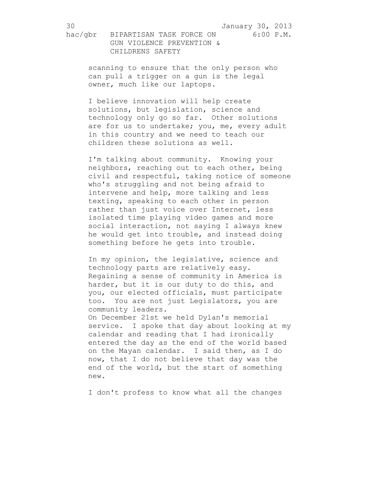scanning to ensure that the only person who can pull a trigger on a gun is the legal owner, much like our laptops.

I believe innovation will help create solutions, but legislation, science and technology only go so far. Other solutions are for us to undertake; you, me, every adult in this country and we need to teach our children these solutions as well.

I'm talking about community. Knowing your neighbors, reaching out to each other, being civil and respectful, taking notice of someone who's struggling and not being afraid to intervene and help, more talking and less texting, speaking to each other in person rather than just voice over Internet, less isolated time playing video games and more social interaction, not saying I always knew he would get into trouble, and instead doing something before he gets into trouble.

In my opinion, the legislative, science and technology parts are relatively easy. Regaining a sense of community in America is harder, but it is our duty to do this, and you, our elected officials, must participate too. You are not just Legislators, you are community leaders.

On December 21st we held Dylan's memorial service. I spoke that day about looking at my calendar and reading that I had ironically entered the day as the end of the world based on the Mayan calendar. I said then, as I do now, that I do not believe that day was the end of the world, but the start of something new.

I don't profess to know what all the changes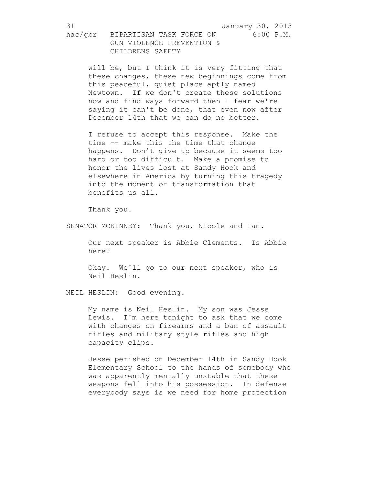will be, but I think it is very fitting that these changes, these new beginnings come from this peaceful, quiet place aptly named Newtown. If we don't create these solutions now and find ways forward then I fear we're saying it can't be done, that even now after December 14th that we can do no better.

I refuse to accept this response. Make the time -- make this the time that change happens. Don't give up because it seems too hard or too difficult. Make a promise to honor the lives lost at Sandy Hook and elsewhere in America by turning this tragedy into the moment of transformation that benefits us all.

Thank you.

SENATOR MCKINNEY: Thank you, Nicole and Ian.

Our next speaker is Abbie Clements. Is Abbie here?

Okay. We'll go to our next speaker, who is Neil Heslin.

NEIL HESLIN: Good evening.

My name is Neil Heslin. My son was Jesse Lewis. I'm here tonight to ask that we come with changes on firearms and a ban of assault rifles and military style rifles and high capacity clips.

Jesse perished on December 14th in Sandy Hook Elementary School to the hands of somebody who was apparently mentally unstable that these weapons fell into his possession. In defense everybody says is we need for home protection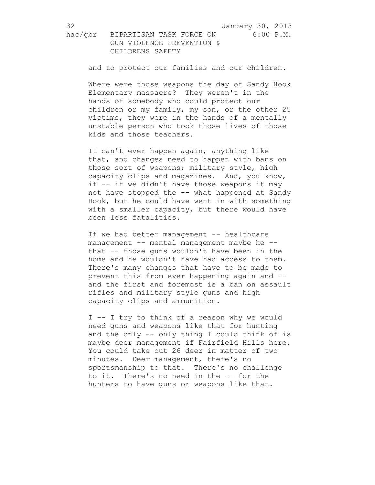and to protect our families and our children.

Where were those weapons the day of Sandy Hook Elementary massacre? They weren't in the hands of somebody who could protect our children or my family, my son, or the other 25 victims, they were in the hands of a mentally unstable person who took those lives of those kids and those teachers.

It can't ever happen again, anything like that, and changes need to happen with bans on those sort of weapons; military style, high capacity clips and magazines. And, you know, if -- if we didn't have those weapons it may not have stopped the -- what happened at Sandy Hook, but he could have went in with something with a smaller capacity, but there would have been less fatalities.

If we had better management -- healthcare management -- mental management maybe he -that -- those guns wouldn't have been in the home and he wouldn't have had access to them. There's many changes that have to be made to prevent this from ever happening again and - and the first and foremost is a ban on assault rifles and military style guns and high capacity clips and ammunition.

I -- I try to think of a reason why we would need guns and weapons like that for hunting and the only -- only thing I could think of is maybe deer management if Fairfield Hills here. You could take out 26 deer in matter of two minutes. Deer management, there's no sportsmanship to that. There's no challenge to it. There's no need in the -- for the hunters to have guns or weapons like that.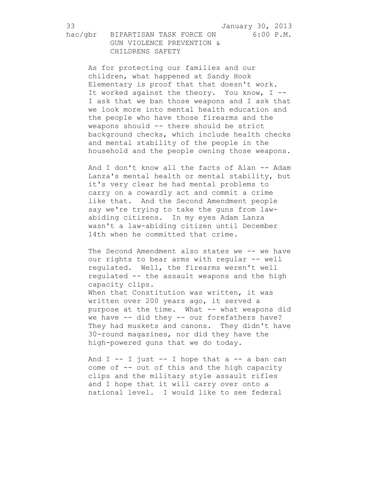33 January 30, 2013

hac/gbr BIPARTISAN TASK FORCE ON 6:00 P.M. GUN VIOLENCE PREVENTION &

 CHILDRENS SAFETY As for protecting our families and our children, what happened at Sandy Hook Elementary is proof that that doesn't work. It worked against the theory. You know, I --

I ask that we ban those weapons and I ask that we look more into mental health education and the people who have those firearms and the weapons should -- there should be strict background checks, which include health checks and mental stability of the people in the household and the people owning those weapons.

And I don't know all the facts of Alan -- Adam Lanza's mental health or mental stability, but it's very clear he had mental problems to carry on a cowardly act and commit a crime like that. And the Second Amendment people say we're trying to take the guns from lawabiding citizens. In my eyes Adam Lanza wasn't a law-abiding citizen until December 14th when he committed that crime.

The Second Amendment also states we -- we have our rights to bear arms with regular -- well regulated. Well, the firearms weren't well regulated -- the assault weapons and the high capacity clips.

When that Constitution was written, it was written over 200 years ago, it served a purpose at the time. What -- what weapons did we have -- did they -- our forefathers have? They had muskets and canons. They didn't have 30-round magazines, nor did they have the high-powered guns that we do today.

And  $I$  -- I just -- I hope that a -- a ban can come of -- out of this and the high capacity clips and the military style assault rifles and I hope that it will carry over onto a national level. I would like to see federal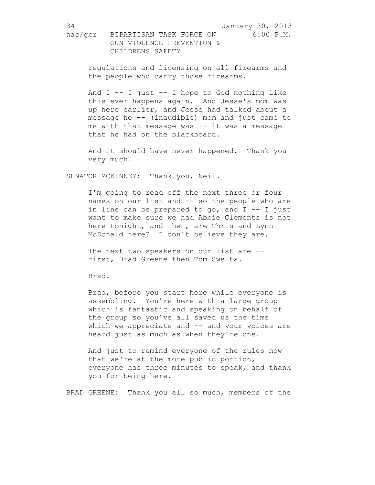regulations and licensing on all firearms and the people who carry those firearms.

And  $I$  -- I just -- I hope to God nothing like this ever happens again. And Jesse's mom was up here earlier, and Jesse had talked about a message he -- (inaudible) mom and just came to me with that message was -- it was a message that he had on the blackboard.

And it should have never happened. Thank you very much.

SENATOR MCKINNEY: Thank you, Neil.

I'm going to read off the next three or four names on our list and -- so the people who are in line can be prepared to go, and  $I - - I$  just want to make sure we had Abbie Clements is not here tonight, and then, are Chris and Lynn McDonald here? I don't believe they are.

The next two speakers on our list are -first, Brad Greene then Tom Swelts.

Brad.

Brad, before you start here while everyone is assembling. You're here with a large group which is fantastic and speaking on behalf of the group so you've all saved us the time which we appreciate and  $-$  and your voices are heard just as much as when they're one.

And just to remind everyone of the rules now that we're at the more public portion, everyone has three minutes to speak, and thank you for being here.

BRAD GREENE: Thank you all so much, members of the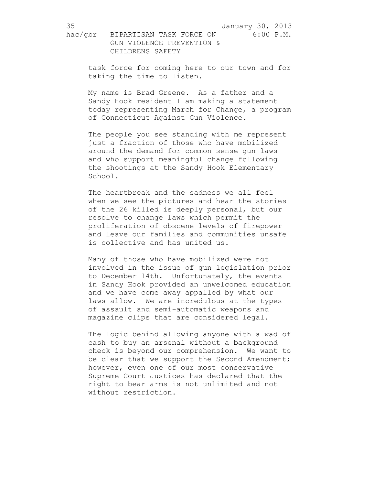task force for coming here to our town and for taking the time to listen.

My name is Brad Greene. As a father and a Sandy Hook resident I am making a statement today representing March for Change, a program of Connecticut Against Gun Violence.

The people you see standing with me represent just a fraction of those who have mobilized around the demand for common sense gun laws and who support meaningful change following the shootings at the Sandy Hook Elementary School.

The heartbreak and the sadness we all feel when we see the pictures and hear the stories of the 26 killed is deeply personal, but our resolve to change laws which permit the proliferation of obscene levels of firepower and leave our families and communities unsafe is collective and has united us.

Many of those who have mobilized were not involved in the issue of gun legislation prior to December 14th. Unfortunately, the events in Sandy Hook provided an unwelcomed education and we have come away appalled by what our laws allow. We are incredulous at the types of assault and semi-automatic weapons and magazine clips that are considered legal.

The logic behind allowing anyone with a wad of cash to buy an arsenal without a background check is beyond our comprehension. We want to be clear that we support the Second Amendment; however, even one of our most conservative Supreme Court Justices has declared that the right to bear arms is not unlimited and not without restriction.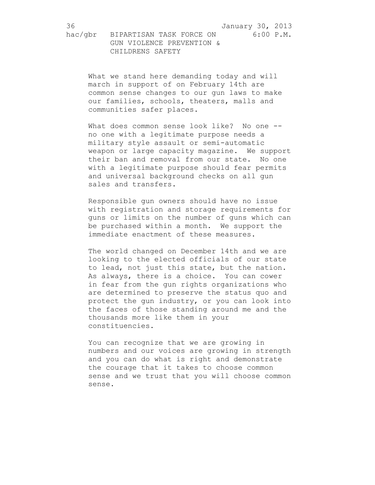What we stand here demanding today and will march in support of on February 14th are common sense changes to our gun laws to make our families, schools, theaters, malls and communities safer places.

What does common sense look like? No one -no one with a legitimate purpose needs a military style assault or semi-automatic weapon or large capacity magazine. We support their ban and removal from our state. No one with a legitimate purpose should fear permits and universal background checks on all gun sales and transfers.

Responsible gun owners should have no issue with registration and storage requirements for guns or limits on the number of guns which can be purchased within a month. We support the immediate enactment of these measures.

The world changed on December 14th and we are looking to the elected officials of our state to lead, not just this state, but the nation. As always, there is a choice. You can cower in fear from the gun rights organizations who are determined to preserve the status quo and protect the gun industry, or you can look into the faces of those standing around me and the thousands more like them in your constituencies.

You can recognize that we are growing in numbers and our voices are growing in strength and you can do what is right and demonstrate the courage that it takes to choose common sense and we trust that you will choose common sense.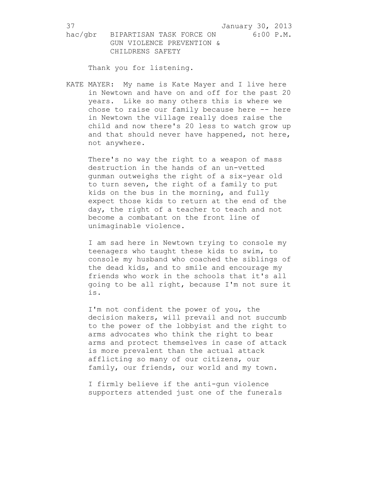hac/gbr BIPARTISAN TASK FORCE ON 6:00 P.M. GUN VIOLENCE PREVENTION & CHILDRENS SAFETY

Thank you for listening.

KATE MAYER: My name is Kate Mayer and I live here in Newtown and have on and off for the past 20 years. Like so many others this is where we chose to raise our family because here -- here in Newtown the village really does raise the child and now there's 20 less to watch grow up and that should never have happened, not here, not anywhere.

There's no way the right to a weapon of mass destruction in the hands of an un-vetted gunman outweighs the right of a six-year old to turn seven, the right of a family to put kids on the bus in the morning, and fully expect those kids to return at the end of the day, the right of a teacher to teach and not become a combatant on the front line of unimaginable violence.

I am sad here in Newtown trying to console my teenagers who taught these kids to swim, to console my husband who coached the siblings of the dead kids, and to smile and encourage my friends who work in the schools that it's all going to be all right, because I'm not sure it is.

I'm not confident the power of you, the decision makers, will prevail and not succumb to the power of the lobbyist and the right to arms advocates who think the right to bear arms and protect themselves in case of attack is more prevalent than the actual attack afflicting so many of our citizens, our family, our friends, our world and my town.

I firmly believe if the anti-gun violence supporters attended just one of the funerals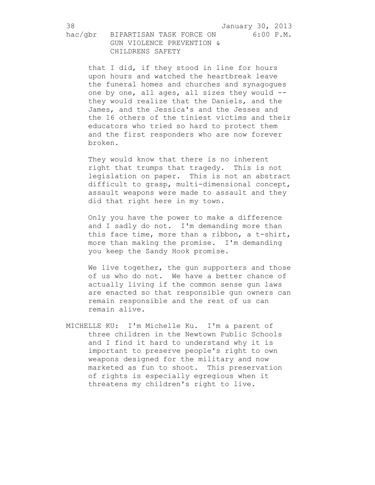that I did, if they stood in line for hours upon hours and watched the heartbreak leave the funeral homes and churches and synagogues one by one, all ages, all sizes they would - they would realize that the Daniels, and the James, and the Jessica's and the Jesses and the 16 others of the tiniest victims and their educators who tried so hard to protect them and the first responders who are now forever broken.

They would know that there is no inherent right that trumps that tragedy. This is not legislation on paper. This is not an abstract difficult to grasp, multi-dimensional concept, assault weapons were made to assault and they did that right here in my town.

Only you have the power to make a difference and I sadly do not. I'm demanding more than this face time, more than a ribbon, a t-shirt, more than making the promise. I'm demanding you keep the Sandy Hook promise.

We live together, the gun supporters and those of us who do not. We have a better chance of actually living if the common sense gun laws are enacted so that responsible gun owners can remain responsible and the rest of us can remain alive.

MICHELLE KU: I'm Michelle Ku. I'm a parent of three children in the Newtown Public Schools and I find it hard to understand why it is important to preserve people's right to own weapons designed for the military and now marketed as fun to shoot. This preservation of rights is especially egregious when it threatens my children's right to live.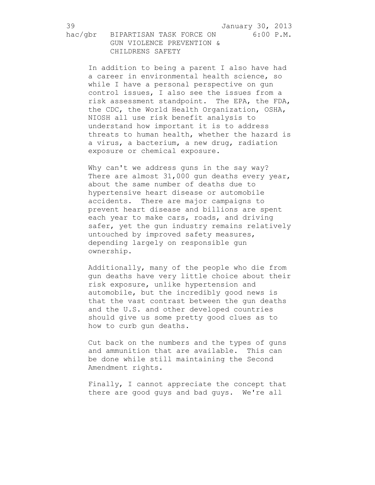hac/gbr BIPARTISAN TASK FORCE ON 6:00 P.M. GUN VIOLENCE PREVENTION & CHILDRENS SAFETY

In addition to being a parent I also have had a career in environmental health science, so while I have a personal perspective on gun control issues, I also see the issues from a risk assessment standpoint. The EPA, the FDA, the CDC, the World Health Organization, OSHA, NIOSH all use risk benefit analysis to understand how important it is to address threats to human health, whether the hazard is a virus, a bacterium, a new drug, radiation exposure or chemical exposure.

Why can't we address guns in the say way? There are almost 31,000 gun deaths every year, about the same number of deaths due to hypertensive heart disease or automobile accidents. There are major campaigns to prevent heart disease and billions are spent each year to make cars, roads, and driving safer, yet the gun industry remains relatively untouched by improved safety measures, depending largely on responsible gun ownership.

Additionally, many of the people who die from gun deaths have very little choice about their risk exposure, unlike hypertension and automobile, but the incredibly good news is that the vast contrast between the gun deaths and the U.S. and other developed countries should give us some pretty good clues as to how to curb gun deaths.

Cut back on the numbers and the types of guns and ammunition that are available. This can be done while still maintaining the Second Amendment rights.

Finally, I cannot appreciate the concept that there are good guys and bad guys. We're all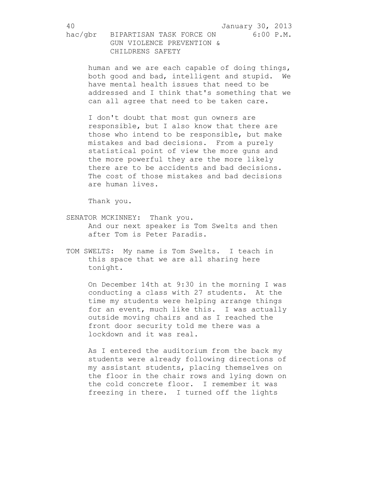human and we are each capable of doing things, both good and bad, intelligent and stupid. We have mental health issues that need to be addressed and I think that's something that we can all agree that need to be taken care.

I don't doubt that most gun owners are responsible, but I also know that there are those who intend to be responsible, but make mistakes and bad decisions. From a purely statistical point of view the more guns and the more powerful they are the more likely there are to be accidents and bad decisions. The cost of those mistakes and bad decisions are human lives.

Thank you.

- SENATOR MCKINNEY: Thank you. And our next speaker is Tom Swelts and then after Tom is Peter Paradis.
- TOM SWELTS: My name is Tom Swelts. I teach in this space that we are all sharing here tonight.

On December 14th at 9:30 in the morning I was conducting a class with 27 students. At the time my students were helping arrange things for an event, much like this. I was actually outside moving chairs and as I reached the front door security told me there was a lockdown and it was real.

As I entered the auditorium from the back my students were already following directions of my assistant students, placing themselves on the floor in the chair rows and lying down on the cold concrete floor. I remember it was freezing in there. I turned off the lights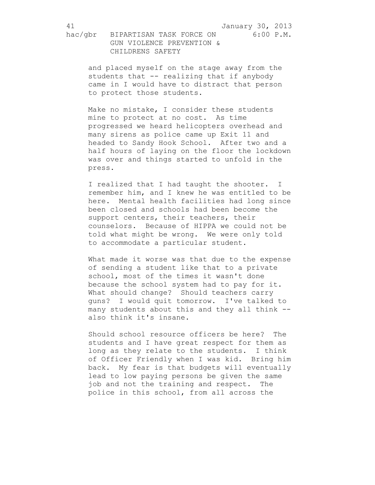and placed myself on the stage away from the students that -- realizing that if anybody came in I would have to distract that person to protect those students.

Make no mistake, I consider these students mine to protect at no cost. As time progressed we heard helicopters overhead and many sirens as police came up Exit 11 and headed to Sandy Hook School. After two and a half hours of laying on the floor the lockdown was over and things started to unfold in the press.

I realized that I had taught the shooter. I remember him, and I knew he was entitled to be here. Mental health facilities had long since been closed and schools had been become the support centers, their teachers, their counselors. Because of HIPPA we could not be told what might be wrong. We were only told to accommodate a particular student.

What made it worse was that due to the expense of sending a student like that to a private school, most of the times it wasn't done because the school system had to pay for it. What should change? Should teachers carry guns? I would quit tomorrow. I've talked to many students about this and they all think - also think it's insane.

Should school resource officers be here? The students and I have great respect for them as long as they relate to the students. I think of Officer Friendly when I was kid. Bring him back. My fear is that budgets will eventually lead to low paying persons be given the same job and not the training and respect. The police in this school, from all across the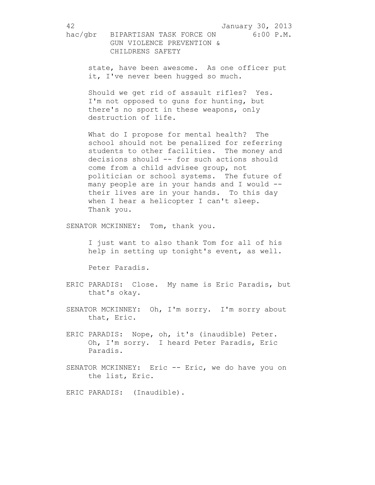hac/gbr BIPARTISAN TASK FORCE ON 6:00 P.M. GUN VIOLENCE PREVENTION & CHILDRENS SAFETY

state, have been awesome. As one officer put it, I've never been hugged so much.

Should we get rid of assault rifles? Yes. I'm not opposed to guns for hunting, but there's no sport in these weapons, only destruction of life.

What do I propose for mental health? The school should not be penalized for referring students to other facilities. The money and decisions should -- for such actions should come from a child advisee group, not politician or school systems. The future of many people are in your hands and I would - their lives are in your hands. To this day when I hear a helicopter I can't sleep. Thank you.

SENATOR MCKINNEY: Tom, thank you.

I just want to also thank Tom for all of his help in setting up tonight's event, as well.

Peter Paradis.

- ERIC PARADIS: Close. My name is Eric Paradis, but that's okay.
- SENATOR MCKINNEY: Oh, I'm sorry. I'm sorry about that, Eric.
- ERIC PARADIS: Nope, oh, it's (inaudible) Peter. Oh, I'm sorry. I heard Peter Paradis, Eric Paradis.
- SENATOR MCKINNEY: Eric -- Eric, we do have you on the list, Eric.

ERIC PARADIS: (Inaudible).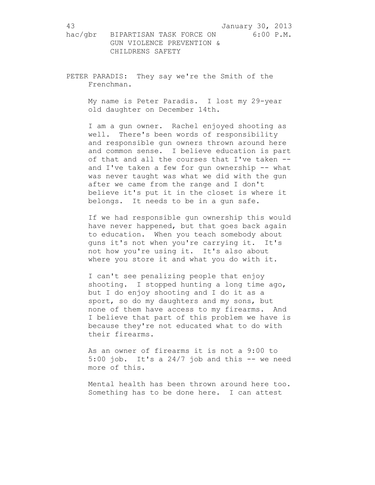PETER PARADIS: They say we're the Smith of the Frenchman.

> My name is Peter Paradis. I lost my 29-year old daughter on December 14th.

I am a gun owner. Rachel enjoyed shooting as well. There's been words of responsibility and responsible gun owners thrown around here and common sense. I believe education is part of that and all the courses that I've taken - and I've taken a few for gun ownership -- what was never taught was what we did with the gun after we came from the range and I don't believe it's put it in the closet is where it belongs. It needs to be in a gun safe.

If we had responsible gun ownership this would have never happened, but that goes back again to education. When you teach somebody about guns it's not when you're carrying it. It's not how you're using it. It's also about where you store it and what you do with it.

I can't see penalizing people that enjoy shooting. I stopped hunting a long time ago, but I do enjoy shooting and I do it as a sport, so do my daughters and my sons, but none of them have access to my firearms. And I believe that part of this problem we have is because they're not educated what to do with their firearms.

As an owner of firearms it is not a 9:00 to 5:00 job. It's a  $24/7$  job and this  $-$  we need more of this.

Mental health has been thrown around here too. Something has to be done here. I can attest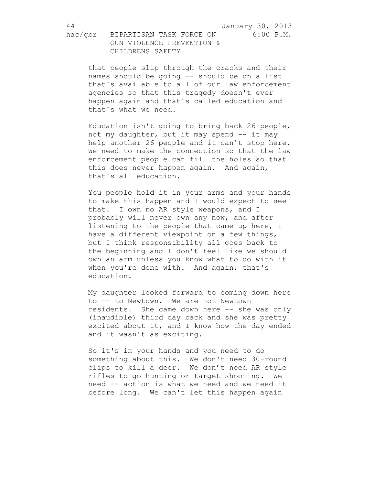that people slip through the cracks and their names should be going -- should be on a list that's available to all of our law enforcement agencies so that this tragedy doesn't ever happen again and that's called education and that's what we need.

Education isn't going to bring back 26 people, not my daughter, but it may spend -- it may help another 26 people and it can't stop here. We need to make the connection so that the law enforcement people can fill the holes so that this does never happen again. And again, that's all education.

You people hold it in your arms and your hands to make this happen and I would expect to see that. I own no AR style weapons, and I probably will never own any now, and after listening to the people that came up here, I have a different viewpoint on a few things, but I think responsibility all goes back to the beginning and I don't feel like we should own an arm unless you know what to do with it when you're done with. And again, that's education.

My daughter looked forward to coming down here to -- to Newtown. We are not Newtown residents. She came down here -- she was only (inaudible) third day back and she was pretty excited about it, and I know how the day ended and it wasn't as exciting.

So it's in your hands and you need to do something about this. We don't need 30-round clips to kill a deer. We don't need AR style rifles to go hunting or target shooting. We need -- action is what we need and we need it before long. We can't let this happen again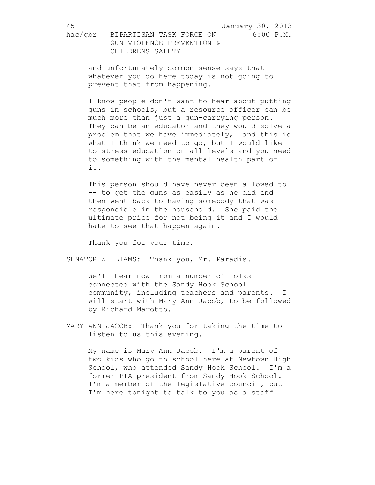and unfortunately common sense says that whatever you do here today is not going to prevent that from happening.

I know people don't want to hear about putting guns in schools, but a resource officer can be much more than just a gun-carrying person. They can be an educator and they would solve a problem that we have immediately, and this is what I think we need to go, but I would like to stress education on all levels and you need to something with the mental health part of it.

This person should have never been allowed to -- to get the guns as easily as he did and then went back to having somebody that was responsible in the household. She paid the ultimate price for not being it and I would hate to see that happen again.

Thank you for your time.

SENATOR WILLIAMS: Thank you, Mr. Paradis.

We'll hear now from a number of folks connected with the Sandy Hook School community, including teachers and parents. I will start with Mary Ann Jacob, to be followed by Richard Marotto.

MARY ANN JACOB: Thank you for taking the time to listen to us this evening.

> My name is Mary Ann Jacob. I'm a parent of two kids who go to school here at Newtown High School, who attended Sandy Hook School. I'm a former PTA president from Sandy Hook School. I'm a member of the legislative council, but I'm here tonight to talk to you as a staff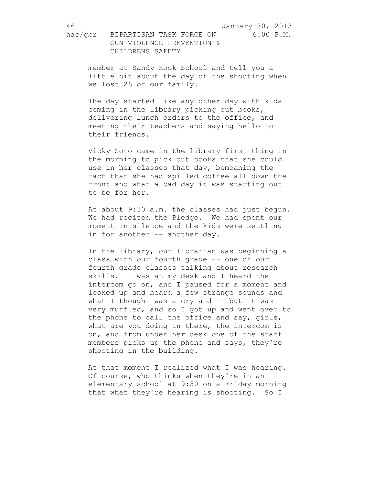hac/gbr BIPARTISAN TASK FORCE ON 6:00 P.M. GUN VIOLENCE PREVENTION & CHILDRENS SAFETY

> member at Sandy Hook School and tell you a little bit about the day of the shooting when we lost 26 of our family.

The day started like any other day with kids coming in the library picking out books, delivering lunch orders to the office, and meeting their teachers and saying hello to their friends.

Vicky Soto came in the library first thing in the morning to pick out books that she could use in her classes that day, bemoaning the fact that she had spilled coffee all down the front and what a bad day it was starting out to be for her.

At about 9:30 a.m. the classes had just begun. We had recited the Pledge. We had spent our moment in silence and the kids were settling in for another -- another day.

In the library, our librarian was beginning a class with our fourth grade -- one of our fourth grade classes talking about research skills. I was at my desk and I heard the intercom go on, and I paused for a moment and looked up and heard a few strange sounds and what I thought was a cry and -- but it was very muffled, and so I got up and went over to the phone to call the office and say, girls, what are you doing in there, the intercom is on, and from under her desk one of the staff members picks up the phone and says, they're shooting in the building.

At that moment I realized what I was hearing. Of course, who thinks when they're in an elementary school at 9:30 on a Friday morning that what they're hearing is shooting. So I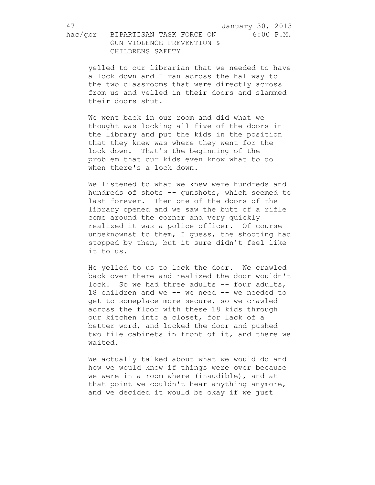hac/gbr BIPARTISAN TASK FORCE ON 6:00 P.M. GUN VIOLENCE PREVENTION & CHILDRENS SAFETY

yelled to our librarian that we needed to have a lock down and I ran across the hallway to the two classrooms that were directly across from us and yelled in their doors and slammed their doors shut.

We went back in our room and did what we thought was locking all five of the doors in the library and put the kids in the position that they knew was where they went for the lock down. That's the beginning of the problem that our kids even know what to do when there's a lock down.

We listened to what we knew were hundreds and hundreds of shots -- gunshots, which seemed to last forever. Then one of the doors of the library opened and we saw the butt of a rifle come around the corner and very quickly realized it was a police officer. Of course unbeknownst to them, I guess, the shooting had stopped by then, but it sure didn't feel like it to us.

He yelled to us to lock the door. We crawled back over there and realized the door wouldn't lock. So we had three adults -- four adults, 18 children and we -- we need -- we needed to get to someplace more secure, so we crawled across the floor with these 18 kids through our kitchen into a closet, for lack of a better word, and locked the door and pushed two file cabinets in front of it, and there we waited.

We actually talked about what we would do and how we would know if things were over because we were in a room where (inaudible), and at that point we couldn't hear anything anymore, and we decided it would be okay if we just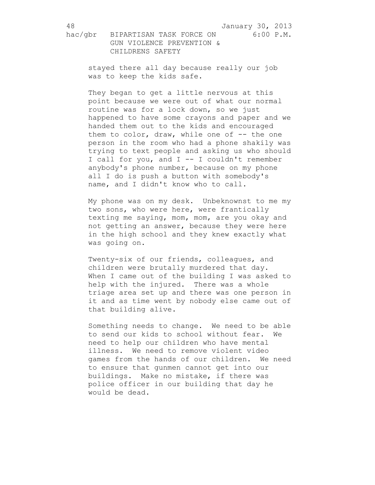stayed there all day because really our job was to keep the kids safe.

They began to get a little nervous at this point because we were out of what our normal routine was for a lock down, so we just happened to have some crayons and paper and we handed them out to the kids and encouraged them to color, draw, while one of -- the one person in the room who had a phone shakily was trying to text people and asking us who should I call for you, and I -- I couldn't remember anybody's phone number, because on my phone all I do is push a button with somebody's name, and I didn't know who to call.

My phone was on my desk. Unbeknownst to me my two sons, who were here, were frantically texting me saying, mom, mom, are you okay and not getting an answer, because they were here in the high school and they knew exactly what was going on.

Twenty-six of our friends, colleagues, and children were brutally murdered that day. When I came out of the building I was asked to help with the injured. There was a whole triage area set up and there was one person in it and as time went by nobody else came out of that building alive.

Something needs to change. We need to be able to send our kids to school without fear. We need to help our children who have mental illness. We need to remove violent video games from the hands of our children. We need to ensure that gunmen cannot get into our buildings. Make no mistake, if there was police officer in our building that day he would be dead.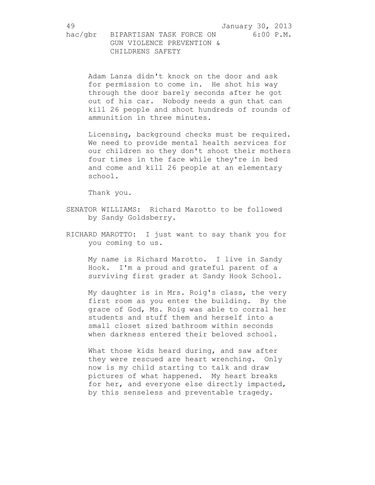Adam Lanza didn't knock on the door and ask for permission to come in. He shot his way through the door barely seconds after he got out of his car. Nobody needs a gun that can kill 26 people and shoot hundreds of rounds of ammunition in three minutes.

Licensing, background checks must be required. We need to provide mental health services for our children so they don't shoot their mothers four times in the face while they're in bed and come and kill 26 people at an elementary school.

Thank you.

- SENATOR WILLIAMS: Richard Marotto to be followed by Sandy Goldsberry.
- RICHARD MAROTTO: I just want to say thank you for you coming to us.

My name is Richard Marotto. I live in Sandy Hook. I'm a proud and grateful parent of a surviving first grader at Sandy Hook School.

My daughter is in Mrs. Roig's class, the very first room as you enter the building. By the grace of God, Ms. Roig was able to corral her students and stuff them and herself into a small closet sized bathroom within seconds when darkness entered their beloved school.

What those kids heard during, and saw after they were rescued are heart wrenching. Only now is my child starting to talk and draw pictures of what happened. My heart breaks for her, and everyone else directly impacted, by this senseless and preventable tragedy.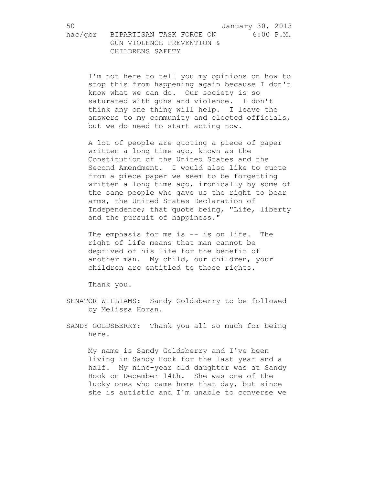I'm not here to tell you my opinions on how to stop this from happening again because I don't know what we can do. Our society is so saturated with guns and violence. I don't think any one thing will help. I leave the answers to my community and elected officials, but we do need to start acting now.

A lot of people are quoting a piece of paper written a long time ago, known as the Constitution of the United States and the Second Amendment. I would also like to quote from a piece paper we seem to be forgetting written a long time ago, ironically by some of the same people who gave us the right to bear arms, the United States Declaration of Independence; that quote being, "Life, liberty and the pursuit of happiness."

The emphasis for me is -- is on life. The right of life means that man cannot be deprived of his life for the benefit of another man. My child, our children, your children are entitled to those rights.

Thank you.

- SENATOR WILLIAMS: Sandy Goldsberry to be followed by Melissa Horan.
- SANDY GOLDSBERRY: Thank you all so much for being here.

My name is Sandy Goldsberry and I've been living in Sandy Hook for the last year and a half. My nine-year old daughter was at Sandy Hook on December 14th. She was one of the lucky ones who came home that day, but since she is autistic and I'm unable to converse we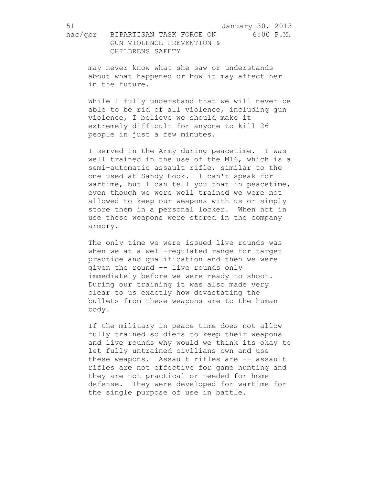may never know what she saw or understands about what happened or how it may affect her in the future.

While I fully understand that we will never be able to be rid of all violence, including gun violence, I believe we should make it extremely difficult for anyone to kill 26 people in just a few minutes.

I served in the Army during peacetime. I was well trained in the use of the M16, which is a semi-automatic assault rifle, similar to the one used at Sandy Hook. I can't speak for wartime, but I can tell you that in peacetime, even though we were well trained we were not allowed to keep our weapons with us or simply store them in a personal locker. When not in use these weapons were stored in the company armory.

The only time we were issued live rounds was when we at a well-regulated range for target practice and qualification and then we were given the round -- live rounds only immediately before we were ready to shoot. During our training it was also made very clear to us exactly how devastating the bullets from these weapons are to the human body.

If the military in peace time does not allow fully trained soldiers to keep their weapons and live rounds why would we think its okay to let fully untrained civilians own and use these weapons. Assault rifles are -- assault rifles are not effective for game hunting and they are not practical or needed for home defense. They were developed for wartime for the single purpose of use in battle.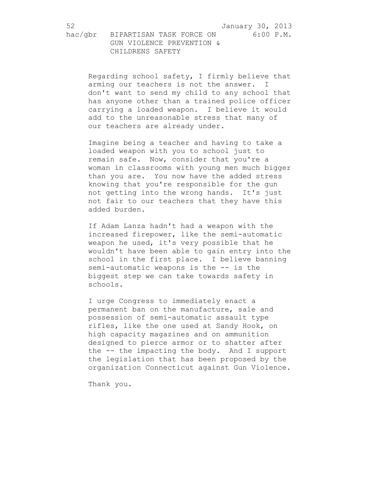Regarding school safety, I firmly believe that arming our teachers is not the answer. I don't want to send my child to any school that has anyone other than a trained police officer carrying a loaded weapon. I believe it would add to the unreasonable stress that many of our teachers are already under.

Imagine being a teacher and having to take a loaded weapon with you to school just to remain safe. Now, consider that you're a woman in classrooms with young men much bigger than you are. You now have the added stress knowing that you're responsible for the gun not getting into the wrong hands. It's just not fair to our teachers that they have this added burden.

If Adam Lanza hadn't had a weapon with the increased firepower, like the semi-automatic weapon he used, it's very possible that he wouldn't have been able to gain entry into the school in the first place. I believe banning semi-automatic weapons is the -- is the biggest step we can take towards safety in schools.

I urge Congress to immediately enact a permanent ban on the manufacture, sale and possession of semi-automatic assault type rifles, like the one used at Sandy Hook, on high capacity magazines and on ammunition designed to pierce armor or to shatter after the -- the impacting the body. And I support the legislation that has been proposed by the organization Connecticut against Gun Violence.

Thank you.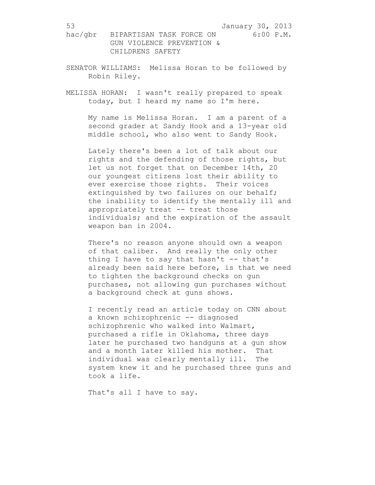- SENATOR WILLIAMS: Melissa Horan to be followed by Robin Riley.
- MELISSA HORAN: I wasn't really prepared to speak today, but I heard my name so I'm here.

My name is Melissa Horan. I am a parent of a second grader at Sandy Hook and a 13-year old middle school, who also went to Sandy Hook.

Lately there's been a lot of talk about our rights and the defending of those rights, but let us not forget that on December 14th, 20 our youngest citizens lost their ability to ever exercise those rights. Their voices extinguished by two failures on our behalf; the inability to identify the mentally ill and appropriately treat -- treat those individuals; and the expiration of the assault weapon ban in 2004.

There's no reason anyone should own a weapon of that caliber. And really the only other thing I have to say that hasn't -- that's already been said here before, is that we need to tighten the background checks on gun purchases, not allowing gun purchases without a background check at guns shows.

I recently read an article today on CNN about a known schizophrenic -- diagnosed schizophrenic who walked into Walmart, purchased a rifle in Oklahoma, three days later he purchased two handguns at a gun show and a month later killed his mother. That individual was clearly mentally ill. The system knew it and he purchased three guns and took a life.

That's all I have to say.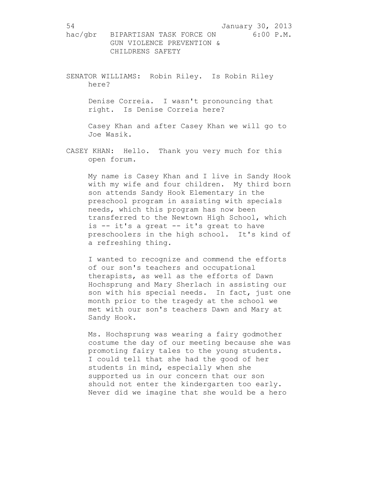SENATOR WILLIAMS: Robin Riley. Is Robin Riley here?

> Denise Correia. I wasn't pronouncing that right. Is Denise Correia here?

Casey Khan and after Casey Khan we will go to Joe Wasik.

CASEY KHAN: Hello. Thank you very much for this open forum.

My name is Casey Khan and I live in Sandy Hook with my wife and four children. My third born son attends Sandy Hook Elementary in the preschool program in assisting with specials needs, which this program has now been transferred to the Newtown High School, which is -- it's a great -- it's great to have preschoolers in the high school. It's kind of a refreshing thing.

I wanted to recognize and commend the efforts of our son's teachers and occupational therapists, as well as the efforts of Dawn Hochsprung and Mary Sherlach in assisting our son with his special needs. In fact, just one month prior to the tragedy at the school we met with our son's teachers Dawn and Mary at Sandy Hook.

Ms. Hochsprung was wearing a fairy godmother costume the day of our meeting because she was promoting fairy tales to the young students. I could tell that she had the good of her students in mind, especially when she supported us in our concern that our son should not enter the kindergarten too early. Never did we imagine that she would be a hero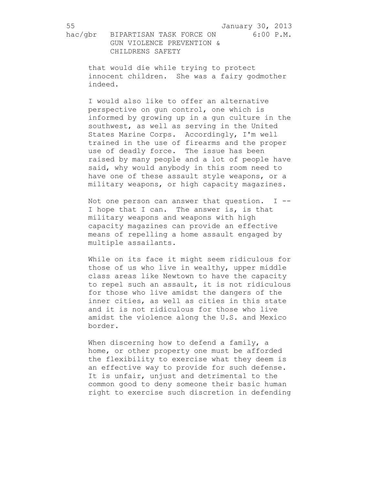CHILDRENS SAFETY

that would die while trying to protect innocent children. She was a fairy godmother indeed.

I would also like to offer an alternative perspective on gun control, one which is informed by growing up in a gun culture in the southwest, as well as serving in the United States Marine Corps. Accordingly, I'm well trained in the use of firearms and the proper use of deadly force. The issue has been raised by many people and a lot of people have said, why would anybody in this room need to have one of these assault style weapons, or a military weapons, or high capacity magazines.

Not one person can answer that question.  $I$  --I hope that I can. The answer is, is that military weapons and weapons with high capacity magazines can provide an effective means of repelling a home assault engaged by multiple assailants.

While on its face it might seem ridiculous for those of us who live in wealthy, upper middle class areas like Newtown to have the capacity to repel such an assault, it is not ridiculous for those who live amidst the dangers of the inner cities, as well as cities in this state and it is not ridiculous for those who live amidst the violence along the U.S. and Mexico border.

When discerning how to defend a family, a home, or other property one must be afforded the flexibility to exercise what they deem is an effective way to provide for such defense. It is unfair, unjust and detrimental to the common good to deny someone their basic human right to exercise such discretion in defending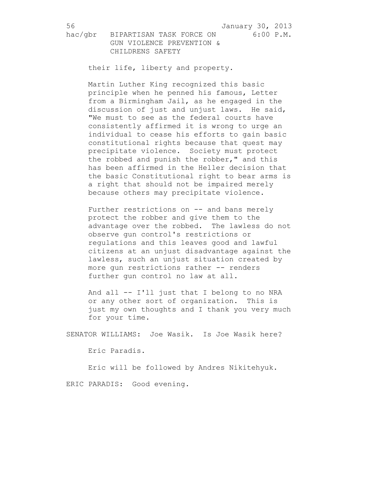their life, liberty and property.

Martin Luther King recognized this basic principle when he penned his famous, Letter from a Birmingham Jail, as he engaged in the discussion of just and unjust laws. He said, "We must to see as the federal courts have consistently affirmed it is wrong to urge an individual to cease his efforts to gain basic constitutional rights because that quest may precipitate violence. Society must protect the robbed and punish the robber," and this has been affirmed in the Heller decision that the basic Constitutional right to bear arms is a right that should not be impaired merely because others may precipitate violence.

Further restrictions on -- and bans merely protect the robber and give them to the advantage over the robbed. The lawless do not observe gun control's restrictions or regulations and this leaves good and lawful citizens at an unjust disadvantage against the lawless, such an unjust situation created by more gun restrictions rather -- renders further gun control no law at all.

And all -- I'll just that I belong to no NRA or any other sort of organization. This is just my own thoughts and I thank you very much for your time.

SENATOR WILLIAMS: Joe Wasik. Is Joe Wasik here?

Eric Paradis.

Eric will be followed by Andres Nikitehyuk.

ERIC PARADIS: Good evening.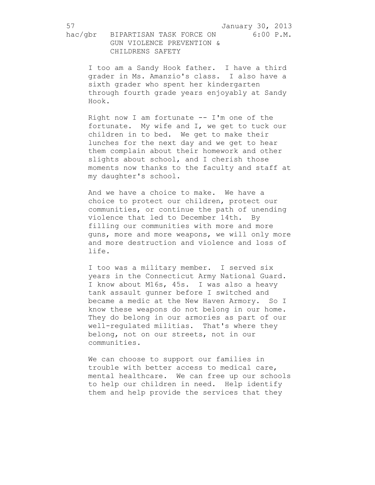I too am a Sandy Hook father. I have a third grader in Ms. Amanzio's class. I also have a sixth grader who spent her kindergarten through fourth grade years enjoyably at Sandy Hook.

Right now I am fortunate  $-$  I'm one of the fortunate. My wife and I, we get to tuck our children in to bed. We get to make their lunches for the next day and we get to hear them complain about their homework and other slights about school, and I cherish those moments now thanks to the faculty and staff at my daughter's school.

And we have a choice to make. We have a choice to protect our children, protect our communities, or continue the path of unending violence that led to December 14th. By filling our communities with more and more guns, more and more weapons, we will only more and more destruction and violence and loss of life.

I too was a military member. I served six years in the Connecticut Army National Guard. I know about M16s, 45s. I was also a heavy tank assault gunner before I switched and became a medic at the New Haven Armory. So I know these weapons do not belong in our home. They do belong in our armories as part of our well-regulated militias. That's where they belong, not on our streets, not in our communities.

We can choose to support our families in trouble with better access to medical care, mental healthcare. We can free up our schools to help our children in need. Help identify them and help provide the services that they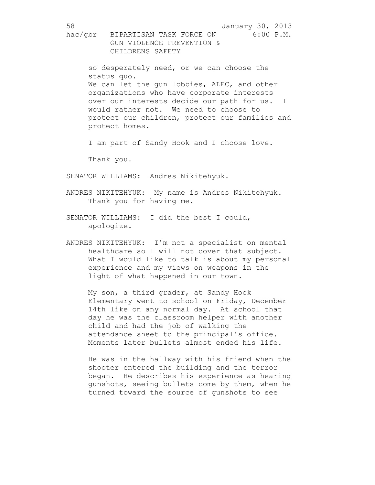so desperately need, or we can choose the status quo. We can let the gun lobbies, ALEC, and other organizations who have corporate interests over our interests decide our path for us. I would rather not. We need to choose to protect our children, protect our families and protect homes.

I am part of Sandy Hook and I choose love.

Thank you.

SENATOR WILLIAMS: Andres Nikitehyuk.

- ANDRES NIKITEHYUK: My name is Andres Nikitehyuk. Thank you for having me.
- SENATOR WILLIAMS: I did the best I could, apologize.
- ANDRES NIKITEHYUK: I'm not a specialist on mental healthcare so I will not cover that subject. What I would like to talk is about my personal experience and my views on weapons in the light of what happened in our town.

My son, a third grader, at Sandy Hook Elementary went to school on Friday, December 14th like on any normal day. At school that day he was the classroom helper with another child and had the job of walking the attendance sheet to the principal's office. Moments later bullets almost ended his life.

He was in the hallway with his friend when the shooter entered the building and the terror began. He describes his experience as hearing gunshots, seeing bullets come by them, when he turned toward the source of gunshots to see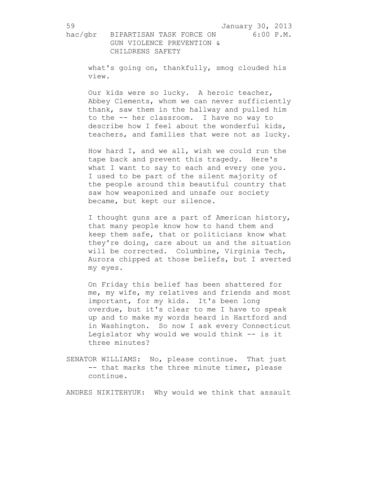what's going on, thankfully, smog clouded his view.

Our kids were so lucky. A heroic teacher, Abbey Clements, whom we can never sufficiently thank, saw them in the hallway and pulled him to the -- her classroom. I have no way to describe how I feel about the wonderful kids, teachers, and families that were not as lucky.

How hard I, and we all, wish we could run the tape back and prevent this tragedy. Here's what I want to say to each and every one you. I used to be part of the silent majority of the people around this beautiful country that saw how weaponized and unsafe our society became, but kept our silence.

I thought guns are a part of American history, that many people know how to hand them and keep them safe, that or politicians know what they're doing, care about us and the situation will be corrected. Columbine, Virginia Tech, Aurora chipped at those beliefs, but I averted my eyes.

On Friday this belief has been shattered for me, my wife, my relatives and friends and most important, for my kids. It's been long overdue, but it's clear to me I have to speak up and to make my words heard in Hartford and in Washington. So now I ask every Connecticut Legislator why would we would think -- is it three minutes?

SENATOR WILLIAMS: No, please continue. That just -- that marks the three minute timer, please continue.

ANDRES NIKITEHYUK: Why would we think that assault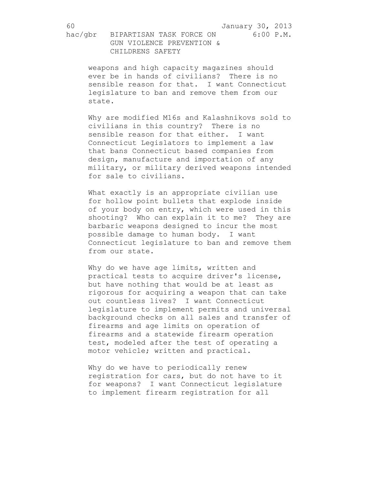hac/gbr BIPARTISAN TASK FORCE ON 6:00 P.M. GUN VIOLENCE PREVENTION & CHILDRENS SAFETY

weapons and high capacity magazines should ever be in hands of civilians? There is no sensible reason for that. I want Connecticut legislature to ban and remove them from our state.

Why are modified M16s and Kalashnikovs sold to civilians in this country? There is no sensible reason for that either. I want Connecticut Legislators to implement a law that bans Connecticut based companies from design, manufacture and importation of any military, or military derived weapons intended for sale to civilians.

What exactly is an appropriate civilian use for hollow point bullets that explode inside of your body on entry, which were used in this shooting? Who can explain it to me? They are barbaric weapons designed to incur the most possible damage to human body. I want Connecticut legislature to ban and remove them from our state.

Why do we have age limits, written and practical tests to acquire driver's license, but have nothing that would be at least as rigorous for acquiring a weapon that can take out countless lives? I want Connecticut legislature to implement permits and universal background checks on all sales and transfer of firearms and age limits on operation of firearms and a statewide firearm operation test, modeled after the test of operating a motor vehicle; written and practical.

Why do we have to periodically renew registration for cars, but do not have to it for weapons? I want Connecticut legislature to implement firearm registration for all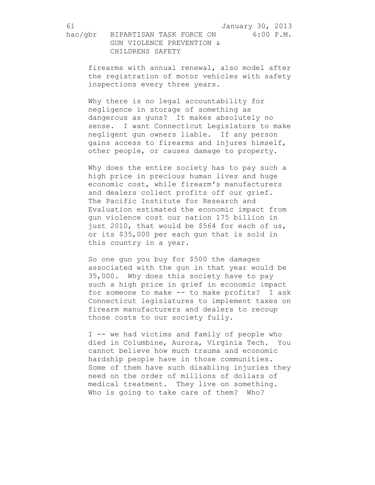firearms with annual renewal, also model after the registration of motor vehicles with safety inspections every three years.

Why there is no legal accountability for negligence in storage of something as dangerous as guns? It makes absolutely no sense. I want Connecticut Legislators to make negligent gun owners liable. If any person gains access to firearms and injures himself, other people, or causes damage to property.

Why does the entire society has to pay such a high price in precious human lives and huge economic cost, while firearm's manufacturers and dealers collect profits off our grief. The Pacific Institute for Research and Evaluation estimated the economic impact from gun violence cost our nation 175 billion in just 2010, that would be \$564 for each of us, or its \$35,000 per each gun that is sold in this country in a year.

So one gun you buy for \$500 the damages associated with the gun in that year would be 35,000. Why does this society have to pay such a high price in grief in economic impact for someone to make -- to make profits? I ask Connecticut legislatures to implement taxes on firearm manufacturers and dealers to recoup those costs to our society fully.

I -- we had victims and family of people who died in Columbine, Aurora, Virginia Tech. You cannot believe how much trauma and economic hardship people have in those communities. Some of them have such disabling injuries they need on the order of millions of dollars of medical treatment. They live on something. Who is going to take care of them? Who?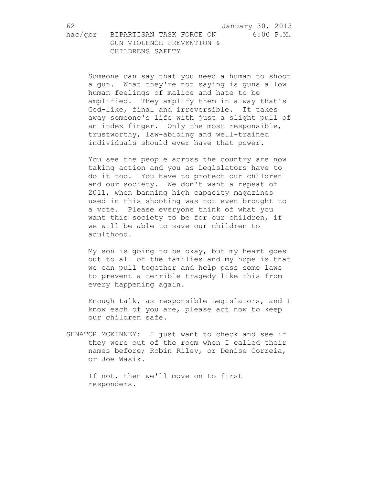Someone can say that you need a human to shoot a gun. What they're not saying is guns allow human feelings of malice and hate to be amplified. They amplify them in a way that's God-like, final and irreversible. It takes away someone's life with just a slight pull of an index finger. Only the most responsible, trustworthy, law-abiding and well-trained individuals should ever have that power.

You see the people across the country are now taking action and you as Legislators have to do it too. You have to protect our children and our society. We don't want a repeat of 2011, when banning high capacity magazines used in this shooting was not even brought to a vote. Please everyone think of what you want this society to be for our children, if we will be able to save our children to adulthood.

My son is going to be okay, but my heart goes out to all of the families and my hope is that we can pull together and help pass some laws to prevent a terrible tragedy like this from every happening again.

Enough talk, as responsible Legislators, and I know each of you are, please act now to keep our children safe.

SENATOR MCKINNEY: I just want to check and see if they were out of the room when I called their names before; Robin Riley, or Denise Correia, or Joe Wasik.

If not, then we'll move on to first responders.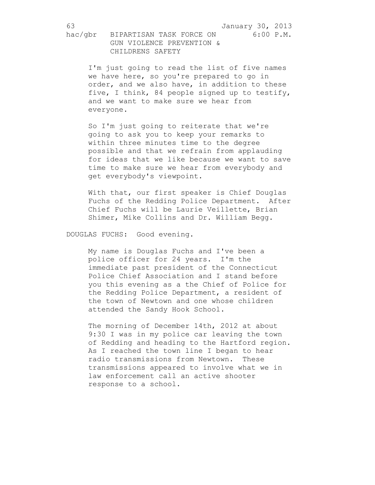I'm just going to read the list of five names we have here, so you're prepared to go in order, and we also have, in addition to these five, I think, 84 people signed up to testify, and we want to make sure we hear from everyone.

So I'm just going to reiterate that we're going to ask you to keep your remarks to within three minutes time to the degree possible and that we refrain from applauding for ideas that we like because we want to save time to make sure we hear from everybody and get everybody's viewpoint.

With that, our first speaker is Chief Douglas Fuchs of the Redding Police Department. After Chief Fuchs will be Laurie Veillette, Brian Shimer, Mike Collins and Dr. William Begg.

DOUGLAS FUCHS: Good evening.

My name is Douglas Fuchs and I've been a police officer for 24 years. I'm the immediate past president of the Connecticut Police Chief Association and I stand before you this evening as a the Chief of Police for the Redding Police Department, a resident of the town of Newtown and one whose children attended the Sandy Hook School.

The morning of December 14th, 2012 at about 9:30 I was in my police car leaving the town of Redding and heading to the Hartford region. As I reached the town line I began to hear radio transmissions from Newtown. These transmissions appeared to involve what we in law enforcement call an active shooter response to a school.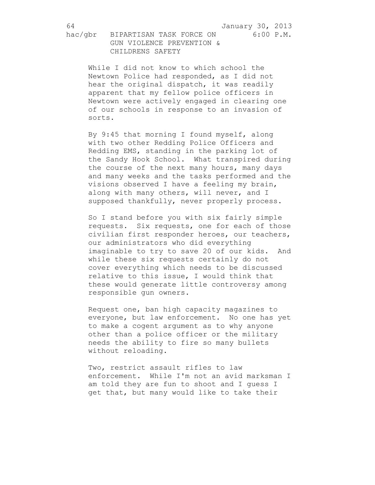hac/gbr BIPARTISAN TASK FORCE ON 6:00 P.M. GUN VIOLENCE PREVENTION & CHILDRENS SAFETY

While I did not know to which school the Newtown Police had responded, as I did not hear the original dispatch, it was readily apparent that my fellow police officers in Newtown were actively engaged in clearing one of our schools in response to an invasion of sorts.

By 9:45 that morning I found myself, along with two other Redding Police Officers and Redding EMS, standing in the parking lot of the Sandy Hook School. What transpired during the course of the next many hours, many days and many weeks and the tasks performed and the visions observed I have a feeling my brain, along with many others, will never, and I supposed thankfully, never properly process.

So I stand before you with six fairly simple requests. Six requests, one for each of those civilian first responder heroes, our teachers, our administrators who did everything imaginable to try to save 20 of our kids. And while these six requests certainly do not cover everything which needs to be discussed relative to this issue, I would think that these would generate little controversy among responsible gun owners.

Request one, ban high capacity magazines to everyone, but law enforcement. No one has yet to make a cogent argument as to why anyone other than a police officer or the military needs the ability to fire so many bullets without reloading.

Two, restrict assault rifles to law enforcement. While I'm not an avid marksman I am told they are fun to shoot and I guess I get that, but many would like to take their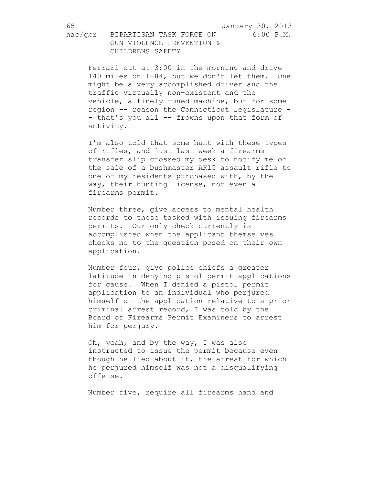Ferrari out at 3:00 in the morning and drive 140 miles on I-84, but we don't let them. One might be a very accomplished driver and the traffic virtually non-existent and the vehicle, a finely tuned machine, but for some region -- reason the Connecticut legislature - - that's you all -- frowns upon that form of activity.

I'm also told that some hunt with these types of rifles, and just last week a firearms transfer slip crossed my desk to notify me of the sale of a bushmaster AR15 assault rifle to one of my residents purchased with, by the way, their hunting license, not even a firearms permit.

Number three, give access to mental health records to those tasked with issuing firearms permits. Our only check currently is accomplished when the applicant themselves checks no to the question posed on their own application.

Number four, give police chiefs a greater latitude in denying pistol permit applications for cause. When I denied a pistol permit application to an individual who perjured himself on the application relative to a prior criminal arrest record, I was told by the Board of Firearms Permit Examiners to arrest him for perjury.

Oh, yeah, and by the way, I was also instructed to issue the permit because even though he lied about it, the arrest for which he perjured himself was not a disqualifying offense.

Number five, require all firearms hand and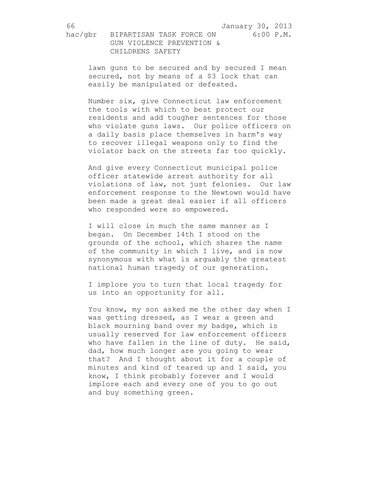hac/gbr BIPARTISAN TASK FORCE ON 6:00 P.M. GUN VIOLENCE PREVENTION & CHILDRENS SAFETY

> lawn guns to be secured and by secured I mean secured, not by means of a \$3 lock that can easily be manipulated or defeated.

Number six, give Connecticut law enforcement the tools with which to best protect our residents and add tougher sentences for those who violate guns laws. Our police officers on a daily basis place themselves in harm's way to recover illegal weapons only to find the violator back on the streets far too quickly.

And give every Connecticut municipal police officer statewide arrest authority for all violations of law, not just felonies. Our law enforcement response to the Newtown would have been made a great deal easier if all officers who responded were so empowered.

I will close in much the same manner as I began. On December 14th I stood on the grounds of the school, which shares the name of the community in which I live, and is now synonymous with what is arguably the greatest national human tragedy of our generation.

I implore you to turn that local tragedy for us into an opportunity for all.

You know, my son asked me the other day when I was getting dressed, as I wear a green and black mourning band over my badge, which is usually reserved for law enforcement officers who have fallen in the line of duty. He said, dad, how much longer are you going to wear that? And I thought about it for a couple of minutes and kind of teared up and I said, you know, I think probably forever and I would implore each and every one of you to go out and buy something green.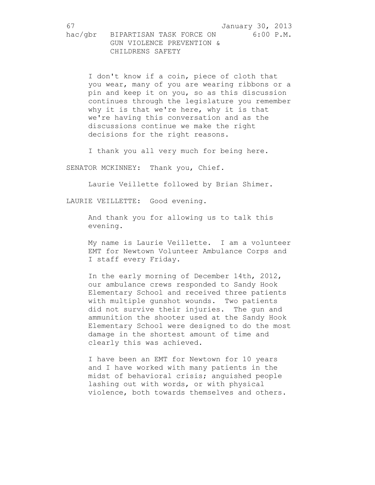I don't know if a coin, piece of cloth that you wear, many of you are wearing ribbons or a pin and keep it on you, so as this discussion continues through the legislature you remember why it is that we're here, why it is that we're having this conversation and as the discussions continue we make the right decisions for the right reasons.

I thank you all very much for being here.

SENATOR MCKINNEY: Thank you, Chief.

Laurie Veillette followed by Brian Shimer.

LAURIE VEILLETTE: Good evening.

And thank you for allowing us to talk this evening.

My name is Laurie Veillette. I am a volunteer EMT for Newtown Volunteer Ambulance Corps and I staff every Friday.

In the early morning of December 14th, 2012, our ambulance crews responded to Sandy Hook Elementary School and received three patients with multiple gunshot wounds. Two patients did not survive their injuries. The gun and ammunition the shooter used at the Sandy Hook Elementary School were designed to do the most damage in the shortest amount of time and clearly this was achieved.

I have been an EMT for Newtown for 10 years and I have worked with many patients in the midst of behavioral crisis; anguished people lashing out with words, or with physical violence, both towards themselves and others.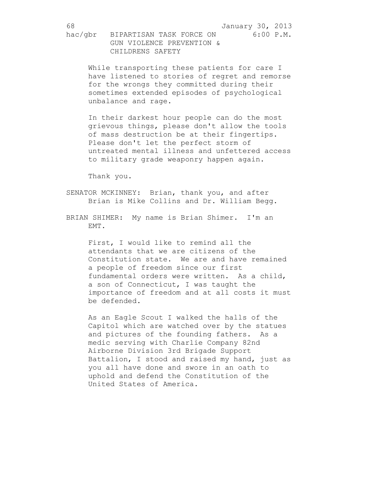While transporting these patients for care I have listened to stories of regret and remorse for the wrongs they committed during their sometimes extended episodes of psychological unbalance and rage.

In their darkest hour people can do the most grievous things, please don't allow the tools of mass destruction be at their fingertips. Please don't let the perfect storm of untreated mental illness and unfettered access to military grade weaponry happen again.

Thank you.

- SENATOR MCKINNEY: Brian, thank you, and after Brian is Mike Collins and Dr. William Begg.
- BRIAN SHIMER: My name is Brian Shimer. I'm an EMT.

First, I would like to remind all the attendants that we are citizens of the Constitution state. We are and have remained a people of freedom since our first fundamental orders were written. As a child, a son of Connecticut, I was taught the importance of freedom and at all costs it must be defended.

As an Eagle Scout I walked the halls of the Capitol which are watched over by the statues and pictures of the founding fathers. As a medic serving with Charlie Company 82nd Airborne Division 3rd Brigade Support Battalion, I stood and raised my hand, just as you all have done and swore in an oath to uphold and defend the Constitution of the United States of America.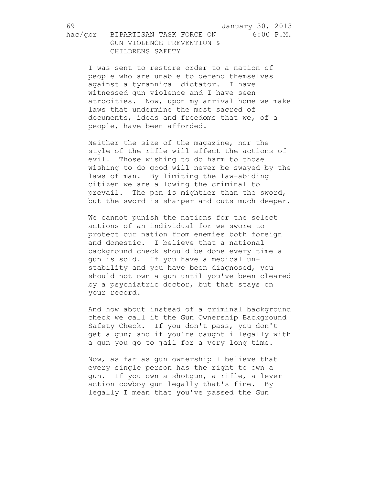I was sent to restore order to a nation of people who are unable to defend themselves against a tyrannical dictator. I have witnessed gun violence and I have seen atrocities. Now, upon my arrival home we make laws that undermine the most sacred of documents, ideas and freedoms that we, of a people, have been afforded.

Neither the size of the magazine, nor the style of the rifle will affect the actions of evil. Those wishing to do harm to those wishing to do good will never be swayed by the laws of man. By limiting the law-abiding citizen we are allowing the criminal to prevail. The pen is mightier than the sword, but the sword is sharper and cuts much deeper.

We cannot punish the nations for the select actions of an individual for we swore to protect our nation from enemies both foreign and domestic. I believe that a national background check should be done every time a gun is sold. If you have a medical unstability and you have been diagnosed, you should not own a gun until you've been cleared by a psychiatric doctor, but that stays on your record.

And how about instead of a criminal background check we call it the Gun Ownership Background Safety Check. If you don't pass, you don't get a gun; and if you're caught illegally with a gun you go to jail for a very long time.

Now, as far as gun ownership I believe that every single person has the right to own a gun. If you own a shotgun, a rifle, a lever action cowboy gun legally that's fine. By legally I mean that you've passed the Gun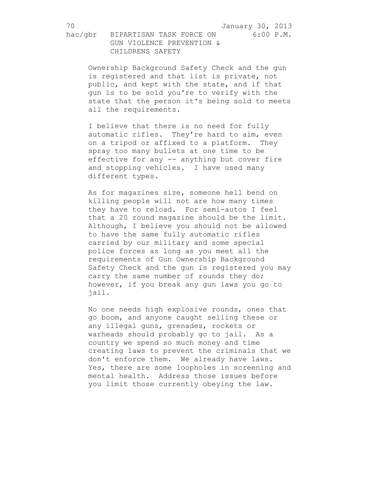hac/gbr BIPARTISAN TASK FORCE ON 6:00 P.M. GUN VIOLENCE PREVENTION & CHILDRENS SAFETY

Ownership Background Safety Check and the gun is registered and that list is private, not public, and kept with the state, and if that gun is to be sold you're to verify with the state that the person it's being sold to meets all the requirements.

I believe that there is no need for fully automatic rifles. They're hard to aim, even on a tripod or affixed to a platform. They spray too many bullets at one time to be effective for any -- anything but cover fire and stopping vehicles. I have used many different types.

As for magazines size, someone hell bend on killing people will not are how many times they have to reload. For semi-autos I feel that a 20 round magazine should be the limit. Although, I believe you should not be allowed to have the same fully automatic rifles carried by our military and some special police forces as long as you meet all the requirements of Gun Ownership Background Safety Check and the gun is registered you may carry the same number of rounds they do; however, if you break any gun laws you go to jail.

No one needs high explosive rounds, ones that go boom, and anyone caught selling these or any illegal guns, grenades, rockets or warheads should probably go to jail. As a country we spend so much money and time creating laws to prevent the criminals that we don't enforce them. We already have laws. Yes, there are some loopholes in screening and mental health. Address those issues before you limit those currently obeying the law.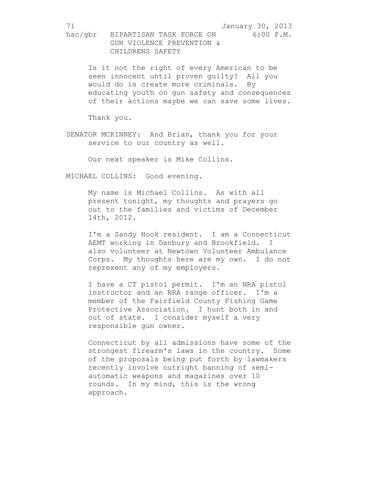Is it not the right of every American to be seen innocent until proven guilty? All you would do is create more criminals. By educating youth on gun safety and consequences of their actions maybe we can save some lives.

Thank you.

SENATOR MCKINNEY: And Brian, thank you for your service to our country as well.

Our next speaker is Mike Collins.

MICHAEL COLLINS: Good evening.

My name is Michael Collins. As with all present tonight, my thoughts and prayers go out to the families and victims of December 14th, 2012.

I'm a Sandy Hook resident. I am a Connecticut AEMT working in Danbury and Brookfield. I also volunteer at Newtown Volunteer Ambulance Corps. My thoughts here are my own. I do not represent any of my employers.

I have a CT pistol permit. I'm an NRA pistol instructor and an NRA range officer. I'm a member of the Fairfield County Fishing Game Protective Association. I hunt both in and out of state. I consider myself a very responsible gun owner.

Connecticut by all admissions have some of the strongest firearm's laws in the country. Some of the proposals being put forth by lawmakers recently involve outright banning of semiautomatic weapons and magazines over 10 rounds. In my mind, this is the wrong approach.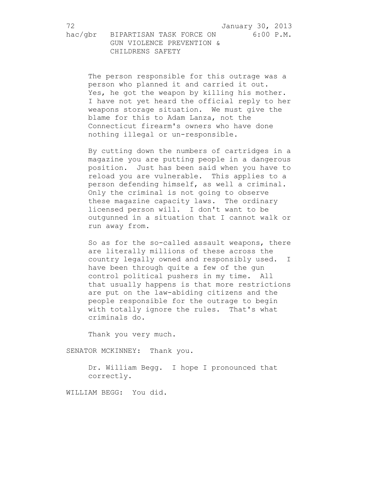The person responsible for this outrage was a person who planned it and carried it out. Yes, he got the weapon by killing his mother. I have not yet heard the official reply to her weapons storage situation. We must give the blame for this to Adam Lanza, not the Connecticut firearm's owners who have done nothing illegal or un-responsible.

By cutting down the numbers of cartridges in a magazine you are putting people in a dangerous position. Just has been said when you have to reload you are vulnerable. This applies to a person defending himself, as well a criminal. Only the criminal is not going to observe these magazine capacity laws. The ordinary licensed person will. I don't want to be outgunned in a situation that I cannot walk or run away from.

So as for the so-called assault weapons, there are literally millions of these across the country legally owned and responsibly used. I have been through quite a few of the gun control political pushers in my time. All that usually happens is that more restrictions are put on the law-abiding citizens and the people responsible for the outrage to begin with totally ignore the rules. That's what criminals do.

Thank you very much.

SENATOR MCKINNEY: Thank you.

Dr. William Begg. I hope I pronounced that correctly.

WILLIAM BEGG: You did.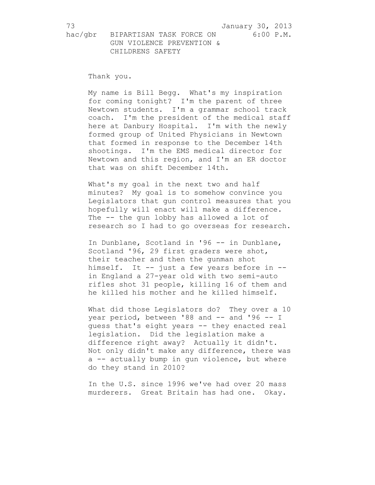Thank you.

My name is Bill Begg. What's my inspiration for coming tonight? I'm the parent of three Newtown students. I'm a grammar school track coach. I'm the president of the medical staff here at Danbury Hospital. I'm with the newly formed group of United Physicians in Newtown that formed in response to the December 14th shootings. I'm the EMS medical director for Newtown and this region, and I'm an ER doctor that was on shift December 14th.

What's my goal in the next two and half minutes? My goal is to somehow convince you Legislators that gun control measures that you hopefully will enact will make a difference. The -- the gun lobby has allowed a lot of research so I had to go overseas for research.

In Dunblane, Scotland in '96 -- in Dunblane, Scotland '96, 29 first graders were shot, their teacher and then the gunman shot himself. It -- just a few years before in -in England a 27-year old with two semi-auto rifles shot 31 people, killing 16 of them and he killed his mother and he killed himself.

What did those Legislators do? They over a 10 year period, between '88 and -- and '96 -- I guess that's eight years -- they enacted real legislation. Did the legislation make a difference right away? Actually it didn't. Not only didn't make any difference, there was a -- actually bump in gun violence, but where do they stand in 2010?

In the U.S. since 1996 we've had over 20 mass murderers. Great Britain has had one. Okay.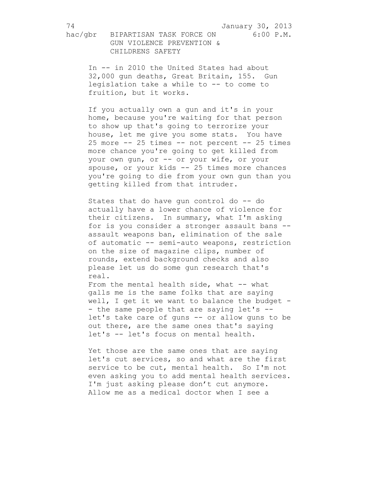hac/gbr BIPARTISAN TASK FORCE ON 6:00 P.M. GUN VIOLENCE PREVENTION & CHILDRENS SAFETY

In -- in 2010 the United States had about 32,000 gun deaths, Great Britain, 155. Gun legislation take a while to -- to come to fruition, but it works.

If you actually own a gun and it's in your home, because you're waiting for that person to show up that's going to terrorize your house, let me give you some stats. You have  $25$  more  $25$  times  $-$  not percent  $25$  times more chance you're going to get killed from your own gun, or -- or your wife, or your spouse, or your kids -- 25 times more chances you're going to die from your own gun than you getting killed from that intruder.

States that do have gun control do -- do actually have a lower chance of violence for their citizens. In summary, what I'm asking for is you consider a stronger assault bans - assault weapons ban, elimination of the sale of automatic -- semi-auto weapons, restriction on the size of magazine clips, number of rounds, extend background checks and also please let us do some gun research that's real.

From the mental health side, what -- what galls me is the same folks that are saying well, I get it we want to balance the budget -- the same people that are saying let's -let's take care of guns -- or allow guns to be out there, are the same ones that's saying let's -- let's focus on mental health.

Yet those are the same ones that are saying let's cut services, so and what are the first service to be cut, mental health. So I'm not even asking you to add mental health services. I'm just asking please don't cut anymore. Allow me as a medical doctor when I see a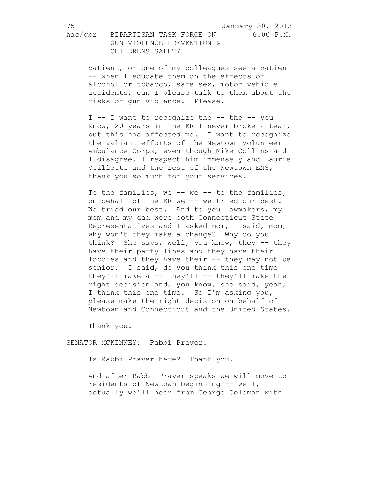patient, or one of my colleagues see a patient -- when I educate them on the effects of alcohol or tobacco, safe sex, motor vehicle accidents, can I please talk to them about the risks of gun violence. Please.

I -- I want to recognize the -- the -- you know, 20 years in the ER I never broke a tear, but this has affected me. I want to recognize the valiant efforts of the Newtown Volunteer Ambulance Corps, even though Mike Collins and I disagree, I respect him immensely and Laurie Veillette and the rest of the Newtown EMS, thank you so much for your services.

To the families, we -- we -- to the families, on behalf of the ER we -- we tried our best. We tried our best. And to you lawmakers, my mom and my dad were both Connecticut State Representatives and I asked mom, I said, mom, why won't they make a change? Why do you think? She says, well, you know, they -- they have their party lines and they have their lobbies and they have their -- they may not be senior. I said, do you think this one time they'll make a  $--$  they'll  $--$  they'll make the right decision and, you know, she said, yeah, I think this one time. So I'm asking you, please make the right decision on behalf of Newtown and Connecticut and the United States.

Thank you.

SENATOR MCKINNEY: Rabbi Praver.

Is Rabbi Praver here? Thank you.

And after Rabbi Praver speaks we will move to residents of Newtown beginning -- well, actually we'll hear from George Coleman with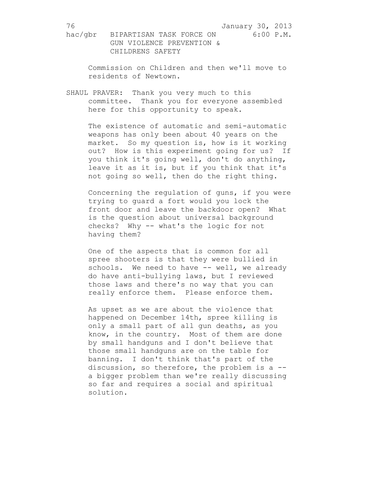Commission on Children and then we'll move to residents of Newtown.

SHAUL PRAVER: Thank you very much to this committee. Thank you for everyone assembled here for this opportunity to speak.

The existence of automatic and semi-automatic weapons has only been about 40 years on the market. So my question is, how is it working out? How is this experiment going for us? If you think it's going well, don't do anything, leave it as it is, but if you think that it's not going so well, then do the right thing.

Concerning the regulation of guns, if you were trying to guard a fort would you lock the front door and leave the backdoor open? What is the question about universal background checks? Why -- what's the logic for not having them?

One of the aspects that is common for all spree shooters is that they were bullied in schools. We need to have -- well, we already do have anti-bullying laws, but I reviewed those laws and there's no way that you can really enforce them. Please enforce them.

As upset as we are about the violence that happened on December 14th, spree killing is only a small part of all gun deaths, as you know, in the country. Most of them are done by small handguns and I don't believe that those small handguns are on the table for banning. I don't think that's part of the discussion, so therefore, the problem is a - a bigger problem than we're really discussing so far and requires a social and spiritual solution.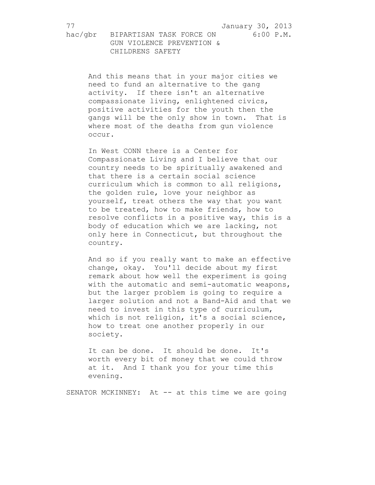hac/gbr BIPARTISAN TASK FORCE ON 6:00 P.M. GUN VIOLENCE PREVENTION & CHILDRENS SAFETY

> And this means that in your major cities we need to fund an alternative to the gang activity. If there isn't an alternative compassionate living, enlightened civics, positive activities for the youth then the gangs will be the only show in town. That is where most of the deaths from gun violence occur.

In West CONN there is a Center for Compassionate Living and I believe that our country needs to be spiritually awakened and that there is a certain social science curriculum which is common to all religions, the golden rule, love your neighbor as yourself, treat others the way that you want to be treated, how to make friends, how to resolve conflicts in a positive way, this is a body of education which we are lacking, not only here in Connecticut, but throughout the country.

And so if you really want to make an effective change, okay. You'll decide about my first remark about how well the experiment is going with the automatic and semi-automatic weapons, but the larger problem is going to require a larger solution and not a Band-Aid and that we need to invest in this type of curriculum, which is not religion, it's a social science, how to treat one another properly in our society.

It can be done. It should be done. It's worth every bit of money that we could throw at it. And I thank you for your time this evening.

SENATOR MCKINNEY: At -- at this time we are going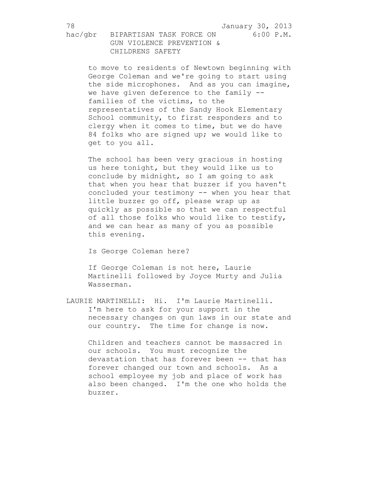to move to residents of Newtown beginning with George Coleman and we're going to start using the side microphones. And as you can imagine, we have given deference to the family - families of the victims, to the representatives of the Sandy Hook Elementary School community, to first responders and to clergy when it comes to time, but we do have 84 folks who are signed up; we would like to get to you all.

The school has been very gracious in hosting us here tonight, but they would like us to conclude by midnight, so I am going to ask that when you hear that buzzer if you haven't concluded your testimony -- when you hear that little buzzer go off, please wrap up as quickly as possible so that we can respectful of all those folks who would like to testify, and we can hear as many of you as possible this evening.

Is George Coleman here?

If George Coleman is not here, Laurie Martinelli followed by Joyce Murty and Julia Wasserman.

LAURIE MARTINELLI: Hi. I'm Laurie Martinelli. I'm here to ask for your support in the necessary changes on gun laws in our state and our country. The time for change is now.

Children and teachers cannot be massacred in our schools. You must recognize the devastation that has forever been -- that has forever changed our town and schools. As a school employee my job and place of work has also been changed. I'm the one who holds the buzzer.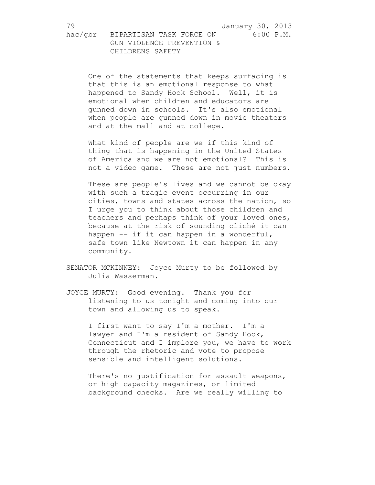One of the statements that keeps surfacing is that this is an emotional response to what happened to Sandy Hook School. Well, it is emotional when children and educators are gunned down in schools. It's also emotional when people are gunned down in movie theaters and at the mall and at college.

What kind of people are we if this kind of thing that is happening in the United States of America and we are not emotional? This is not a video game. These are not just numbers.

These are people's lives and we cannot be okay with such a tragic event occurring in our cities, towns and states across the nation, so I urge you to think about those children and teachers and perhaps think of your loved ones, because at the risk of sounding cliché it can happen -- if it can happen in a wonderful, safe town like Newtown it can happen in any community.

- SENATOR MCKINNEY: Joyce Murty to be followed by Julia Wasserman.
- JOYCE MURTY: Good evening. Thank you for listening to us tonight and coming into our town and allowing us to speak.

I first want to say I'm a mother. I'm a lawyer and I'm a resident of Sandy Hook, Connecticut and I implore you, we have to work through the rhetoric and vote to propose sensible and intelligent solutions.

There's no justification for assault weapons, or high capacity magazines, or limited background checks. Are we really willing to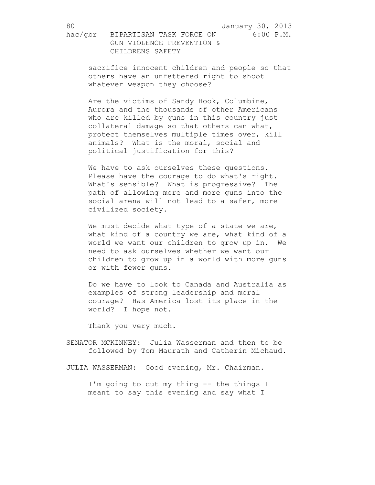sacrifice innocent children and people so that others have an unfettered right to shoot whatever weapon they choose?

Are the victims of Sandy Hook, Columbine, Aurora and the thousands of other Americans who are killed by guns in this country just collateral damage so that others can what, protect themselves multiple times over, kill animals? What is the moral, social and political justification for this?

We have to ask ourselves these questions. Please have the courage to do what's right. What's sensible? What is progressive? The path of allowing more and more guns into the social arena will not lead to a safer, more civilized society.

We must decide what type of a state we are, what kind of a country we are, what kind of a world we want our children to grow up in. We need to ask ourselves whether we want our children to grow up in a world with more guns or with fewer guns.

Do we have to look to Canada and Australia as examples of strong leadership and moral courage? Has America lost its place in the world? I hope not.

Thank you very much.

SENATOR MCKINNEY: Julia Wasserman and then to be followed by Tom Maurath and Catherin Michaud.

JULIA WASSERMAN: Good evening, Mr. Chairman.

I'm going to cut my thing -- the things I meant to say this evening and say what I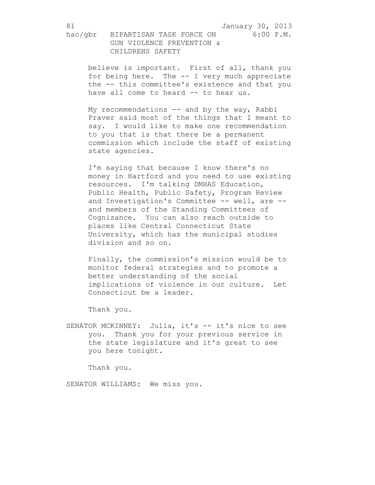believe is important. First of all, thank you for being here. The -- I very much appreciate the -- this committee's existence and that you have all come to heard -- to hear us.

My recommendations  $--$  and by the way, Rabbi Praver said most of the things that I meant to say. I would like to make one recommendation to you that is that there be a permanent commission which include the staff of existing state agencies.

I'm saying that because I know there's no money in Hartford and you need to use existing resources. I'm talking DMHAS Education, Public Health, Public Safety, Program Review and Investigation's Committee -- well, are - and members of the Standing Committees of Cognizance. You can also reach outside to places like Central Connecticut State University, which has the municipal studies division and so on.

Finally, the commission's mission would be to monitor federal strategies and to promote a better understanding of the social implications of violence in our culture. Let Connecticut be a leader.

Thank you.

SENATOR MCKINNEY: Julia, it's -- it's nice to see you. Thank you for your previous service in the state legislature and it's great to see you here tonight.

Thank you.

SENATOR WILLIAMS: We miss you.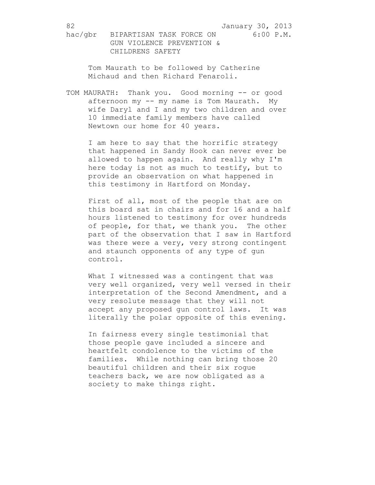hac/gbr BIPARTISAN TASK FORCE ON 6:00 P.M. GUN VIOLENCE PREVENTION & CHILDRENS SAFETY

Tom Maurath to be followed by Catherine Michaud and then Richard Fenaroli.

TOM MAURATH: Thank you. Good morning -- or good afternoon my -- my name is Tom Maurath. My wife Daryl and I and my two children and over 10 immediate family members have called Newtown our home for 40 years.

I am here to say that the horrific strategy that happened in Sandy Hook can never ever be allowed to happen again. And really why I'm here today is not as much to testify, but to provide an observation on what happened in this testimony in Hartford on Monday.

First of all, most of the people that are on this board sat in chairs and for 16 and a half hours listened to testimony for over hundreds of people, for that, we thank you. The other part of the observation that I saw in Hartford was there were a very, very strong contingent and staunch opponents of any type of gun control.

What I witnessed was a contingent that was very well organized, very well versed in their interpretation of the Second Amendment, and a very resolute message that they will not accept any proposed gun control laws. It was literally the polar opposite of this evening.

In fairness every single testimonial that those people gave included a sincere and heartfelt condolence to the victims of the families. While nothing can bring those 20 beautiful children and their six rogue teachers back, we are now obligated as a society to make things right.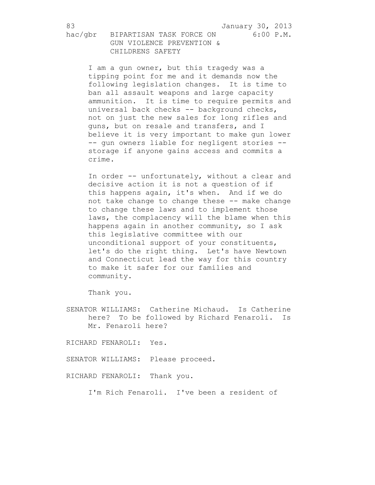I am a gun owner, but this tragedy was a tipping point for me and it demands now the following legislation changes. It is time to ban all assault weapons and large capacity ammunition. It is time to require permits and universal back checks -- background checks, not on just the new sales for long rifles and guns, but on resale and transfers, and I believe it is very important to make gun lower -- gun owners liable for negligent stories - storage if anyone gains access and commits a crime.

In order -- unfortunately, without a clear and decisive action it is not a question of if this happens again, it's when. And if we do not take change to change these -- make change to change these laws and to implement those laws, the complacency will the blame when this happens again in another community, so I ask this legislative committee with our unconditional support of your constituents, let's do the right thing. Let's have Newtown and Connecticut lead the way for this country to make it safer for our families and community.

Thank you.

SENATOR WILLIAMS: Catherine Michaud. Is Catherine here? To be followed by Richard Fenaroli. Is Mr. Fenaroli here?

RICHARD FENAROLI: Yes.

SENATOR WILLIAMS: Please proceed.

RICHARD FENAROLI: Thank you.

I'm Rich Fenaroli. I've been a resident of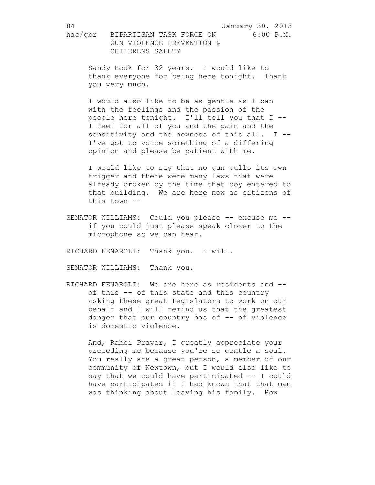Sandy Hook for 32 years. I would like to thank everyone for being here tonight. Thank you very much.

I would also like to be as gentle as I can with the feelings and the passion of the people here tonight. I'll tell you that I -- I feel for all of you and the pain and the sensitivity and the newness of this all. I --I've got to voice something of a differing opinion and please be patient with me.

I would like to say that no gun pulls its own trigger and there were many laws that were already broken by the time that boy entered to that building. We are here now as citizens of this town --

SENATOR WILLIAMS: Could you please -- excuse me -if you could just please speak closer to the microphone so we can hear.

RICHARD FENAROLI: Thank you. I will.

SENATOR WILLIAMS: Thank you.

RICHARD FENAROLI: We are here as residents and - of this -- of this state and this country asking these great Legislators to work on our behalf and I will remind us that the greatest danger that our country has of -- of violence is domestic violence.

And, Rabbi Praver, I greatly appreciate your preceding me because you're so gentle a soul. You really are a great person, a member of our community of Newtown, but I would also like to say that we could have participated -- I could have participated if I had known that that man was thinking about leaving his family. How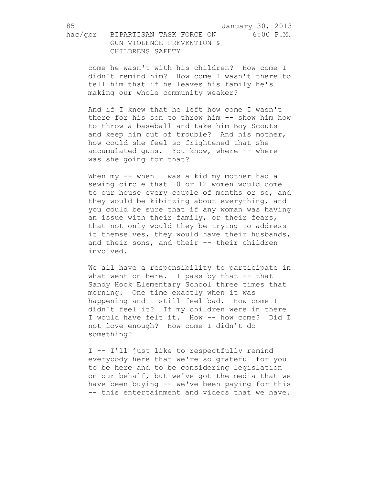come he wasn't with his children? How come I didn't remind him? How come I wasn't there to tell him that if he leaves his family he's making our whole community weaker?

And if I knew that he left how come I wasn't there for his son to throw him -- show him how to throw a baseball and take him Boy Scouts and keep him out of trouble? And his mother, how could she feel so frightened that she accumulated guns. You know, where -- where was she going for that?

When my -- when I was a kid my mother had a sewing circle that 10 or 12 women would come to our house every couple of months or so, and they would be kibitzing about everything, and you could be sure that if any woman was having an issue with their family, or their fears, that not only would they be trying to address it themselves, they would have their husbands, and their sons, and their -- their children involved.

We all have a responsibility to participate in what went on here. I pass by that -- that Sandy Hook Elementary School three times that morning. One time exactly when it was happening and I still feel bad. How come I didn't feel it? If my children were in there I would have felt it. How -- how come? Did I not love enough? How come I didn't do something?

I -- I'll just like to respectfully remind everybody here that we're so grateful for you to be here and to be considering legislation on our behalf, but we've got the media that we have been buying -- we've been paying for this -- this entertainment and videos that we have.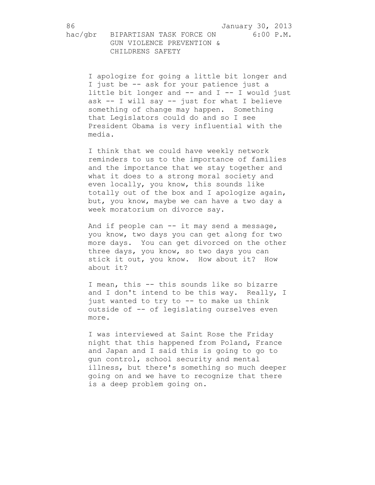I apologize for going a little bit longer and I just be -- ask for your patience just a little bit longer and -- and I -- I would just ask -- I will say -- just for what I believe something of change may happen. Something that Legislators could do and so I see President Obama is very influential with the media.

I think that we could have weekly network reminders to us to the importance of families and the importance that we stay together and what it does to a strong moral society and even locally, you know, this sounds like totally out of the box and I apologize again, but, you know, maybe we can have a two day a week moratorium on divorce say.

And if people can -- it may send a message, you know, two days you can get along for two more days. You can get divorced on the other three days, you know, so two days you can stick it out, you know. How about it? How about it?

I mean, this -- this sounds like so bizarre and I don't intend to be this way. Really, I just wanted to try to -- to make us think outside of -- of legislating ourselves even more.

I was interviewed at Saint Rose the Friday night that this happened from Poland, France and Japan and I said this is going to go to gun control, school security and mental illness, but there's something so much deeper going on and we have to recognize that there is a deep problem going on.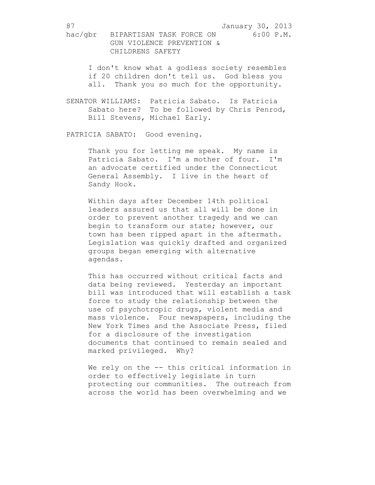I don't know what a godless society resembles if 20 children don't tell us. God bless you all. Thank you so much for the opportunity.

SENATOR WILLIAMS: Patricia Sabato. Is Patricia Sabato here? To be followed by Chris Penrod, Bill Stevens, Michael Early.

PATRICIA SABATO: Good evening.

Thank you for letting me speak. My name is Patricia Sabato. I'm a mother of four. I'm an advocate certified under the Connecticut General Assembly. I live in the heart of Sandy Hook.

Within days after December 14th political leaders assured us that all will be done in order to prevent another tragedy and we can begin to transform our state; however, our town has been ripped apart in the aftermath. Legislation was quickly drafted and organized groups began emerging with alternative agendas.

This has occurred without critical facts and data being reviewed. Yesterday an important bill was introduced that will establish a task force to study the relationship between the use of psychotropic drugs, violent media and mass violence. Four newspapers, including the New York Times and the Associate Press, filed for a disclosure of the investigation documents that continued to remain sealed and marked privileged. Why?

We rely on the -- this critical information in order to effectively legislate in turn protecting our communities. The outreach from across the world has been overwhelming and we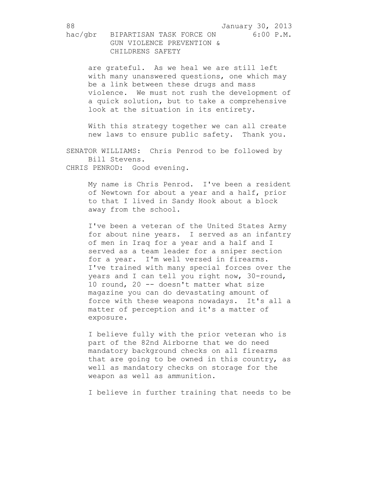are grateful. As we heal we are still left with many unanswered questions, one which may be a link between these drugs and mass violence. We must not rush the development of a quick solution, but to take a comprehensive look at the situation in its entirety.

With this strategy together we can all create new laws to ensure public safety. Thank you.

SENATOR WILLIAMS: Chris Penrod to be followed by Bill Stevens. CHRIS PENROD: Good evening.

My name is Chris Penrod. I've been a resident of Newtown for about a year and a half, prior to that I lived in Sandy Hook about a block away from the school.

I've been a veteran of the United States Army for about nine years. I served as an infantry of men in Iraq for a year and a half and I served as a team leader for a sniper section for a year. I'm well versed in firearms. I've trained with many special forces over the years and I can tell you right now, 30-round, 10 round, 20 -- doesn't matter what size magazine you can do devastating amount of force with these weapons nowadays. It's all a matter of perception and it's a matter of exposure.

I believe fully with the prior veteran who is part of the 82nd Airborne that we do need mandatory background checks on all firearms that are going to be owned in this country, as well as mandatory checks on storage for the weapon as well as ammunition.

I believe in further training that needs to be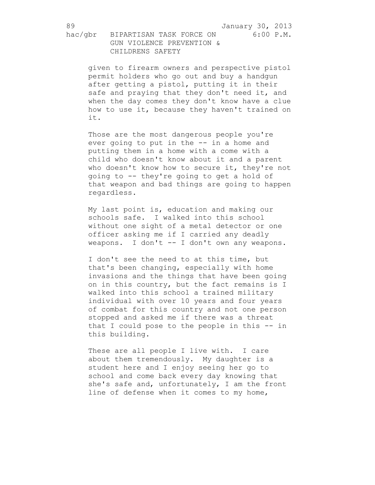given to firearm owners and perspective pistol permit holders who go out and buy a handgun after getting a pistol, putting it in their safe and praying that they don't need it, and when the day comes they don't know have a clue how to use it, because they haven't trained on it.

Those are the most dangerous people you're ever going to put in the -- in a home and putting them in a home with a come with a child who doesn't know about it and a parent who doesn't know how to secure it, they're not going to -- they're going to get a hold of that weapon and bad things are going to happen regardless.

My last point is, education and making our schools safe. I walked into this school without one sight of a metal detector or one officer asking me if I carried any deadly weapons. I don't -- I don't own any weapons.

I don't see the need to at this time, but that's been changing, especially with home invasions and the things that have been going on in this country, but the fact remains is I walked into this school a trained military individual with over 10 years and four years of combat for this country and not one person stopped and asked me if there was a threat that I could pose to the people in this -- in this building.

These are all people I live with. I care about them tremendously. My daughter is a student here and I enjoy seeing her go to school and come back every day knowing that she's safe and, unfortunately, I am the front line of defense when it comes to my home,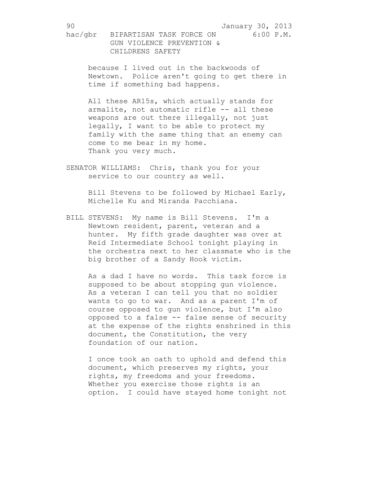because I lived out in the backwoods of Newtown. Police aren't going to get there in time if something bad happens.

All these AR15s, which actually stands for armalite, not automatic rifle -- all these weapons are out there illegally, not just legally, I want to be able to protect my family with the same thing that an enemy can come to me bear in my home. Thank you very much.

SENATOR WILLIAMS: Chris, thank you for your service to our country as well.

> Bill Stevens to be followed by Michael Early, Michelle Ku and Miranda Pacchiana.

BILL STEVENS: My name is Bill Stevens. I'm a Newtown resident, parent, veteran and a hunter. My fifth grade daughter was over at Reid Intermediate School tonight playing in the orchestra next to her classmate who is the big brother of a Sandy Hook victim.

As a dad I have no words. This task force is supposed to be about stopping gun violence. As a veteran I can tell you that no soldier wants to go to war. And as a parent I'm of course opposed to gun violence, but I'm also opposed to a false -- false sense of security at the expense of the rights enshrined in this document, the Constitution, the very foundation of our nation.

I once took an oath to uphold and defend this document, which preserves my rights, your rights, my freedoms and your freedoms. Whether you exercise those rights is an option. I could have stayed home tonight not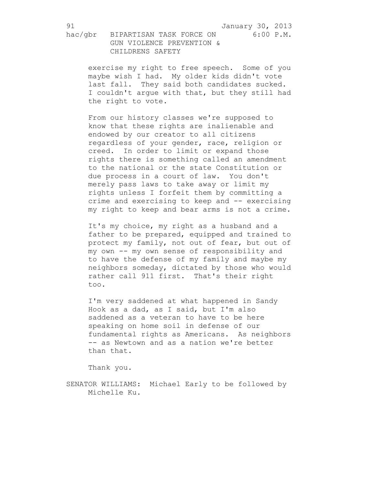exercise my right to free speech. Some of you maybe wish I had. My older kids didn't vote last fall. They said both candidates sucked. I couldn't argue with that, but they still had the right to vote.

From our history classes we're supposed to know that these rights are inalienable and endowed by our creator to all citizens regardless of your gender, race, religion or creed. In order to limit or expand those rights there is something called an amendment to the national or the state Constitution or due process in a court of law. You don't merely pass laws to take away or limit my rights unless I forfeit them by committing a crime and exercising to keep and -- exercising my right to keep and bear arms is not a crime.

It's my choice, my right as a husband and a father to be prepared, equipped and trained to protect my family, not out of fear, but out of my own -- my own sense of responsibility and to have the defense of my family and maybe my neighbors someday, dictated by those who would rather call 911 first. That's their right too.

I'm very saddened at what happened in Sandy Hook as a dad, as I said, but I'm also saddened as a veteran to have to be here speaking on home soil in defense of our fundamental rights as Americans. As neighbors -- as Newtown and as a nation we're better than that.

Thank you.

SENATOR WILLIAMS: Michael Early to be followed by Michelle Ku.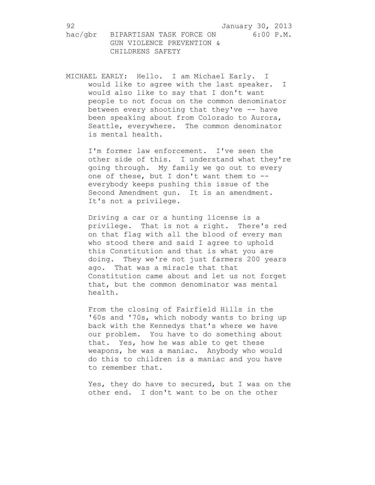hac/gbr BIPARTISAN TASK FORCE ON 6:00 P.M. GUN VIOLENCE PREVENTION & CHILDRENS SAFETY

MICHAEL EARLY: Hello. I am Michael Early. I would like to agree with the last speaker. I would also like to say that I don't want people to not focus on the common denominator between every shooting that they've -- have been speaking about from Colorado to Aurora, Seattle, everywhere. The common denominator is mental health.

> I'm former law enforcement. I've seen the other side of this. I understand what they're going through. My family we go out to every one of these, but I don't want them to - everybody keeps pushing this issue of the Second Amendment gun. It is an amendment. It's not a privilege.

Driving a car or a hunting license is a privilege. That is not a right. There's red on that flag with all the blood of every man who stood there and said I agree to uphold this Constitution and that is what you are doing. They we're not just farmers 200 years ago. That was a miracle that that Constitution came about and let us not forget that, but the common denominator was mental health.

From the closing of Fairfield Hills in the '60s and '70s, which nobody wants to bring up back with the Kennedys that's where we have our problem. You have to do something about that. Yes, how he was able to get these weapons, he was a maniac. Anybody who would do this to children is a maniac and you have to remember that.

Yes, they do have to secured, but I was on the other end. I don't want to be on the other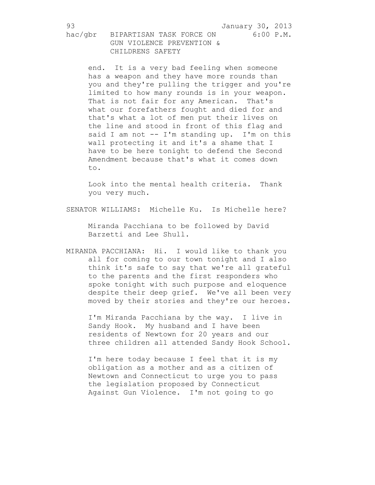end. It is a very bad feeling when someone has a weapon and they have more rounds than you and they're pulling the trigger and you're limited to how many rounds is in your weapon. That is not fair for any American. That's what our forefathers fought and died for and that's what a lot of men put their lives on the line and stood in front of this flag and said I am not -- I'm standing up. I'm on this wall protecting it and it's a shame that I have to be here tonight to defend the Second Amendment because that's what it comes down to.

Look into the mental health criteria. Thank you very much.

SENATOR WILLIAMS: Michelle Ku. Is Michelle here?

Miranda Pacchiana to be followed by David Barzetti and Lee Shull.

MIRANDA PACCHIANA: Hi. I would like to thank you all for coming to our town tonight and I also think it's safe to say that we're all grateful to the parents and the first responders who spoke tonight with such purpose and eloquence despite their deep grief. We've all been very moved by their stories and they're our heroes.

I'm Miranda Pacchiana by the way. I live in Sandy Hook. My husband and I have been residents of Newtown for 20 years and our three children all attended Sandy Hook School.

I'm here today because I feel that it is my obligation as a mother and as a citizen of Newtown and Connecticut to urge you to pass the legislation proposed by Connecticut Against Gun Violence. I'm not going to go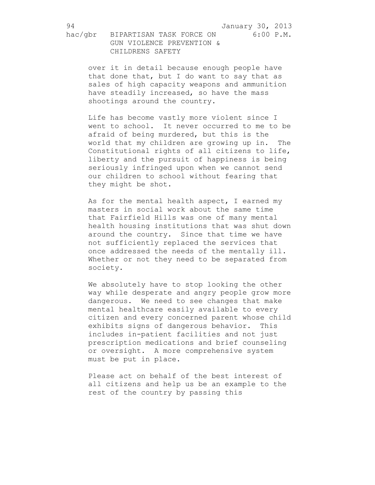over it in detail because enough people have that done that, but I do want to say that as sales of high capacity weapons and ammunition have steadily increased, so have the mass shootings around the country.

Life has become vastly more violent since I went to school. It never occurred to me to be afraid of being murdered, but this is the world that my children are growing up in. The Constitutional rights of all citizens to life, liberty and the pursuit of happiness is being seriously infringed upon when we cannot send our children to school without fearing that they might be shot.

As for the mental health aspect, I earned my masters in social work about the same time that Fairfield Hills was one of many mental health housing institutions that was shut down around the country. Since that time we have not sufficiently replaced the services that once addressed the needs of the mentally ill. Whether or not they need to be separated from society.

We absolutely have to stop looking the other way while desperate and angry people grow more dangerous. We need to see changes that make mental healthcare easily available to every citizen and every concerned parent whose child exhibits signs of dangerous behavior. This includes in-patient facilities and not just prescription medications and brief counseling or oversight. A more comprehensive system must be put in place.

Please act on behalf of the best interest of all citizens and help us be an example to the rest of the country by passing this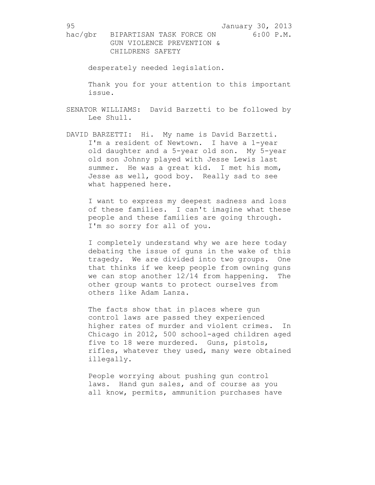hac/gbr BIPARTISAN TASK FORCE ON 6:00 P.M. GUN VIOLENCE PREVENTION & CHILDRENS SAFETY

desperately needed legislation.

Thank you for your attention to this important issue.

- SENATOR WILLIAMS: David Barzetti to be followed by Lee Shull.
- DAVID BARZETTI: Hi. My name is David Barzetti. I'm a resident of Newtown. I have a 1-year old daughter and a 5-year old son. My 5-year old son Johnny played with Jesse Lewis last summer. He was a great kid. I met his mom, Jesse as well, good boy. Really sad to see what happened here.

I want to express my deepest sadness and loss of these families. I can't imagine what these people and these families are going through. I'm so sorry for all of you.

I completely understand why we are here today debating the issue of guns in the wake of this tragedy. We are divided into two groups. One that thinks if we keep people from owning guns we can stop another 12/14 from happening. The other group wants to protect ourselves from others like Adam Lanza.

The facts show that in places where gun control laws are passed they experienced higher rates of murder and violent crimes. In Chicago in 2012, 500 school-aged children aged five to 18 were murdered. Guns, pistols, rifles, whatever they used, many were obtained illegally.

People worrying about pushing gun control laws. Hand gun sales, and of course as you all know, permits, ammunition purchases have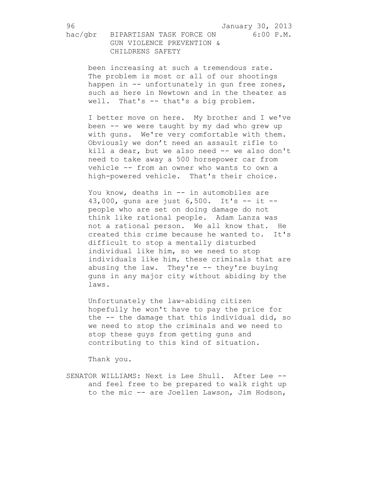been increasing at such a tremendous rate. The problem is most or all of our shootings happen in -- unfortunately in gun free zones, such as here in Newtown and in the theater as well. That's -- that's a big problem.

I better move on here. My brother and I we've been -- we were taught by my dad who grew up with guns. We're very comfortable with them. Obviously we don't need an assault rifle to kill a dear, but we also need -- we also don't need to take away a 500 horsepower car from vehicle -- from an owner who wants to own a high-powered vehicle. That's their choice.

You know, deaths in -- in automobiles are 43,000, guns are just 6,500. It's -- it - people who are set on doing damage do not think like rational people. Adam Lanza was not a rational person. We all know that. He created this crime because he wanted to. It's difficult to stop a mentally disturbed individual like him, so we need to stop individuals like him, these criminals that are abusing the law. They're -- they're buying guns in any major city without abiding by the laws.

Unfortunately the law-abiding citizen hopefully he won't have to pay the price for the -- the damage that this individual did, so we need to stop the criminals and we need to stop these guys from getting guns and contributing to this kind of situation.

Thank you.

SENATOR WILLIAMS: Next is Lee Shull. After Lee - and feel free to be prepared to walk right up to the mic -- are Joellen Lawson, Jim Hodson,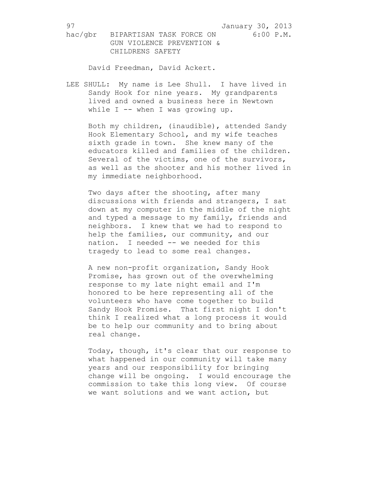hac/gbr BIPARTISAN TASK FORCE ON 6:00 P.M. GUN VIOLENCE PREVENTION & CHILDRENS SAFETY

David Freedman, David Ackert.

LEE SHULL: My name is Lee Shull. I have lived in Sandy Hook for nine years. My grandparents lived and owned a business here in Newtown while I -- when I was growing up.

Both my children, (inaudible), attended Sandy Hook Elementary School, and my wife teaches sixth grade in town. She knew many of the educators killed and families of the children. Several of the victims, one of the survivors, as well as the shooter and his mother lived in my immediate neighborhood.

Two days after the shooting, after many discussions with friends and strangers, I sat down at my computer in the middle of the night and typed a message to my family, friends and neighbors. I knew that we had to respond to help the families, our community, and our nation. I needed -- we needed for this tragedy to lead to some real changes.

A new non-profit organization, Sandy Hook Promise, has grown out of the overwhelming response to my late night email and I'm honored to be here representing all of the volunteers who have come together to build Sandy Hook Promise. That first night I don't think I realized what a long process it would be to help our community and to bring about real change.

Today, though, it's clear that our response to what happened in our community will take many years and our responsibility for bringing change will be ongoing. I would encourage the commission to take this long view. Of course we want solutions and we want action, but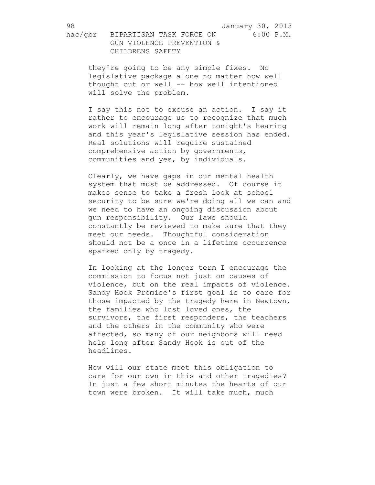they're going to be any simple fixes. No legislative package alone no matter how well thought out or well -- how well intentioned will solve the problem.

I say this not to excuse an action. I say it rather to encourage us to recognize that much work will remain long after tonight's hearing and this year's legislative session has ended. Real solutions will require sustained comprehensive action by governments, communities and yes, by individuals.

Clearly, we have gaps in our mental health system that must be addressed. Of course it makes sense to take a fresh look at school security to be sure we're doing all we can and we need to have an ongoing discussion about gun responsibility. Our laws should constantly be reviewed to make sure that they meet our needs. Thoughtful consideration should not be a once in a lifetime occurrence sparked only by tragedy.

In looking at the longer term I encourage the commission to focus not just on causes of violence, but on the real impacts of violence. Sandy Hook Promise's first goal is to care for those impacted by the tragedy here in Newtown, the families who lost loved ones, the survivors, the first responders, the teachers and the others in the community who were affected, so many of our neighbors will need help long after Sandy Hook is out of the headlines.

How will our state meet this obligation to care for our own in this and other tragedies? In just a few short minutes the hearts of our town were broken. It will take much, much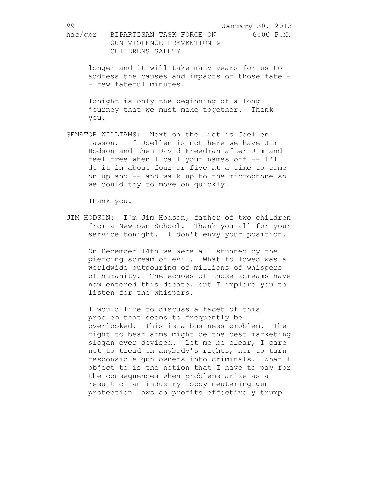longer and it will take many years for us to address the causes and impacts of those fate - - few fateful minutes.

Tonight is only the beginning of a long journey that we must make together. Thank you.

SENATOR WILLIAMS: Next on the list is Joellen Lawson. If Joellen is not here we have Jim Hodson and then David Freedman after Jim and feel free when I call your names off -- I'll do it in about four or five at a time to come on up and -- and walk up to the microphone so we could try to move on quickly.

Thank you.

JIM HODSON: I'm Jim Hodson, father of two children from a Newtown School. Thank you all for your service tonight. I don't envy your position.

On December 14th we were all stunned by the piercing scream of evil. What followed was a worldwide outpouring of millions of whispers of humanity. The echoes of those screams have now entered this debate, but I implore you to listen for the whispers.

I would like to discuss a facet of this problem that seems to frequently be overlooked. This is a business problem. The right to bear arms might be the best marketing slogan ever devised. Let me be clear, I care not to tread on anybody's rights, nor to turn responsible gun owners into criminals. What I object to is the notion that I have to pay for the consequences when problems arise as a result of an industry lobby neutering gun protection laws so profits effectively trump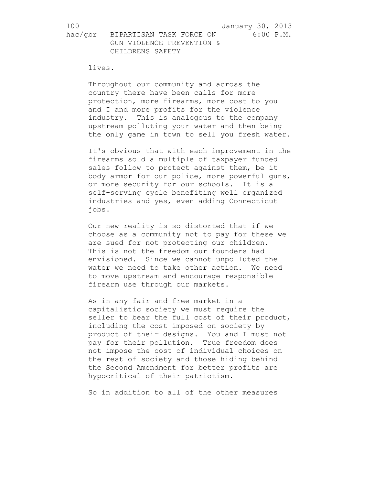## lives.

Throughout our community and across the country there have been calls for more protection, more firearms, more cost to you and I and more profits for the violence industry. This is analogous to the company upstream polluting your water and then being the only game in town to sell you fresh water.

It's obvious that with each improvement in the firearms sold a multiple of taxpayer funded sales follow to protect against them, be it body armor for our police, more powerful guns, or more security for our schools. It is a self-serving cycle benefiting well organized industries and yes, even adding Connecticut jobs.

Our new reality is so distorted that if we choose as a community not to pay for these we are sued for not protecting our children. This is not the freedom our founders had envisioned. Since we cannot unpolluted the water we need to take other action. We need to move upstream and encourage responsible firearm use through our markets.

As in any fair and free market in a capitalistic society we must require the seller to bear the full cost of their product, including the cost imposed on society by product of their designs. You and I must not pay for their pollution. True freedom does not impose the cost of individual choices on the rest of society and those hiding behind the Second Amendment for better profits are hypocritical of their patriotism.

So in addition to all of the other measures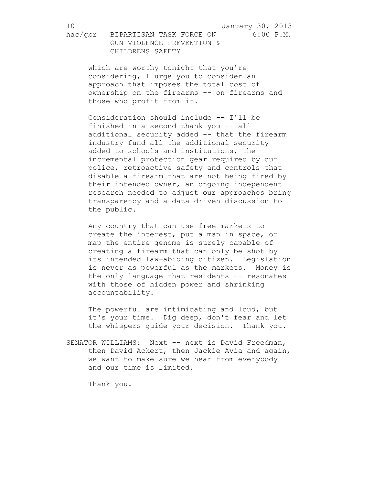hac/gbr BIPARTISAN TASK FORCE ON 6:00 P.M. GUN VIOLENCE PREVENTION & CHILDRENS SAFETY

> which are worthy tonight that you're considering, I urge you to consider an approach that imposes the total cost of ownership on the firearms -- on firearms and those who profit from it.

Consideration should include -- I'll be finished in a second thank you -- all additional security added -- that the firearm industry fund all the additional security added to schools and institutions, the incremental protection gear required by our police, retroactive safety and controls that disable a firearm that are not being fired by their intended owner, an ongoing independent research needed to adjust our approaches bring transparency and a data driven discussion to the public.

Any country that can use free markets to create the interest, put a man in space, or map the entire genome is surely capable of creating a firearm that can only be shot by its intended law-abiding citizen. Legislation is never as powerful as the markets. Money is the only language that residents -- resonates with those of hidden power and shrinking accountability.

The powerful are intimidating and loud, but it's your time. Dig deep, don't fear and let the whispers guide your decision. Thank you.

SENATOR WILLIAMS: Next -- next is David Freedman, then David Ackert, then Jackie Avia and again, we want to make sure we hear from everybody and our time is limited.

Thank you.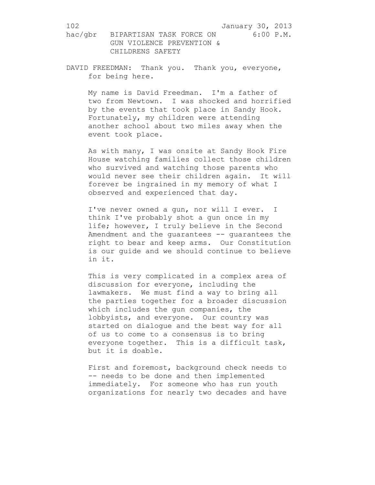DAVID FREEDMAN: Thank you. Thank you, everyone, for being here.

My name is David Freedman. I'm a father of two from Newtown. I was shocked and horrified by the events that took place in Sandy Hook. Fortunately, my children were attending another school about two miles away when the event took place.

As with many, I was onsite at Sandy Hook Fire House watching families collect those children who survived and watching those parents who would never see their children again. It will forever be ingrained in my memory of what I observed and experienced that day.

I've never owned a gun, nor will I ever. I think I've probably shot a gun once in my life; however, I truly believe in the Second Amendment and the guarantees -- guarantees the right to bear and keep arms. Our Constitution is our guide and we should continue to believe in it.

This is very complicated in a complex area of discussion for everyone, including the lawmakers. We must find a way to bring all the parties together for a broader discussion which includes the gun companies, the lobbyists, and everyone. Our country was started on dialogue and the best way for all of us to come to a consensus is to bring everyone together. This is a difficult task, but it is doable.

First and foremost, background check needs to -- needs to be done and then implemented immediately. For someone who has run youth organizations for nearly two decades and have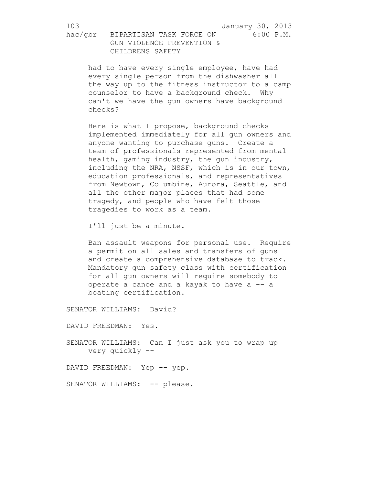had to have every single employee, have had every single person from the dishwasher all the way up to the fitness instructor to a camp counselor to have a background check. Why can't we have the gun owners have background checks?

Here is what I propose, background checks implemented immediately for all gun owners and anyone wanting to purchase guns. Create a team of professionals represented from mental health, gaming industry, the gun industry, including the NRA, NSSF, which is in our town, education professionals, and representatives from Newtown, Columbine, Aurora, Seattle, and all the other major places that had some tragedy, and people who have felt those tragedies to work as a team.

I'll just be a minute.

Ban assault weapons for personal use. Require a permit on all sales and transfers of guns and create a comprehensive database to track. Mandatory gun safety class with certification for all gun owners will require somebody to operate a canoe and a kayak to have a -- a boating certification.

SENATOR WILLIAMS: David?

DAVID FREEDMAN: Yes.

SENATOR WILLIAMS: Can I just ask you to wrap up very quickly --

DAVID FREEDMAN: Yep -- yep.

SENATOR WILLIAMS: -- please.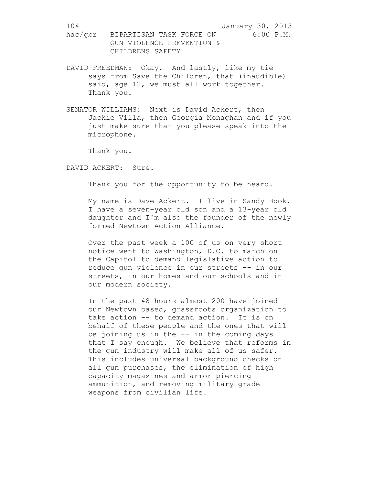- DAVID FREEDMAN: Okay. And lastly, like my tie says from Save the Children, that (inaudible) said, age 12, we must all work together. Thank you.
- SENATOR WILLIAMS: Next is David Ackert, then Jackie Villa, then Georgia Monaghan and if you just make sure that you please speak into the microphone.

Thank you.

DAVID ACKERT: Sure.

Thank you for the opportunity to be heard.

My name is Dave Ackert. I live in Sandy Hook. I have a seven-year old son and a 13-year old daughter and I'm also the founder of the newly formed Newtown Action Alliance.

Over the past week a 100 of us on very short notice went to Washington, D.C. to march on the Capitol to demand legislative action to reduce gun violence in our streets -- in our streets, in our homes and our schools and in our modern society.

In the past 48 hours almost 200 have joined our Newtown based, grassroots organization to take action -- to demand action. It is on behalf of these people and the ones that will be joining us in the -- in the coming days that I say enough. We believe that reforms in the gun industry will make all of us safer. This includes universal background checks on all gun purchases, the elimination of high capacity magazines and armor piercing ammunition, and removing military grade weapons from civilian life.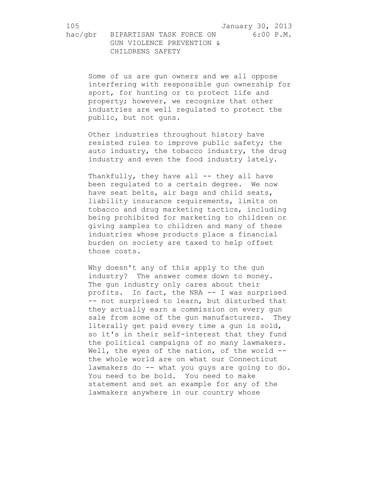Some of us are gun owners and we all oppose interfering with responsible gun ownership for sport, for hunting or to protect life and property; however, we recognize that other industries are well regulated to protect the public, but not guns.

Other industries throughout history have resisted rules to improve public safety; the auto industry, the tobacco industry, the drug industry and even the food industry lately.

Thankfully, they have all -- they all have been regulated to a certain degree. We now have seat belts, air bags and child seats, liability insurance requirements, limits on tobacco and drug marketing tactics, including being prohibited for marketing to children or giving samples to children and many of these industries whose products place a financial burden on society are taxed to help offset those costs.

Why doesn't any of this apply to the gun industry? The answer comes down to money. The gun industry only cares about their profits. In fact, the NRA -- I was surprised -- not surprised to learn, but disturbed that they actually earn a commission on every gun sale from some of the gun manufacturers. They literally get paid every time a gun is sold, so it's in their self-interest that they fund the political campaigns of so many lawmakers. Well, the eyes of the nation, of the world -the whole world are on what our Connecticut lawmakers do -- what you guys are going to do. You need to be bold. You need to make statement and set an example for any of the lawmakers anywhere in our country whose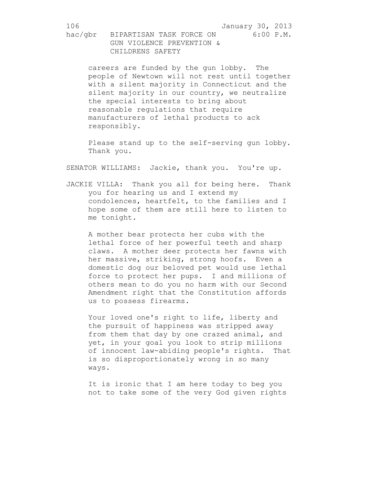careers are funded by the gun lobby. The people of Newtown will not rest until together with a silent majority in Connecticut and the silent majority in our country, we neutralize the special interests to bring about reasonable regulations that require manufacturers of lethal products to ack responsibly.

Please stand up to the self-serving gun lobby. Thank you.

SENATOR WILLIAMS: Jackie, thank you. You're up.

JACKIE VILLA: Thank you all for being here. Thank you for hearing us and I extend my condolences, heartfelt, to the families and I hope some of them are still here to listen to me tonight.

A mother bear protects her cubs with the lethal force of her powerful teeth and sharp claws. A mother deer protects her fawns with her massive, striking, strong hoofs. Even a domestic dog our beloved pet would use lethal force to protect her pups. I and millions of others mean to do you no harm with our Second Amendment right that the Constitution affords us to possess firearms.

Your loved one's right to life, liberty and the pursuit of happiness was stripped away from them that day by one crazed animal, and yet, in your goal you look to strip millions of innocent law-abiding people's rights. That is so disproportionately wrong in so many ways.

It is ironic that I am here today to beg you not to take some of the very God given rights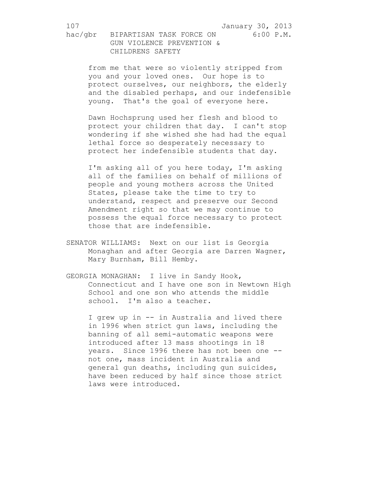from me that were so violently stripped from you and your loved ones. Our hope is to protect ourselves, our neighbors, the elderly and the disabled perhaps, and our indefensible young. That's the goal of everyone here.

Dawn Hochsprung used her flesh and blood to protect your children that day. I can't stop wondering if she wished she had had the equal lethal force so desperately necessary to protect her indefensible students that day.

I'm asking all of you here today, I'm asking all of the families on behalf of millions of people and young mothers across the United States, please take the time to try to understand, respect and preserve our Second Amendment right so that we may continue to possess the equal force necessary to protect those that are indefensible.

- SENATOR WILLIAMS: Next on our list is Georgia Monaghan and after Georgia are Darren Wagner, Mary Burnham, Bill Hemby.
- GEORGIA MONAGHAN: I live in Sandy Hook, Connecticut and I have one son in Newtown High School and one son who attends the middle school. I'm also a teacher.

I grew up in -- in Australia and lived there in 1996 when strict gun laws, including the banning of all semi-automatic weapons were introduced after 13 mass shootings in 18 years. Since 1996 there has not been one -not one, mass incident in Australia and general gun deaths, including gun suicides, have been reduced by half since those strict laws were introduced.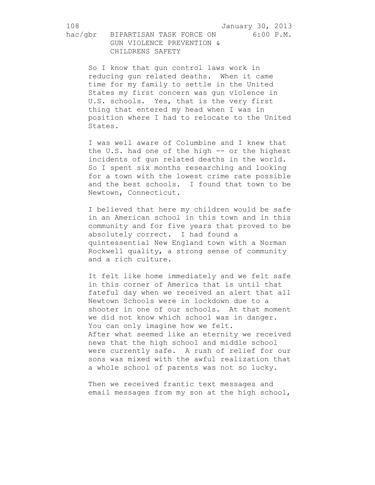hac/gbr BIPARTISAN TASK FORCE ON 6:00 P.M. GUN VIOLENCE PREVENTION & CHILDRENS SAFETY

So I know that gun control laws work in reducing gun related deaths. When it came time for my family to settle in the United States my first concern was gun violence in U.S. schools. Yes, that is the very first thing that entered my head when I was in position where I had to relocate to the United States.

I was well aware of Columbine and I knew that the U.S. had one of the high -- or the highest incidents of gun related deaths in the world. So I spent six months researching and looking for a town with the lowest crime rate possible and the best schools. I found that town to be Newtown, Connecticut.

I believed that here my children would be safe in an American school in this town and in this community and for five years that proved to be absolutely correct. I had found a quintessential New England town with a Norman Rockwell quality, a strong sense of community and a rich culture.

It felt like home immediately and we felt safe in this corner of America that is until that fateful day when we received an alert that all Newtown Schools were in lockdown due to a shooter in one of our schools. At that moment we did not know which school was in danger. You can only imagine how we felt. After what seemed like an eternity we received news that the high school and middle school were currently safe. A rush of relief for our sons was mixed with the awful realization that a whole school of parents was not so lucky.

Then we received frantic text messages and email messages from my son at the high school,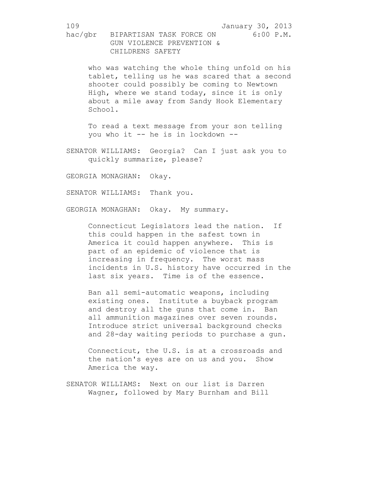who was watching the whole thing unfold on his tablet, telling us he was scared that a second shooter could possibly be coming to Newtown High, where we stand today, since it is only about a mile away from Sandy Hook Elementary School.

To read a text message from your son telling you who it -- he is in lockdown --

SENATOR WILLIAMS: Georgia? Can I just ask you to quickly summarize, please?

GEORGIA MONAGHAN: Okay.

SENATOR WILLIAMS: Thank you.

GEORGIA MONAGHAN: Okay. My summary.

Connecticut Legislators lead the nation. If this could happen in the safest town in America it could happen anywhere. This is part of an epidemic of violence that is increasing in frequency. The worst mass incidents in U.S. history have occurred in the last six years. Time is of the essence.

Ban all semi-automatic weapons, including existing ones. Institute a buyback program and destroy all the guns that come in. Ban all ammunition magazines over seven rounds. Introduce strict universal background checks and 28-day waiting periods to purchase a gun.

Connecticut, the U.S. is at a crossroads and the nation's eyes are on us and you. Show America the way.

SENATOR WILLIAMS: Next on our list is Darren Wagner, followed by Mary Burnham and Bill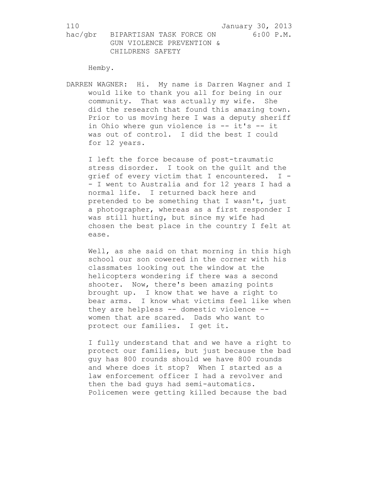Hemby.

DARREN WAGNER: Hi. My name is Darren Wagner and I would like to thank you all for being in our community. That was actually my wife. She did the research that found this amazing town. Prior to us moving here I was a deputy sheriff in Ohio where gun violence is -- it's -- it was out of control. I did the best I could for 12 years.

I left the force because of post-traumatic stress disorder. I took on the guilt and the grief of every victim that I encountered. I - - I went to Australia and for 12 years I had a normal life. I returned back here and pretended to be something that I wasn't, just a photographer, whereas as a first responder I was still hurting, but since my wife had chosen the best place in the country I felt at ease.

Well, as she said on that morning in this high school our son cowered in the corner with his classmates looking out the window at the helicopters wondering if there was a second shooter. Now, there's been amazing points brought up. I know that we have a right to bear arms. I know what victims feel like when they are helpless -- domestic violence - women that are scared. Dads who want to protect our families. I get it.

I fully understand that and we have a right to protect our families, but just because the bad guy has 800 rounds should we have 800 rounds and where does it stop? When I started as a law enforcement officer I had a revolver and then the bad guys had semi-automatics. Policemen were getting killed because the bad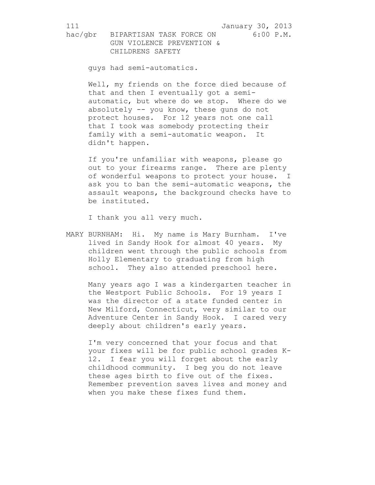111 January 30, 2013

hac/gbr BIPARTISAN TASK FORCE ON 6:00 P.M. GUN VIOLENCE PREVENTION & CHILDRENS SAFETY

guys had semi-automatics.

Well, my friends on the force died because of that and then I eventually got a semiautomatic, but where do we stop. Where do we absolutely -- you know, these guns do not protect houses. For 12 years not one call that I took was somebody protecting their family with a semi-automatic weapon. It didn't happen.

If you're unfamiliar with weapons, please go out to your firearms range. There are plenty of wonderful weapons to protect your house. I ask you to ban the semi-automatic weapons, the assault weapons, the background checks have to be instituted.

I thank you all very much.

MARY BURNHAM: Hi. My name is Mary Burnham. I've lived in Sandy Hook for almost 40 years. My children went through the public schools from Holly Elementary to graduating from high school. They also attended preschool here.

Many years ago I was a kindergarten teacher in the Westport Public Schools. For 19 years I was the director of a state funded center in New Milford, Connecticut, very similar to our Adventure Center in Sandy Hook. I cared very deeply about children's early years.

I'm very concerned that your focus and that your fixes will be for public school grades K-12. I fear you will forget about the early childhood community. I beg you do not leave these ages birth to five out of the fixes. Remember prevention saves lives and money and when you make these fixes fund them.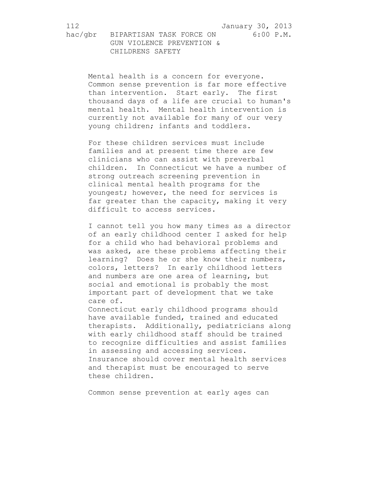Mental health is a concern for everyone. Common sense prevention is far more effective than intervention. Start early. The first thousand days of a life are crucial to human's mental health. Mental health intervention is currently not available for many of our very young children; infants and toddlers.

For these children services must include families and at present time there are few clinicians who can assist with preverbal children. In Connecticut we have a number of strong outreach screening prevention in clinical mental health programs for the youngest; however, the need for services is far greater than the capacity, making it very difficult to access services.

I cannot tell you how many times as a director of an early childhood center I asked for help for a child who had behavioral problems and was asked, are these problems affecting their learning? Does he or she know their numbers, colors, letters? In early childhood letters and numbers are one area of learning, but social and emotional is probably the most important part of development that we take care of.

Connecticut early childhood programs should have available funded, trained and educated therapists. Additionally, pediatricians along with early childhood staff should be trained to recognize difficulties and assist families in assessing and accessing services. Insurance should cover mental health services and therapist must be encouraged to serve these children.

Common sense prevention at early ages can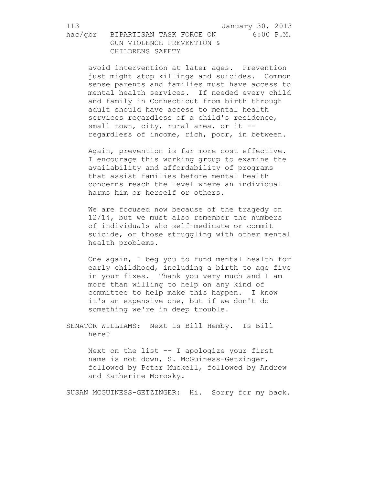avoid intervention at later ages. Prevention just might stop killings and suicides. Common sense parents and families must have access to mental health services. If needed every child and family in Connecticut from birth through adult should have access to mental health services regardless of a child's residence, small town, city, rural area, or it -regardless of income, rich, poor, in between.

Again, prevention is far more cost effective. I encourage this working group to examine the availability and affordability of programs that assist families before mental health concerns reach the level where an individual harms him or herself or others.

We are focused now because of the tragedy on 12/14, but we must also remember the numbers of individuals who self-medicate or commit suicide, or those struggling with other mental health problems.

One again, I beg you to fund mental health for early childhood, including a birth to age five in your fixes. Thank you very much and I am more than willing to help on any kind of committee to help make this happen. I know it's an expensive one, but if we don't do something we're in deep trouble.

SENATOR WILLIAMS: Next is Bill Hemby. Is Bill here?

> Next on the list -- I apologize your first name is not down, S. McGuiness-Getzinger, followed by Peter Muckell, followed by Andrew and Katherine Morosky.

SUSAN MCGUINESS-GETZINGER: Hi. Sorry for my back.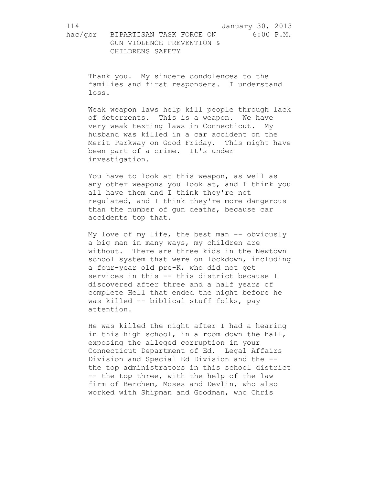Thank you. My sincere condolences to the families and first responders. I understand loss.

Weak weapon laws help kill people through lack of deterrents. This is a weapon. We have very weak texting laws in Connecticut. My husband was killed in a car accident on the Merit Parkway on Good Friday. This might have been part of a crime. It's under investigation.

You have to look at this weapon, as well as any other weapons you look at, and I think you all have them and I think they're not regulated, and I think they're more dangerous than the number of gun deaths, because car accidents top that.

My love of my life, the best man -- obviously a big man in many ways, my children are without. There are three kids in the Newtown school system that were on lockdown, including a four-year old pre-K, who did not get services in this -- this district because I discovered after three and a half years of complete Hell that ended the night before he was killed -- biblical stuff folks, pay attention.

He was killed the night after I had a hearing in this high school, in a room down the hall, exposing the alleged corruption in your Connecticut Department of Ed. Legal Affairs Division and Special Ed Division and the - the top administrators in this school district -- the top three, with the help of the law firm of Berchem, Moses and Devlin, who also worked with Shipman and Goodman, who Chris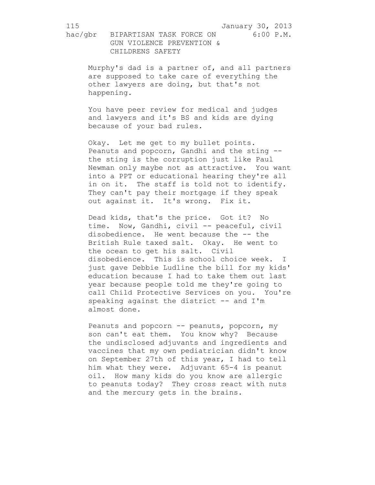Murphy's dad is a partner of, and all partners are supposed to take care of everything the other lawyers are doing, but that's not happening.

You have peer review for medical and judges and lawyers and it's BS and kids are dying because of your bad rules.

Okay. Let me get to my bullet points. Peanuts and popcorn, Gandhi and the sting - the sting is the corruption just like Paul Newman only maybe not as attractive. You want into a PPT or educational hearing they're all in on it. The staff is told not to identify. They can't pay their mortgage if they speak out against it. It's wrong. Fix it.

Dead kids, that's the price. Got it? No time. Now, Gandhi, civil -- peaceful, civil disobedience. He went because the -- the British Rule taxed salt. Okay. He went to the ocean to get his salt. Civil disobedience. This is school choice week. I just gave Debbie Ludline the bill for my kids' education because I had to take them out last year because people told me they're going to call Child Protective Services on you. You're speaking against the district -- and I'm almost done.

Peanuts and popcorn -- peanuts, popcorn, my son can't eat them. You know why? Because the undisclosed adjuvants and ingredients and vaccines that my own pediatrician didn't know on September 27th of this year, I had to tell him what they were. Adjuvant 65-4 is peanut oil. How many kids do you know are allergic to peanuts today? They cross react with nuts and the mercury gets in the brains.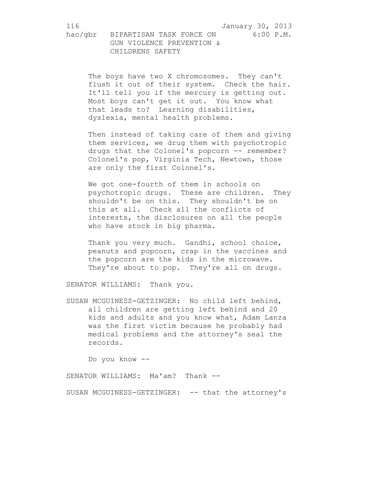The boys have two X chromosomes. They can't flush it out of their system. Check the hair. It'll tell you if the mercury is getting out. Most boys can't get it out. You know what that leads to? Learning disabilities, dyslexia, mental health problems.

Then instead of taking care of them and giving them services, we drug them with psychotropic drugs that the Colonel's popcorn -- remember? Colonel's pop, Virginia Tech, Newtown, those are only the first Colonel's.

We got one-fourth of them in schools on psychotropic drugs. These are children. They shouldn't be on this. They shouldn't be on this at all. Check all the conflicts of interests, the disclosures on all the people who have stock in big pharma.

Thank you very much. Gandhi, school choice, peanuts and popcorn, crap in the vaccines and the popcorn are the kids in the microwave. They're about to pop. They're all on drugs.

SENATOR WILLIAMS: Thank you.

SUSAN MCGUINESS-GETZINGER: No child left behind, all children are getting left behind and 20 kids and adults and you know what, Adam Lanza was the first victim because he probably had medical problems and the attorney's seal the records.

Do you know --

SENATOR WILLIAMS: Ma'am? Thank --

SUSAN MCGUINESS-GETZINGER: -- that the attorney's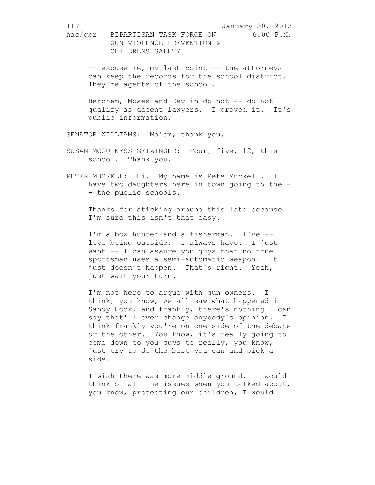-- excuse me, my last point -- the attorneys can keep the records for the school district. They're agents of the school.

Berchem, Moses and Devlin do not -- do not qualify as decent lawyers. I proved it. It's public information.

SENATOR WILLIAMS: Ma'am, thank you.

SUSAN MCGUINESS-GETZINGER: Four, five, 12, this school. Thank you.

PETER MUCKELL: Hi. My name is Pete Muckell. I have two daughters here in town going to the - - the public schools.

Thanks for sticking around this late because I'm sure this isn't that easy.

I'm a bow hunter and a fisherman. I've -- I love being outside. I always have. I just want -- I can assure you guys that no true sportsman uses a semi-automatic weapon. It just doesn't happen. That's right. Yeah, just wait your turn.

I'm not here to argue with gun owners. I think, you know, we all saw what happened in Sandy Hook, and frankly, there's nothing I can say that'll ever change anybody's opinion. I think frankly you're on one side of the debate or the other. You know, it's really going to come down to you guys to really, you know, just try to do the best you can and pick a side.

I wish there was more middle ground. I would think of all the issues when you talked about, you know, protecting our children, I would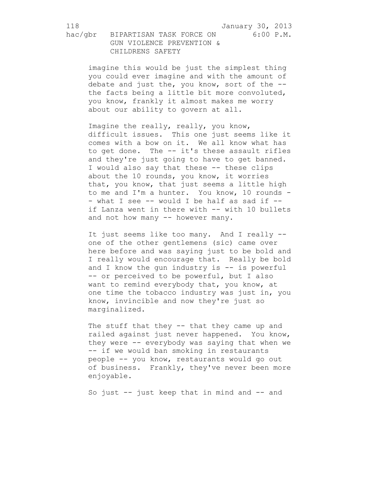imagine this would be just the simplest thing you could ever imagine and with the amount of debate and just the, you know, sort of the - the facts being a little bit more convoluted, you know, frankly it almost makes me worry about our ability to govern at all.

Imagine the really, really, you know, difficult issues. This one just seems like it comes with a bow on it. We all know what has to get done. The -- it's these assault rifles and they're just going to have to get banned. I would also say that these -- these clips about the 10 rounds, you know, it worries that, you know, that just seems a little high to me and I'm a hunter. You know, 10 rounds - - what I see -- would I be half as sad if -if Lanza went in there with -- with 10 bullets and not how many -- however many.

It just seems like too many. And I really - one of the other gentlemens (sic) came over here before and was saying just to be bold and I really would encourage that. Really be bold and I know the qun industry is  $-$  is powerful -- or perceived to be powerful, but I also want to remind everybody that, you know, at one time the tobacco industry was just in, you know, invincible and now they're just so marginalized.

The stuff that they -- that they came up and railed against just never happened. You know, they were -- everybody was saying that when we -- if we would ban smoking in restaurants people -- you know, restaurants would go out of business. Frankly, they've never been more enjoyable.

So just  $-$  just keep that in mind and  $-$  and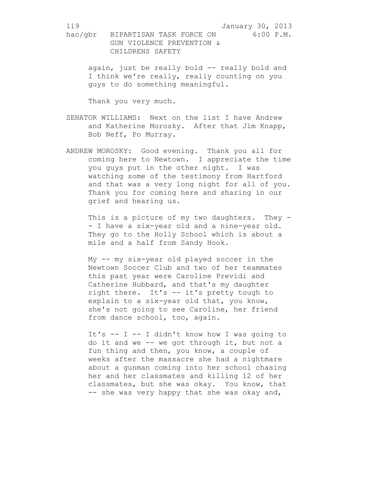again, just be really bold -- really bold and I think we're really, really counting on you guys to do something meaningful.

Thank you very much.

- SENATOR WILLIAMS: Next on the list I have Andrew and Katherine Morosky. After that Jim Knapp, Bob Neff, Po Murray.
- ANDREW MOROSKY: Good evening. Thank you all for coming here to Newtown. I appreciate the time you guys put in the other night. I was watching some of the testimony from Hartford and that was a very long night for all of you. Thank you for coming here and sharing in our grief and hearing us.

This is a picture of my two daughters. They -- I have a six-year old and a nine-year old. They go to the Holly School which is about a mile and a half from Sandy Hook.

My -- my six-year old played soccer in the Newtown Soccer Club and two of her teammates this past year were Caroline Previdi and Catherine Hubbard, and that's my daughter right there. It's -- it's pretty tough to explain to a six-year old that, you know, she's not going to see Caroline, her friend from dance school, too, again.

It's  $-$  I  $-$  I didn't know how I was going to do it and we -- we got through it, but not a fun thing and then, you know, a couple of weeks after the massacre she had a nightmare about a gunman coming into her school chasing her and her classmates and killing 12 of her classmates, but she was okay. You know, that -- she was very happy that she was okay and,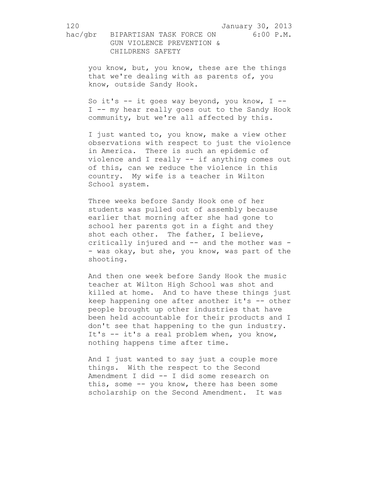you know, but, you know, these are the things that we're dealing with as parents of, you know, outside Sandy Hook.

So it's  $--$  it goes way beyond, you know, I  $--$ I -- my hear really goes out to the Sandy Hook community, but we're all affected by this.

I just wanted to, you know, make a view other observations with respect to just the violence in America. There is such an epidemic of violence and I really -- if anything comes out of this, can we reduce the violence in this country. My wife is a teacher in Wilton School system.

Three weeks before Sandy Hook one of her students was pulled out of assembly because earlier that morning after she had gone to school her parents got in a fight and they shot each other. The father, I believe, critically injured and -- and the mother was - - was okay, but she, you know, was part of the shooting.

And then one week before Sandy Hook the music teacher at Wilton High School was shot and killed at home. And to have these things just keep happening one after another it's -- other people brought up other industries that have been held accountable for their products and I don't see that happening to the gun industry. It's -- it's a real problem when, you know, nothing happens time after time.

And I just wanted to say just a couple more things. With the respect to the Second Amendment I did -- I did some research on this, some -- you know, there has been some scholarship on the Second Amendment. It was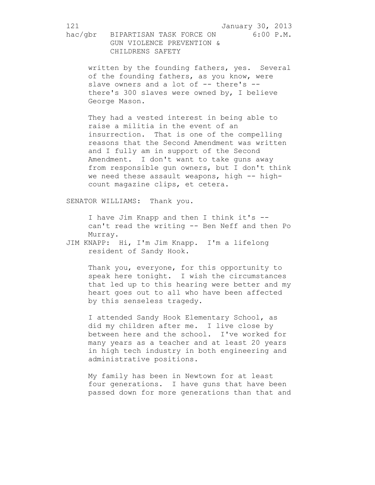written by the founding fathers, yes. Several of the founding fathers, as you know, were slave owners and a lot of -- there's -there's 300 slaves were owned by, I believe George Mason.

They had a vested interest in being able to raise a militia in the event of an insurrection. That is one of the compelling reasons that the Second Amendment was written and I fully am in support of the Second Amendment. I don't want to take guns away from responsible gun owners, but I don't think we need these assault weapons, high -- highcount magazine clips, et cetera.

SENATOR WILLIAMS: Thank you.

I have Jim Knapp and then I think it's - can't read the writing -- Ben Neff and then Po Murray.

JIM KNAPP: Hi, I'm Jim Knapp. I'm a lifelong resident of Sandy Hook.

> Thank you, everyone, for this opportunity to speak here tonight. I wish the circumstances that led up to this hearing were better and my heart goes out to all who have been affected by this senseless tragedy.

I attended Sandy Hook Elementary School, as did my children after me. I live close by between here and the school. I've worked for many years as a teacher and at least 20 years in high tech industry in both engineering and administrative positions.

My family has been in Newtown for at least four generations. I have guns that have been passed down for more generations than that and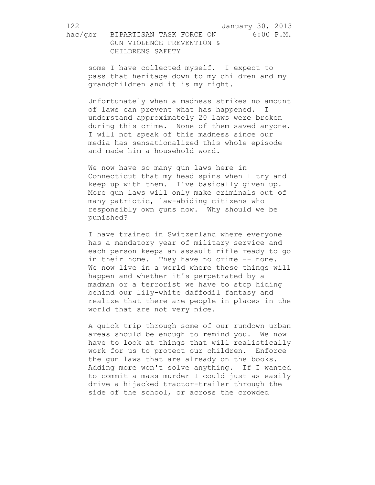some I have collected myself. I expect to pass that heritage down to my children and my grandchildren and it is my right.

Unfortunately when a madness strikes no amount of laws can prevent what has happened. I understand approximately 20 laws were broken during this crime. None of them saved anyone. I will not speak of this madness since our media has sensationalized this whole episode and made him a household word.

We now have so many gun laws here in Connecticut that my head spins when I try and keep up with them. I've basically given up. More gun laws will only make criminals out of many patriotic, law-abiding citizens who responsibly own guns now. Why should we be punished?

I have trained in Switzerland where everyone has a mandatory year of military service and each person keeps an assault rifle ready to go in their home. They have no crime -- none. We now live in a world where these things will happen and whether it's perpetrated by a madman or a terrorist we have to stop hiding behind our lily-white daffodil fantasy and realize that there are people in places in the world that are not very nice.

A quick trip through some of our rundown urban areas should be enough to remind you. We now have to look at things that will realistically work for us to protect our children. Enforce the gun laws that are already on the books. Adding more won't solve anything. If I wanted to commit a mass murder I could just as easily drive a hijacked tractor-trailer through the side of the school, or across the crowded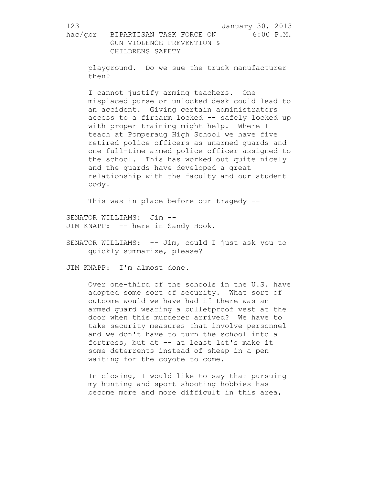playground. Do we sue the truck manufacturer then?

I cannot justify arming teachers. One misplaced purse or unlocked desk could lead to an accident. Giving certain administrators access to a firearm locked -- safely locked up with proper training might help. Where I teach at Pomperaug High School we have five retired police officers as unarmed guards and one full-time armed police officer assigned to the school. This has worked out quite nicely and the guards have developed a great relationship with the faculty and our student body.

This was in place before our tragedy --

SENATOR WILLIAMS: Jim -- JIM KNAPP: -- here in Sandy Hook.

SENATOR WILLIAMS: -- Jim, could I just ask you to quickly summarize, please?

JIM KNAPP: I'm almost done.

Over one-third of the schools in the U.S. have adopted some sort of security. What sort of outcome would we have had if there was an armed guard wearing a bulletproof vest at the door when this murderer arrived? We have to take security measures that involve personnel and we don't have to turn the school into a fortress, but at -- at least let's make it some deterrents instead of sheep in a pen waiting for the coyote to come.

In closing, I would like to say that pursuing my hunting and sport shooting hobbies has become more and more difficult in this area,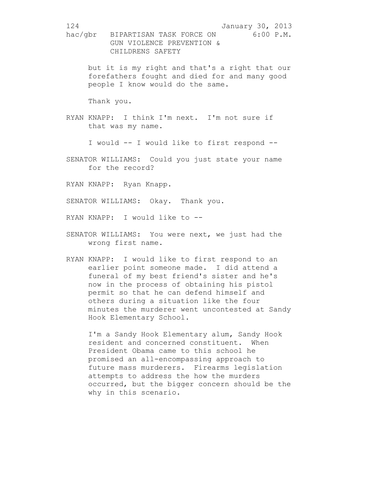but it is my right and that's a right that our forefathers fought and died for and many good people I know would do the same.

Thank you.

RYAN KNAPP: I think I'm next. I'm not sure if that was my name.

I would -- I would like to first respond --

SENATOR WILLIAMS: Could you just state your name for the record?

RYAN KNAPP: Ryan Knapp.

SENATOR WILLIAMS: Okay. Thank you.

RYAN KNAPP: I would like to --

- SENATOR WILLIAMS: You were next, we just had the wrong first name.
- RYAN KNAPP: I would like to first respond to an earlier point someone made. I did attend a funeral of my best friend's sister and he's now in the process of obtaining his pistol permit so that he can defend himself and others during a situation like the four minutes the murderer went uncontested at Sandy Hook Elementary School.

I'm a Sandy Hook Elementary alum, Sandy Hook resident and concerned constituent. When President Obama came to this school he promised an all-encompassing approach to future mass murderers. Firearms legislation attempts to address the how the murders occurred, but the bigger concern should be the why in this scenario.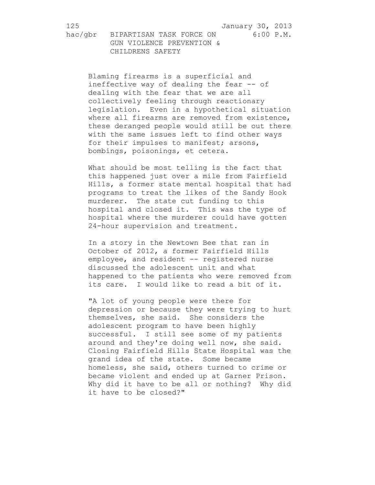Blaming firearms is a superficial and ineffective way of dealing the fear -- of dealing with the fear that we are all collectively feeling through reactionary legislation. Even in a hypothetical situation where all firearms are removed from existence, these deranged people would still be out there with the same issues left to find other ways for their impulses to manifest; arsons, bombings, poisonings, et cetera.

What should be most telling is the fact that this happened just over a mile from Fairfield Hills, a former state mental hospital that had programs to treat the likes of the Sandy Hook murderer. The state cut funding to this hospital and closed it. This was the type of hospital where the murderer could have gotten 24-hour supervision and treatment.

In a story in the Newtown Bee that ran in October of 2012, a former Fairfield Hills employee, and resident -- registered nurse discussed the adolescent unit and what happened to the patients who were removed from its care. I would like to read a bit of it.

"A lot of young people were there for depression or because they were trying to hurt themselves, she said. She considers the adolescent program to have been highly successful. I still see some of my patients around and they're doing well now, she said. Closing Fairfield Hills State Hospital was the grand idea of the state. Some became homeless, she said, others turned to crime or became violent and ended up at Garner Prison. Why did it have to be all or nothing? Why did it have to be closed?"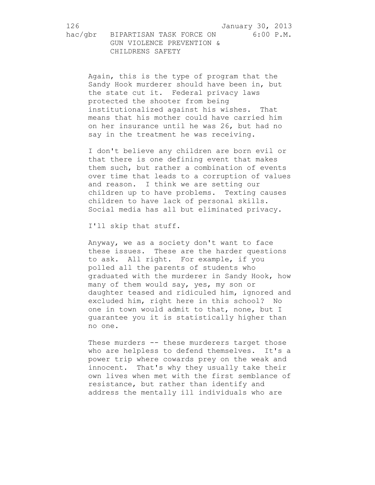126 January 30, 2013

hac/gbr BIPARTISAN TASK FORCE ON 6:00 P.M. GUN VIOLENCE PREVENTION & CHILDRENS SAFETY

Again, this is the type of program that the Sandy Hook murderer should have been in, but the state cut it. Federal privacy laws protected the shooter from being institutionalized against his wishes. That means that his mother could have carried him on her insurance until he was 26, but had no say in the treatment he was receiving.

I don't believe any children are born evil or that there is one defining event that makes them such, but rather a combination of events over time that leads to a corruption of values and reason. I think we are setting our children up to have problems. Texting causes children to have lack of personal skills. Social media has all but eliminated privacy.

I'll skip that stuff.

Anyway, we as a society don't want to face these issues. These are the harder questions to ask. All right. For example, if you polled all the parents of students who graduated with the murderer in Sandy Hook, how many of them would say, yes, my son or daughter teased and ridiculed him, ignored and excluded him, right here in this school? No one in town would admit to that, none, but I guarantee you it is statistically higher than no one.

These murders -- these murderers target those who are helpless to defend themselves. It's a power trip where cowards prey on the weak and innocent. That's why they usually take their own lives when met with the first semblance of resistance, but rather than identify and address the mentally ill individuals who are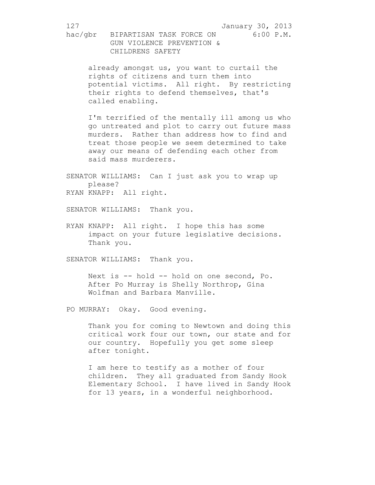already amongst us, you want to curtail the rights of citizens and turn them into potential victims. All right. By restricting their rights to defend themselves, that's called enabling.

I'm terrified of the mentally ill among us who go untreated and plot to carry out future mass murders. Rather than address how to find and treat those people we seem determined to take away our means of defending each other from said mass murderers.

SENATOR WILLIAMS: Can I just ask you to wrap up please? RYAN KNAPP: All right.

SENATOR WILLIAMS: Thank you.

RYAN KNAPP: All right. I hope this has some impact on your future legislative decisions. Thank you.

SENATOR WILLIAMS: Thank you.

Next is -- hold -- hold on one second, Po. After Po Murray is Shelly Northrop, Gina Wolfman and Barbara Manville.

PO MURRAY: Okay. Good evening.

Thank you for coming to Newtown and doing this critical work four our town, our state and for our country. Hopefully you get some sleep after tonight.

I am here to testify as a mother of four children. They all graduated from Sandy Hook Elementary School. I have lived in Sandy Hook for 13 years, in a wonderful neighborhood.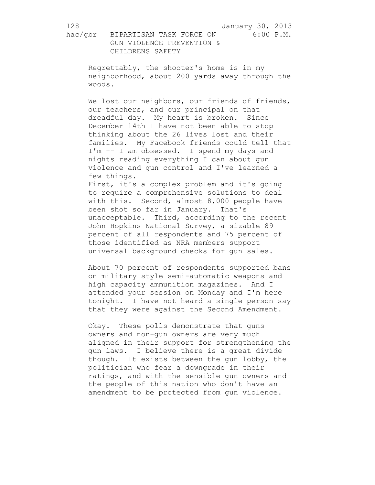128 January 30, 2013

hac/gbr BIPARTISAN TASK FORCE ON 6:00 P.M. GUN VIOLENCE PREVENTION & CHILDRENS SAFETY

Regrettably, the shooter's home is in my neighborhood, about 200 yards away through the woods.

We lost our neighbors, our friends of friends, our teachers, and our principal on that dreadful day. My heart is broken. Since December 14th I have not been able to stop thinking about the 26 lives lost and their families. My Facebook friends could tell that I'm -- I am obsessed. I spend my days and nights reading everything I can about gun violence and gun control and I've learned a few things.

First, it's a complex problem and it's going to require a comprehensive solutions to deal with this. Second, almost 8,000 people have been shot so far in January. That's unacceptable. Third, according to the recent John Hopkins National Survey, a sizable 89 percent of all respondents and 75 percent of those identified as NRA members support universal background checks for gun sales.

About 70 percent of respondents supported bans on military style semi-automatic weapons and high capacity ammunition magazines. And I attended your session on Monday and I'm here tonight. I have not heard a single person say that they were against the Second Amendment.

Okay. These polls demonstrate that guns owners and non-gun owners are very much aligned in their support for strengthening the gun laws. I believe there is a great divide though. It exists between the gun lobby, the politician who fear a downgrade in their ratings, and with the sensible gun owners and the people of this nation who don't have an amendment to be protected from gun violence.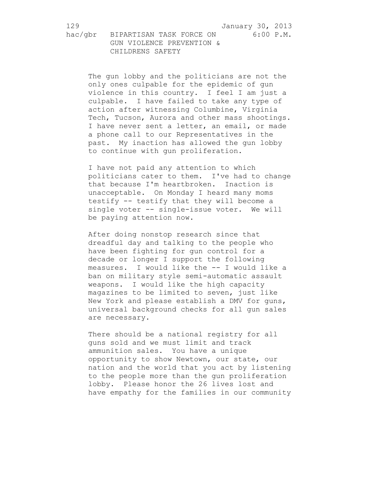The gun lobby and the politicians are not the only ones culpable for the epidemic of gun violence in this country. I feel I am just a culpable. I have failed to take any type of action after witnessing Columbine, Virginia Tech, Tucson, Aurora and other mass shootings. I have never sent a letter, an email, or made a phone call to our Representatives in the past. My inaction has allowed the gun lobby to continue with gun proliferation.

I have not paid any attention to which politicians cater to them. I've had to change that because I'm heartbroken. Inaction is unacceptable. On Monday I heard many moms testify -- testify that they will become a single voter -- single-issue voter. We will be paying attention now.

After doing nonstop research since that dreadful day and talking to the people who have been fighting for gun control for a decade or longer I support the following measures. I would like the -- I would like a ban on military style semi-automatic assault weapons. I would like the high capacity magazines to be limited to seven, just like New York and please establish a DMV for guns, universal background checks for all gun sales are necessary.

There should be a national registry for all guns sold and we must limit and track ammunition sales. You have a unique opportunity to show Newtown, our state, our nation and the world that you act by listening to the people more than the gun proliferation lobby. Please honor the 26 lives lost and have empathy for the families in our community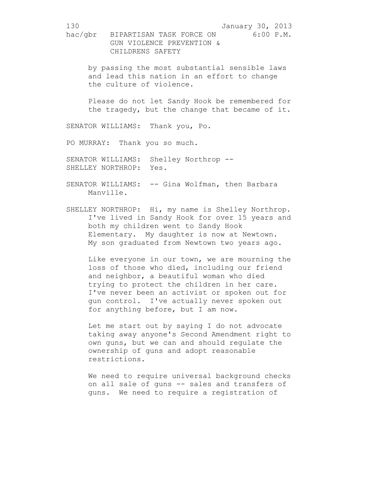by passing the most substantial sensible laws and lead this nation in an effort to change the culture of violence.

Please do not let Sandy Hook be remembered for the tragedy, but the change that became of it.

SENATOR WILLIAMS: Thank you, Po.

PO MURRAY: Thank you so much.

SENATOR WILLIAMS: Shelley Northrop --SHELLEY NORTHROP: Yes.

- SENATOR WILLIAMS: -- Gina Wolfman, then Barbara Manville.
- SHELLEY NORTHROP: Hi, my name is Shelley Northrop. I've lived in Sandy Hook for over 15 years and both my children went to Sandy Hook Elementary. My daughter is now at Newtown. My son graduated from Newtown two years ago.

Like everyone in our town, we are mourning the loss of those who died, including our friend and neighbor, a beautiful woman who died trying to protect the children in her care. I've never been an activist or spoken out for gun control. I've actually never spoken out for anything before, but I am now.

Let me start out by saying I do not advocate taking away anyone's Second Amendment right to own guns, but we can and should regulate the ownership of guns and adopt reasonable restrictions.

We need to require universal background checks on all sale of guns -- sales and transfers of guns. We need to require a registration of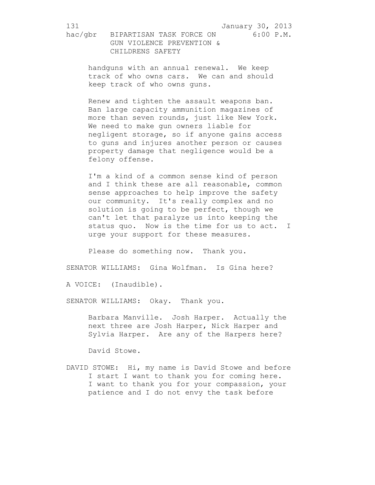handguns with an annual renewal. We keep track of who owns cars. We can and should keep track of who owns guns.

Renew and tighten the assault weapons ban. Ban large capacity ammunition magazines of more than seven rounds, just like New York. We need to make gun owners liable for negligent storage, so if anyone gains access to guns and injures another person or causes property damage that negligence would be a felony offense.

I'm a kind of a common sense kind of person and I think these are all reasonable, common sense approaches to help improve the safety our community. It's really complex and no solution is going to be perfect, though we can't let that paralyze us into keeping the status quo. Now is the time for us to act. I urge your support for these measures.

Please do something now. Thank you.

SENATOR WILLIAMS: Gina Wolfman. Is Gina here?

A VOICE: (Inaudible).

SENATOR WILLIAMS: Okay. Thank you.

Barbara Manville. Josh Harper. Actually the next three are Josh Harper, Nick Harper and Sylvia Harper. Are any of the Harpers here?

David Stowe.

DAVID STOWE: Hi, my name is David Stowe and before I start I want to thank you for coming here. I want to thank you for your compassion, your patience and I do not envy the task before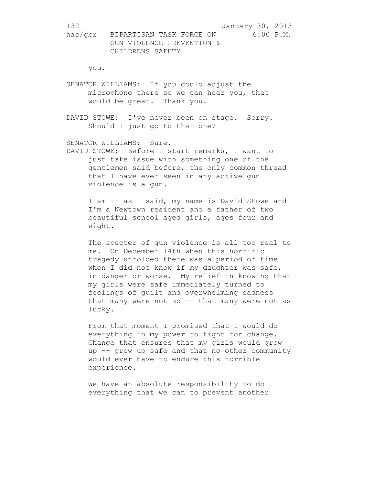you.

SENATOR WILLIAMS: If you could adjust the microphone there so we can hear you, that would be great. Thank you.

DAVID STOWE: I've never been on stage. Sorry. Should I just go to that one?

SENATOR WILLIAMS: Sure.

DAVID STOWE: Before I start remarks, I want to just take issue with something one of the gentlemen said before, the only common thread that I have ever seen in any active gun violence is a gun.

I am -- as I said, my name is David Stowe and I'm a Newtown resident and a father of two beautiful school aged girls, ages four and eight.

The specter of gun violence is all too real to me. On December 14th when this horrific tragedy unfolded there was a period of time when I did not know if my daughter was safe, in danger or worse. My relief in knowing that my girls were safe immediately turned to feelings of guilt and overwhelming sadness that many were not so  $-$  that many were not as lucky.

From that moment I promised that I would do everything in my power to fight for change. Change that ensures that my girls would grow up -- grow up safe and that no other community would ever have to endure this horrible experience.

We have an absolute responsibility to do everything that we can to prevent another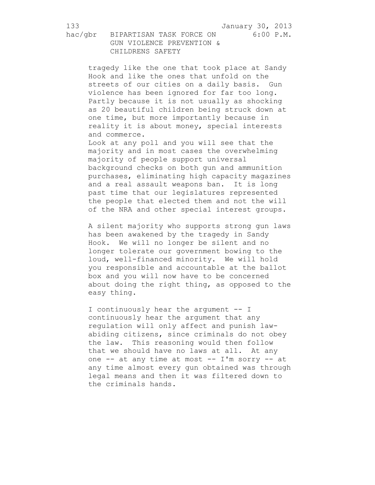tragedy like the one that took place at Sandy Hook and like the ones that unfold on the streets of our cities on a daily basis. Gun violence has been ignored for far too long. Partly because it is not usually as shocking as 20 beautiful children being struck down at one time, but more importantly because in reality it is about money, special interests and commerce.

Look at any poll and you will see that the majority and in most cases the overwhelming majority of people support universal background checks on both gun and ammunition purchases, eliminating high capacity magazines and a real assault weapons ban. It is long past time that our legislatures represented the people that elected them and not the will of the NRA and other special interest groups.

A silent majority who supports strong gun laws has been awakened by the tragedy in Sandy Hook. We will no longer be silent and no longer tolerate our government bowing to the loud, well-financed minority. We will hold you responsible and accountable at the ballot box and you will now have to be concerned about doing the right thing, as opposed to the easy thing.

I continuously hear the argument -- I continuously hear the argument that any regulation will only affect and punish lawabiding citizens, since criminals do not obey the law. This reasoning would then follow that we should have no laws at all. At any one -- at any time at most -- I'm sorry -- at any time almost every gun obtained was through legal means and then it was filtered down to the criminals hands.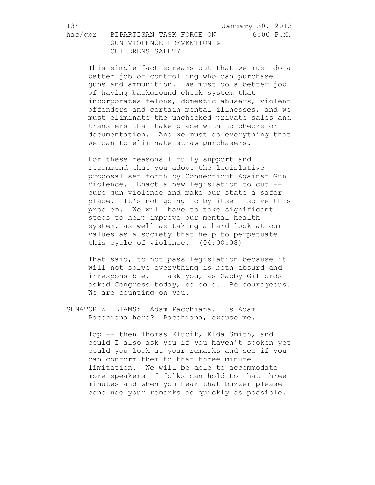This simple fact screams out that we must do a better job of controlling who can purchase guns and ammunition. We must do a better job of having background check system that incorporates felons, domestic abusers, violent offenders and certain mental illnesses, and we must eliminate the unchecked private sales and transfers that take place with no checks or documentation. And we must do everything that we can to eliminate straw purchasers.

For these reasons I fully support and recommend that you adopt the legislative proposal set forth by Connecticut Against Gun Violence. Enact a new legislation to cut - curb gun violence and make our state a safer place. It's not going to by itself solve this problem. We will have to take significant steps to help improve our mental health system, as well as taking a hard look at our values as a society that help to perpetuate this cycle of violence. (04:00:08)

That said, to not pass legislation because it will not solve everything is both absurd and irresponsible. I ask you, as Gabby Giffords asked Congress today, be bold. Be courageous. We are counting on you.

SENATOR WILLIAMS: Adam Pacchiana. Is Adam Pacchiana here? Pacchiana, excuse me.

> Top -- then Thomas Klucik, Elda Smith, and could I also ask you if you haven't spoken yet could you look at your remarks and see if you can conform them to that three minute limitation. We will be able to accommodate more speakers if folks can hold to that three minutes and when you hear that buzzer please conclude your remarks as quickly as possible.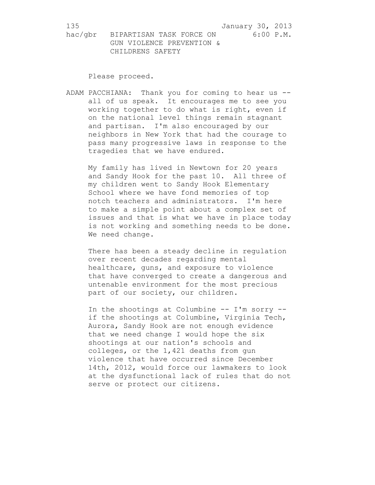Please proceed.

ADAM PACCHIANA: Thank you for coming to hear us - all of us speak. It encourages me to see you working together to do what is right, even if on the national level things remain stagnant and partisan. I'm also encouraged by our neighbors in New York that had the courage to pass many progressive laws in response to the tragedies that we have endured.

My family has lived in Newtown for 20 years and Sandy Hook for the past 10. All three of my children went to Sandy Hook Elementary School where we have fond memories of top notch teachers and administrators. I'm here to make a simple point about a complex set of issues and that is what we have in place today is not working and something needs to be done. We need change.

There has been a steady decline in regulation over recent decades regarding mental healthcare, guns, and exposure to violence that have converged to create a dangerous and untenable environment for the most precious part of our society, our children.

In the shootings at Columbine -- I'm sorry - if the shootings at Columbine, Virginia Tech, Aurora, Sandy Hook are not enough evidence that we need change I would hope the six shootings at our nation's schools and colleges, or the 1,421 deaths from gun violence that have occurred since December 14th, 2012, would force our lawmakers to look at the dysfunctional lack of rules that do not serve or protect our citizens.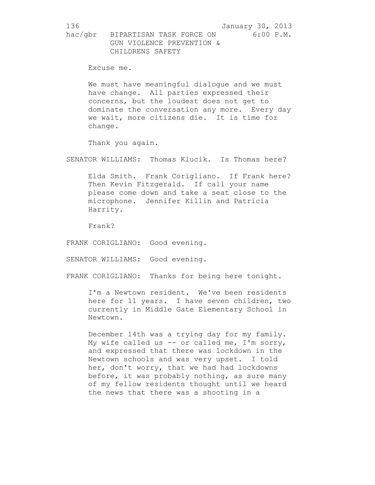Excuse me.

We must have meaningful dialogue and we must have change. All parties expressed their concerns, but the loudest does not get to dominate the conversation any more. Every day we wait, more citizens die. It is time for change.

Thank you again.

SENATOR WILLIAMS: Thomas Klucik. Is Thomas here?

Elda Smith. Frank Corigliano. If Frank here? Then Kevin Fitzgerald. If call your name please come down and take a seat close to the microphone. Jennifer Killin and Patricia Harrity.

Frank?

FRANK CORIGLIANO: Good evening.

SENATOR WILLIAMS: Good evening.

FRANK CORIGLIANO: Thanks for being here tonight.

I'm a Newtown resident. We've been residents here for 11 years. I have seven children, two currently in Middle Gate Elementary School in Newtown.

December 14th was a trying day for my family. My wife called us -- or called me, I'm sorry, and expressed that there was lockdown in the Newtown schools and was very upset. I told her, don't worry, that we had had lockdowns before, it was probably nothing, as sure many of my fellow residents thought until we heard the news that there was a shooting in a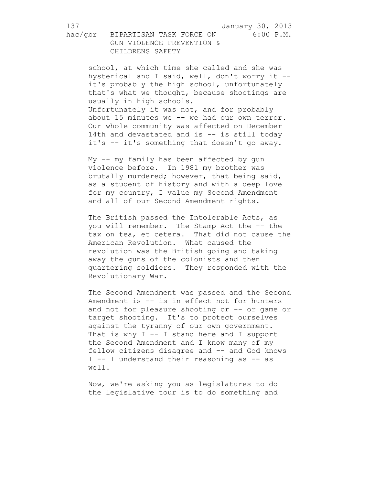137 January 30, 2013

hac/gbr BIPARTISAN TASK FORCE ON 6:00 P.M. GUN VIOLENCE PREVENTION & CHILDRENS SAFETY

school, at which time she called and she was hysterical and I said, well, don't worry it - it's probably the high school, unfortunately that's what we thought, because shootings are usually in high schools. Unfortunately it was not, and for probably about 15 minutes we -- we had our own terror. Our whole community was affected on December 14th and devastated and is -- is still today it's -- it's something that doesn't go away.

My -- my family has been affected by gun violence before. In 1981 my brother was brutally murdered; however, that being said, as a student of history and with a deep love for my country, I value my Second Amendment and all of our Second Amendment rights.

The British passed the Intolerable Acts, as you will remember. The Stamp Act the -- the tax on tea, et cetera. That did not cause the American Revolution. What caused the revolution was the British going and taking away the guns of the colonists and then quartering soldiers. They responded with the Revolutionary War.

The Second Amendment was passed and the Second Amendment is -- is in effect not for hunters and not for pleasure shooting or -- or game or target shooting. It's to protect ourselves against the tyranny of our own government. That is why  $I -I$  stand here and I support the Second Amendment and I know many of my fellow citizens disagree and -- and God knows I -- I understand their reasoning as -- as well.

Now, we're asking you as legislatures to do the legislative tour is to do something and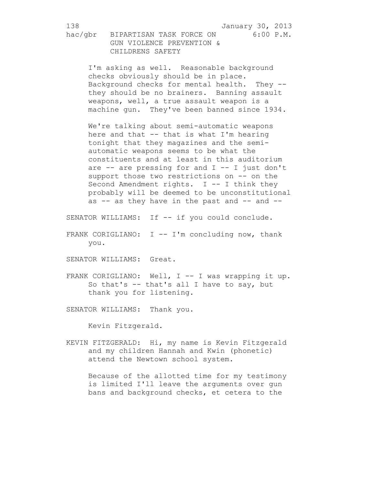I'm asking as well. Reasonable background checks obviously should be in place. Background checks for mental health. They - they should be no brainers. Banning assault weapons, well, a true assault weapon is a machine gun. They've been banned since 1934.

We're talking about semi-automatic weapons here and that  $-$  that is what I'm hearing tonight that they magazines and the semiautomatic weapons seems to be what the constituents and at least in this auditorium are  $--$  are pressing for and  $I -- I$  just don't support those two restrictions on -- on the Second Amendment rights. I -- I think they probably will be deemed to be unconstitutional as  $--$  as they have in the past and  $--$  and  $--$ 

SENATOR WILLIAMS: If -- if you could conclude.

FRANK CORIGLIANO:  $I$  -- I'm concluding now, thank you.

SENATOR WILLIAMS: Great.

FRANK CORIGLIANO: Well, I -- I was wrapping it up. So that's -- that's all I have to say, but thank you for listening.

SENATOR WILLIAMS: Thank you.

Kevin Fitzgerald.

KEVIN FITZGERALD: Hi, my name is Kevin Fitzgerald and my children Hannah and Kwin (phonetic) attend the Newtown school system.

Because of the allotted time for my testimony is limited I'll leave the arguments over gun bans and background checks, et cetera to the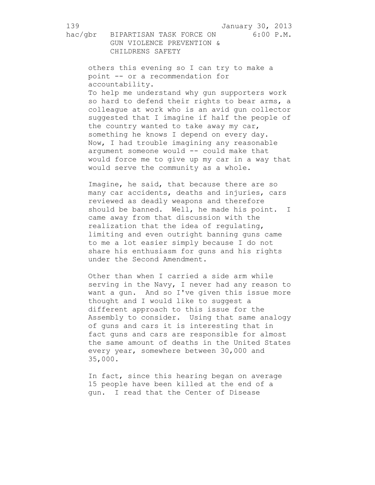139 January 30, 2013

hac/gbr BIPARTISAN TASK FORCE ON 6:00 P.M. GUN VIOLENCE PREVENTION & CHILDRENS SAFETY

others this evening so I can try to make a point -- or a recommendation for accountability. To help me understand why gun supporters work so hard to defend their rights to bear arms, a colleague at work who is an avid gun collector suggested that I imagine if half the people of the country wanted to take away my car, something he knows I depend on every day. Now, I had trouble imagining any reasonable argument someone would -- could make that would force me to give up my car in a way that would serve the community as a whole.

Imagine, he said, that because there are so many car accidents, deaths and injuries, cars reviewed as deadly weapons and therefore should be banned. Well, he made his point. I came away from that discussion with the realization that the idea of regulating, limiting and even outright banning guns came to me a lot easier simply because I do not share his enthusiasm for guns and his rights under the Second Amendment.

Other than when I carried a side arm while serving in the Navy, I never had any reason to want a gun. And so I've given this issue more thought and I would like to suggest a different approach to this issue for the Assembly to consider. Using that same analogy of guns and cars it is interesting that in fact guns and cars are responsible for almost the same amount of deaths in the United States every year, somewhere between 30,000 and 35,000.

In fact, since this hearing began on average 15 people have been killed at the end of a gun. I read that the Center of Disease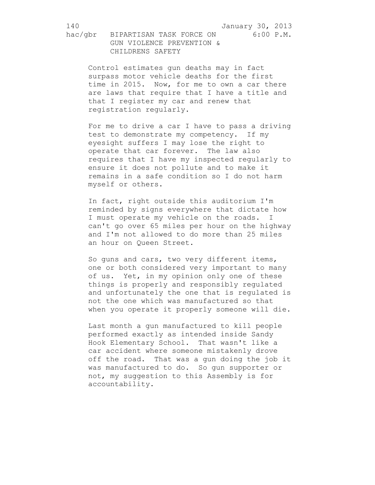Control estimates gun deaths may in fact surpass motor vehicle deaths for the first time in 2015. Now, for me to own a car there are laws that require that I have a title and that I register my car and renew that registration regularly.

For me to drive a car I have to pass a driving test to demonstrate my competency. If my eyesight suffers I may lose the right to operate that car forever. The law also requires that I have my inspected regularly to ensure it does not pollute and to make it remains in a safe condition so I do not harm myself or others.

In fact, right outside this auditorium I'm reminded by signs everywhere that dictate how I must operate my vehicle on the roads. I can't go over 65 miles per hour on the highway and I'm not allowed to do more than 25 miles an hour on Queen Street.

So guns and cars, two very different items, one or both considered very important to many of us. Yet, in my opinion only one of these things is properly and responsibly regulated and unfortunately the one that is regulated is not the one which was manufactured so that when you operate it properly someone will die.

Last month a gun manufactured to kill people performed exactly as intended inside Sandy Hook Elementary School. That wasn't like a car accident where someone mistakenly drove off the road. That was a gun doing the job it was manufactured to do. So gun supporter or not, my suggestion to this Assembly is for accountability.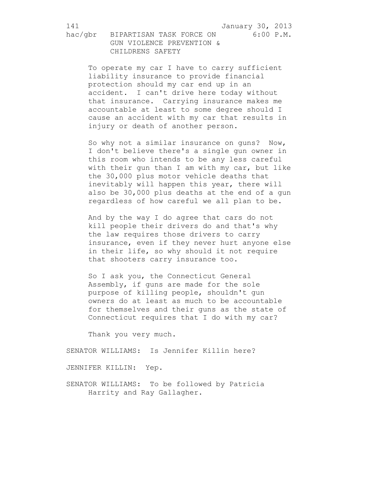To operate my car I have to carry sufficient liability insurance to provide financial protection should my car end up in an accident. I can't drive here today without that insurance. Carrying insurance makes me accountable at least to some degree should I cause an accident with my car that results in injury or death of another person.

So why not a similar insurance on guns? Now, I don't believe there's a single gun owner in this room who intends to be any less careful with their gun than I am with my car, but like the 30,000 plus motor vehicle deaths that inevitably will happen this year, there will also be 30,000 plus deaths at the end of a gun regardless of how careful we all plan to be.

And by the way I do agree that cars do not kill people their drivers do and that's why the law requires those drivers to carry insurance, even if they never hurt anyone else in their life, so why should it not require that shooters carry insurance too.

So I ask you, the Connecticut General Assembly, if guns are made for the sole purpose of killing people, shouldn't gun owners do at least as much to be accountable for themselves and their guns as the state of Connecticut requires that I do with my car?

Thank you very much.

SENATOR WILLIAMS: Is Jennifer Killin here?

JENNIFER KILLIN: Yep.

SENATOR WILLIAMS: To be followed by Patricia Harrity and Ray Gallagher.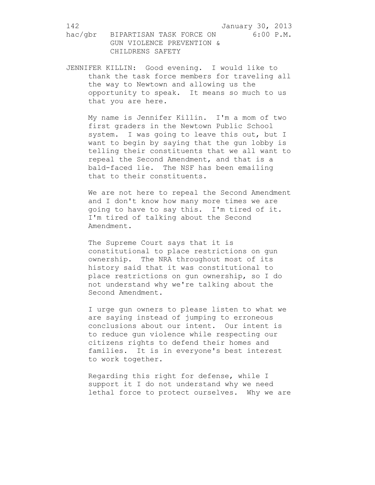JENNIFER KILLIN: Good evening. I would like to thank the task force members for traveling all the way to Newtown and allowing us the opportunity to speak. It means so much to us that you are here.

My name is Jennifer Killin. I'm a mom of two first graders in the Newtown Public School system. I was going to leave this out, but I want to begin by saying that the gun lobby is telling their constituents that we all want to repeal the Second Amendment, and that is a bald-faced lie. The NSF has been emailing that to their constituents.

We are not here to repeal the Second Amendment and I don't know how many more times we are going to have to say this. I'm tired of it. I'm tired of talking about the Second Amendment.

The Supreme Court says that it is constitutional to place restrictions on gun ownership. The NRA throughout most of its history said that it was constitutional to place restrictions on gun ownership, so I do not understand why we're talking about the Second Amendment.

I urge gun owners to please listen to what we are saying instead of jumping to erroneous conclusions about our intent. Our intent is to reduce gun violence while respecting our citizens rights to defend their homes and families. It is in everyone's best interest to work together.

Regarding this right for defense, while I support it I do not understand why we need lethal force to protect ourselves. Why we are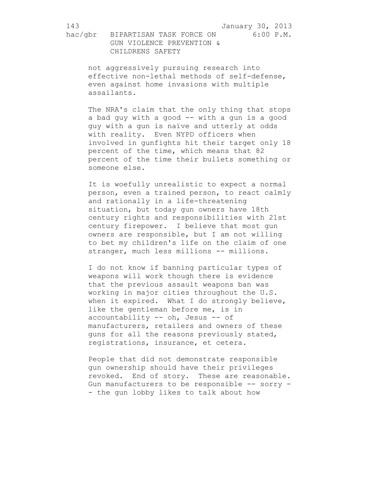143 January 30, 2013

hac/gbr BIPARTISAN TASK FORCE ON 6:00 P.M. GUN VIOLENCE PREVENTION & CHILDRENS SAFETY

not aggressively pursuing research into effective non-lethal methods of self-defense, even against home invasions with multiple assailants.

The NRA's claim that the only thing that stops a bad guy with a good -- with a gun is a good guy with a gun is naïve and utterly at odds with reality. Even NYPD officers when involved in gunfights hit their target only 18 percent of the time, which means that 82 percent of the time their bullets something or someone else.

It is woefully unrealistic to expect a normal person, even a trained person, to react calmly and rationally in a life-threatening situation, but today gun owners have 18th century rights and responsibilities with 21st century firepower. I believe that most gun owners are responsible, but I am not willing to bet my children's life on the claim of one stranger, much less millions -- millions.

I do not know if banning particular types of weapons will work though there is evidence that the previous assault weapons ban was working in major cities throughout the U.S. when it expired. What I do strongly believe, like the gentleman before me, is in accountability -- oh, Jesus -- of manufacturers, retailers and owners of these guns for all the reasons previously stated, registrations, insurance, et cetera.

People that did not demonstrate responsible gun ownership should have their privileges revoked. End of story. These are reasonable. Gun manufacturers to be responsible -- sorry -- the gun lobby likes to talk about how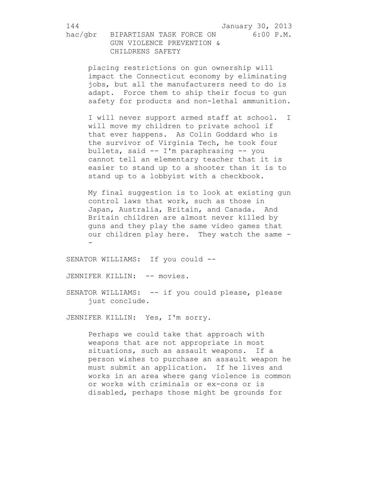144 January 30, 2013

hac/gbr BIPARTISAN TASK FORCE ON 6:00 P.M. GUN VIOLENCE PREVENTION & CHILDRENS SAFETY

placing restrictions on gun ownership will impact the Connecticut economy by eliminating jobs, but all the manufacturers need to do is adapt. Force them to ship their focus to gun safety for products and non-lethal ammunition.

I will never support armed staff at school. I will move my children to private school if that ever happens. As Colin Goddard who is the survivor of Virginia Tech, he took four bullets, said -- I'm paraphrasing -- you cannot tell an elementary teacher that it is easier to stand up to a shooter than it is to stand up to a lobbyist with a checkbook.

My final suggestion is to look at existing gun control laws that work, such as those in Japan, Australia, Britain, and Canada. And Britain children are almost never killed by guns and they play the same video games that our children play here. They watch the same - -

SENATOR WILLIAMS: If you could --

JENNIFER KILLIN: -- movies.

SENATOR WILLIAMS: -- if you could please, please just conclude.

JENNIFER KILLIN: Yes, I'm sorry.

Perhaps we could take that approach with weapons that are not appropriate in most situations, such as assault weapons. If a person wishes to purchase an assault weapon he must submit an application. If he lives and works in an area where gang violence is common or works with criminals or ex-cons or is disabled, perhaps those might be grounds for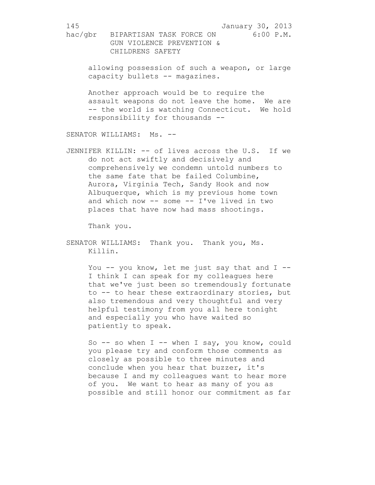allowing possession of such a weapon, or large capacity bullets -- magazines.

Another approach would be to require the assault weapons do not leave the home. We are -- the world is watching Connecticut. We hold responsibility for thousands --

SENATOR WILLIAMS: Ms. --

JENNIFER KILLIN: -- of lives across the U.S. If we do not act swiftly and decisively and comprehensively we condemn untold numbers to the same fate that be failed Columbine, Aurora, Virginia Tech, Sandy Hook and now Albuquerque, which is my previous home town and which now -- some -- I've lived in two places that have now had mass shootings.

Thank you.

SENATOR WILLIAMS: Thank you. Thank you, Ms. Killin.

> You  $-$  you know, let me just say that and  $I$   $-$ I think I can speak for my colleagues here that we've just been so tremendously fortunate to -- to hear these extraordinary stories, but also tremendous and very thoughtful and very helpful testimony from you all here tonight and especially you who have waited so patiently to speak.

> So -- so when I -- when I say, you know, could you please try and conform those comments as closely as possible to three minutes and conclude when you hear that buzzer, it's because I and my colleagues want to hear more of you. We want to hear as many of you as possible and still honor our commitment as far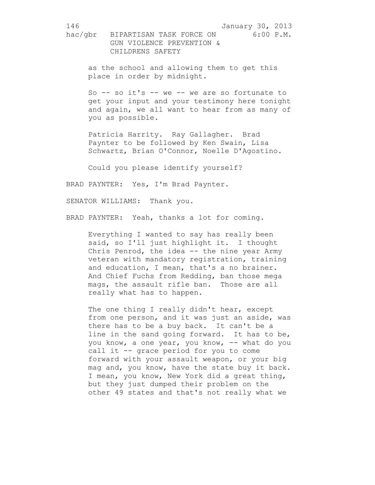as the school and allowing them to get this place in order by midnight.

So -- so it's -- we -- we are so fortunate to get your input and your testimony here tonight and again, we all want to hear from as many of you as possible.

Patricia Harrity. Ray Gallagher. Brad Paynter to be followed by Ken Swain, Lisa Schwartz, Brian O'Connor, Noelle D'Agostino.

Could you please identify yourself?

BRAD PAYNTER: Yes, I'm Brad Paynter.

SENATOR WILLIAMS: Thank you.

BRAD PAYNTER: Yeah, thanks a lot for coming.

Everything I wanted to say has really been said, so I'll just highlight it. I thought Chris Penrod, the idea -- the nine year Army veteran with mandatory registration, training and education, I mean, that's a no brainer. And Chief Fuchs from Redding, ban those mega mags, the assault rifle ban. Those are all really what has to happen.

The one thing I really didn't hear, except from one person, and it was just an aside, was there has to be a buy back. It can't be a line in the sand going forward. It has to be, you know, a one year, you know, -- what do you call it -- grace period for you to come forward with your assault weapon, or your big mag and, you know, have the state buy it back. I mean, you know, New York did a great thing, but they just dumped their problem on the other 49 states and that's not really what we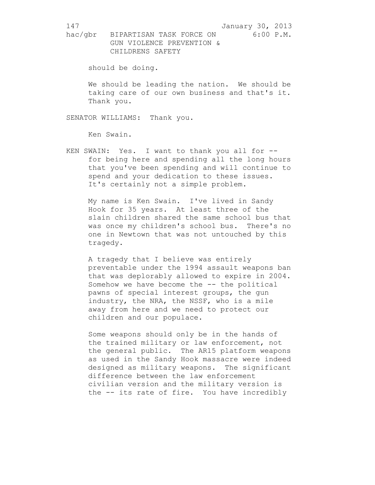should be doing.

We should be leading the nation. We should be taking care of our own business and that's it. Thank you.

SENATOR WILLIAMS: Thank you.

Ken Swain.

KEN SWAIN: Yes. I want to thank you all for - for being here and spending all the long hours that you've been spending and will continue to spend and your dedication to these issues. It's certainly not a simple problem.

My name is Ken Swain. I've lived in Sandy Hook for 35 years. At least three of the slain children shared the same school bus that was once my children's school bus. There's no one in Newtown that was not untouched by this tragedy.

A tragedy that I believe was entirely preventable under the 1994 assault weapons ban that was deplorably allowed to expire in 2004. Somehow we have become the -- the political pawns of special interest groups, the gun industry, the NRA, the NSSF, who is a mile away from here and we need to protect our children and our populace.

Some weapons should only be in the hands of the trained military or law enforcement, not the general public. The AR15 platform weapons as used in the Sandy Hook massacre were indeed designed as military weapons. The significant difference between the law enforcement civilian version and the military version is the -- its rate of fire. You have incredibly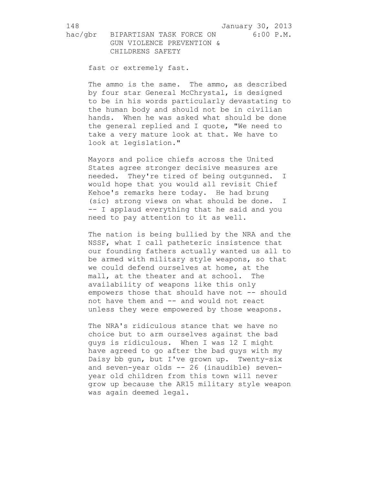hac/gbr BIPARTISAN TASK FORCE ON 6:00 P.M. GUN VIOLENCE PREVENTION & CHILDRENS SAFETY

fast or extremely fast.

The ammo is the same. The ammo, as described by four star General McChrystal, is designed to be in his words particularly devastating to the human body and should not be in civilian hands. When he was asked what should be done the general replied and I quote, "We need to take a very mature look at that. We have to look at legislation."

Mayors and police chiefs across the United States agree stronger decisive measures are needed. They're tired of being outgunned. I would hope that you would all revisit Chief Kehoe's remarks here today. He had brung (sic) strong views on what should be done. I -- I applaud everything that he said and you need to pay attention to it as well.

The nation is being bullied by the NRA and the NSSF, what I call patheteric insistence that our founding fathers actually wanted us all to be armed with military style weapons, so that we could defend ourselves at home, at the mall, at the theater and at school. The availability of weapons like this only empowers those that should have not -- should not have them and -- and would not react unless they were empowered by those weapons.

The NRA's ridiculous stance that we have no choice but to arm ourselves against the bad guys is ridiculous. When I was 12 I might have agreed to go after the bad guys with my Daisy bb gun, but I've grown up. Twenty-six and seven-year olds -- 26 (inaudible) sevenyear old children from this town will never grow up because the AR15 military style weapon was again deemed legal.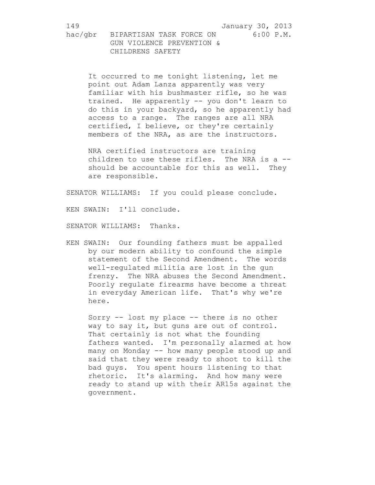It occurred to me tonight listening, let me point out Adam Lanza apparently was very familiar with his bushmaster rifle, so he was trained. He apparently -- you don't learn to do this in your backyard, so he apparently had access to a range. The ranges are all NRA certified, I believe, or they're certainly members of the NRA, as are the instructors.

NRA certified instructors are training children to use these rifles. The NRA is a -should be accountable for this as well. They are responsible.

SENATOR WILLIAMS: If you could please conclude.

KEN SWAIN: I'll conclude.

SENATOR WILLIAMS: Thanks.

KEN SWAIN: Our founding fathers must be appalled by our modern ability to confound the simple statement of the Second Amendment. The words well-regulated militia are lost in the gun frenzy. The NRA abuses the Second Amendment. Poorly regulate firearms have become a threat in everyday American life. That's why we're here.

Sorry -- lost my place -- there is no other way to say it, but guns are out of control. That certainly is not what the founding fathers wanted. I'm personally alarmed at how many on Monday -- how many people stood up and said that they were ready to shoot to kill the bad guys. You spent hours listening to that rhetoric. It's alarming. And how many were ready to stand up with their AR15s against the government.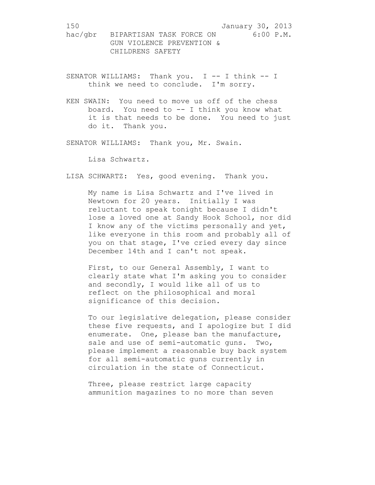- SENATOR WILLIAMS: Thank you. I -- I think -- I think we need to conclude. I'm sorry.
- KEN SWAIN: You need to move us off of the chess board. You need to -- I think you know what it is that needs to be done. You need to just do it. Thank you.

SENATOR WILLIAMS: Thank you, Mr. Swain.

Lisa Schwartz.

LISA SCHWARTZ: Yes, good evening. Thank you.

My name is Lisa Schwartz and I've lived in Newtown for 20 years. Initially I was reluctant to speak tonight because I didn't lose a loved one at Sandy Hook School, nor did I know any of the victims personally and yet, like everyone in this room and probably all of you on that stage, I've cried every day since December 14th and I can't not speak.

First, to our General Assembly, I want to clearly state what I'm asking you to consider and secondly, I would like all of us to reflect on the philosophical and moral significance of this decision.

To our legislative delegation, please consider these five requests, and I apologize but I did enumerate. One, please ban the manufacture, sale and use of semi-automatic guns. Two, please implement a reasonable buy back system for all semi-automatic guns currently in circulation in the state of Connecticut.

Three, please restrict large capacity ammunition magazines to no more than seven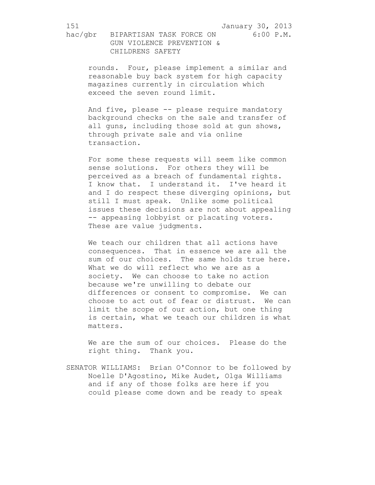rounds. Four, please implement a similar and reasonable buy back system for high capacity magazines currently in circulation which exceed the seven round limit.

And five, please -- please require mandatory background checks on the sale and transfer of all guns, including those sold at gun shows, through private sale and via online transaction.

For some these requests will seem like common sense solutions. For others they will be perceived as a breach of fundamental rights. I know that. I understand it. I've heard it and I do respect these diverging opinions, but still I must speak. Unlike some political issues these decisions are not about appealing -- appeasing lobbyist or placating voters. These are value judgments.

We teach our children that all actions have consequences. That in essence we are all the sum of our choices. The same holds true here. What we do will reflect who we are as a society. We can choose to take no action because we're unwilling to debate our differences or consent to compromise. We can choose to act out of fear or distrust. We can limit the scope of our action, but one thing is certain, what we teach our children is what matters.

We are the sum of our choices. Please do the right thing. Thank you.

SENATOR WILLIAMS: Brian O'Connor to be followed by Noelle D'Agostino, Mike Audet, Olga Williams and if any of those folks are here if you could please come down and be ready to speak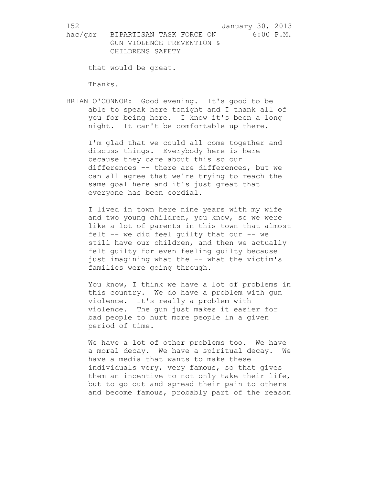that would be great.

Thanks.

BRIAN O'CONNOR: Good evening. It's good to be able to speak here tonight and I thank all of you for being here. I know it's been a long night. It can't be comfortable up there.

I'm glad that we could all come together and discuss things. Everybody here is here because they care about this so our differences -- there are differences, but we can all agree that we're trying to reach the same goal here and it's just great that everyone has been cordial.

I lived in town here nine years with my wife and two young children, you know, so we were like a lot of parents in this town that almost felt -- we did feel guilty that our -- we still have our children, and then we actually felt guilty for even feeling guilty because just imagining what the -- what the victim's families were going through.

You know, I think we have a lot of problems in this country. We do have a problem with gun violence. It's really a problem with violence. The gun just makes it easier for bad people to hurt more people in a given period of time.

We have a lot of other problems too. We have a moral decay. We have a spiritual decay. We have a media that wants to make these individuals very, very famous, so that gives them an incentive to not only take their life, but to go out and spread their pain to others and become famous, probably part of the reason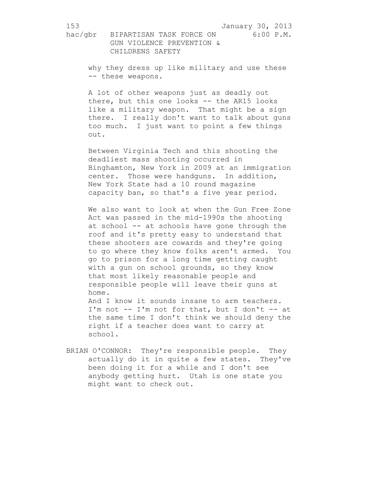153 January 30, 2013 hac/gbr BIPARTISAN TASK FORCE ON 6:00 P.M.

 GUN VIOLENCE PREVENTION & CHILDRENS SAFETY

why they dress up like military and use these -- these weapons.

A lot of other weapons just as deadly out there, but this one looks -- the AR15 looks like a military weapon. That might be a sign there. I really don't want to talk about guns too much. I just want to point a few things out.

Between Virginia Tech and this shooting the deadliest mass shooting occurred in Binghamton, New York in 2009 at an immigration center. Those were handguns. In addition, New York State had a 10 round magazine capacity ban, so that's a five year period.

We also want to look at when the Gun Free Zone Act was passed in the mid-1990s the shooting at school -- at schools have gone through the roof and it's pretty easy to understand that these shooters are cowards and they're going to go where they know folks aren't armed. You go to prison for a long time getting caught with a gun on school grounds, so they know that most likely reasonable people and responsible people will leave their guns at home.

And I know it sounds insane to arm teachers. I'm not -- I'm not for that, but I don't -- at the same time I don't think we should deny the right if a teacher does want to carry at school.

BRIAN O'CONNOR: They're responsible people. They actually do it in quite a few states. They've been doing it for a while and I don't see anybody getting hurt. Utah is one state you might want to check out.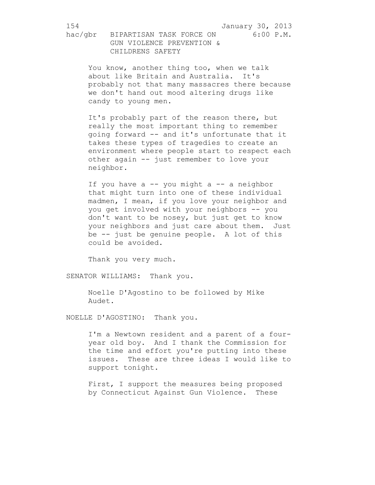You know, another thing too, when we talk about like Britain and Australia. It's probably not that many massacres there because we don't hand out mood altering drugs like candy to young men.

It's probably part of the reason there, but really the most important thing to remember going forward -- and it's unfortunate that it takes these types of tragedies to create an environment where people start to respect each other again -- just remember to love your neighbor.

If you have  $a - -$  you might  $a - -$  a neighbor that might turn into one of these individual madmen, I mean, if you love your neighbor and you get involved with your neighbors -- you don't want to be nosey, but just get to know your neighbors and just care about them. Just be -- just be genuine people. A lot of this could be avoided.

Thank you very much.

SENATOR WILLIAMS: Thank you.

Noelle D'Agostino to be followed by Mike Audet.

NOELLE D'AGOSTINO: Thank you.

I'm a Newtown resident and a parent of a fouryear old boy. And I thank the Commission for the time and effort you're putting into these issues. These are three ideas I would like to support tonight.

First, I support the measures being proposed by Connecticut Against Gun Violence. These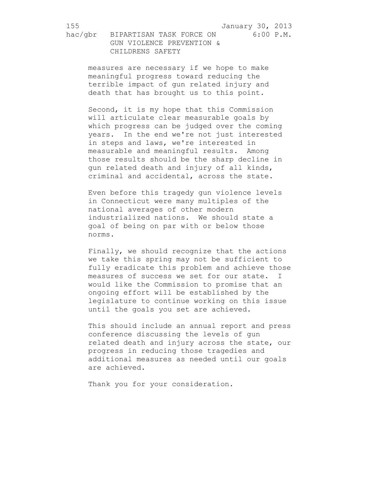measures are necessary if we hope to make meaningful progress toward reducing the terrible impact of gun related injury and death that has brought us to this point.

Second, it is my hope that this Commission will articulate clear measurable goals by which progress can be judged over the coming years. In the end we're not just interested in steps and laws, we're interested in measurable and meaningful results. Among those results should be the sharp decline in gun related death and injury of all kinds, criminal and accidental, across the state.

Even before this tragedy gun violence levels in Connecticut were many multiples of the national averages of other modern industrialized nations. We should state a goal of being on par with or below those norms.

Finally, we should recognize that the actions we take this spring may not be sufficient to fully eradicate this problem and achieve those measures of success we set for our state. I would like the Commission to promise that an ongoing effort will be established by the legislature to continue working on this issue until the goals you set are achieved.

This should include an annual report and press conference discussing the levels of gun related death and injury across the state, our progress in reducing those tragedies and additional measures as needed until our goals are achieved.

Thank you for your consideration.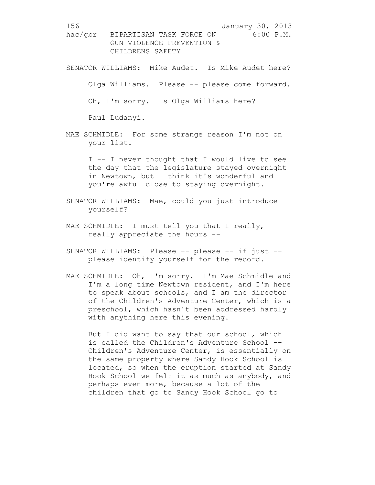SENATOR WILLIAMS: Mike Audet. Is Mike Audet here? Olga Williams. Please -- please come forward. Oh, I'm sorry. Is Olga Williams here? Paul Ludanyi.

MAE SCHMIDLE: For some strange reason I'm not on your list.

> I -- I never thought that I would live to see the day that the legislature stayed overnight in Newtown, but I think it's wonderful and you're awful close to staying overnight.

- SENATOR WILLIAMS: Mae, could you just introduce yourself?
- MAE SCHMIDLE: I must tell you that I really, really appreciate the hours --
- SENATOR WILLIAMS: Please -- please -- if just -please identify yourself for the record.
- MAE SCHMIDLE: Oh, I'm sorry. I'm Mae Schmidle and I'm a long time Newtown resident, and I'm here to speak about schools, and I am the director of the Children's Adventure Center, which is a preschool, which hasn't been addressed hardly with anything here this evening.

But I did want to say that our school, which is called the Children's Adventure School -- Children's Adventure Center, is essentially on the same property where Sandy Hook School is located, so when the eruption started at Sandy Hook School we felt it as much as anybody, and perhaps even more, because a lot of the children that go to Sandy Hook School go to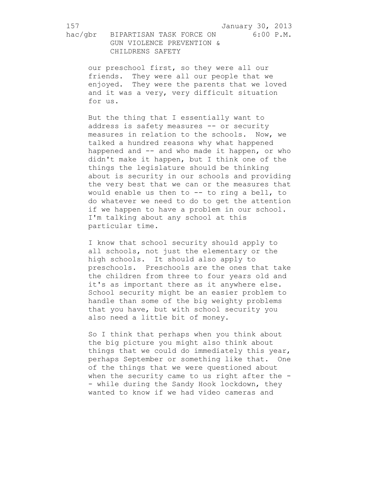hac/gbr BIPARTISAN TASK FORCE ON 6:00 P.M. GUN VIOLENCE PREVENTION & CHILDRENS SAFETY

our preschool first, so they were all our friends. They were all our people that we enjoyed. They were the parents that we loved and it was a very, very difficult situation for us.

But the thing that I essentially want to address is safety measures -- or security measures in relation to the schools. Now, we talked a hundred reasons why what happened happened and -- and who made it happen, or who didn't make it happen, but I think one of the things the legislature should be thinking about is security in our schools and providing the very best that we can or the measures that would enable us then to -- to ring a bell, to do whatever we need to do to get the attention if we happen to have a problem in our school. I'm talking about any school at this particular time.

I know that school security should apply to all schools, not just the elementary or the high schools. It should also apply to preschools. Preschools are the ones that take the children from three to four years old and it's as important there as it anywhere else. School security might be an easier problem to handle than some of the big weighty problems that you have, but with school security you also need a little bit of money.

So I think that perhaps when you think about the big picture you might also think about things that we could do immediately this year, perhaps September or something like that. One of the things that we were questioned about when the security came to us right after the -- while during the Sandy Hook lockdown, they wanted to know if we had video cameras and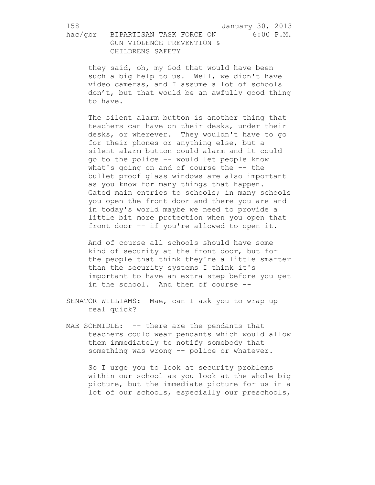they said, oh, my God that would have been such a big help to us. Well, we didn't have video cameras, and I assume a lot of schools don't, but that would be an awfully good thing to have.

The silent alarm button is another thing that teachers can have on their desks, under their desks, or wherever. They wouldn't have to go for their phones or anything else, but a silent alarm button could alarm and it could go to the police -- would let people know what's going on and of course the -- the bullet proof glass windows are also important as you know for many things that happen. Gated main entries to schools; in many schools you open the front door and there you are and in today's world maybe we need to provide a little bit more protection when you open that front door -- if you're allowed to open it.

And of course all schools should have some kind of security at the front door, but for the people that think they're a little smarter than the security systems I think it's important to have an extra step before you get in the school. And then of course --

SENATOR WILLIAMS: Mae, can I ask you to wrap up real quick?

MAE SCHMIDLE: -- there are the pendants that teachers could wear pendants which would allow them immediately to notify somebody that something was wrong -- police or whatever.

So I urge you to look at security problems within our school as you look at the whole big picture, but the immediate picture for us in a lot of our schools, especially our preschools,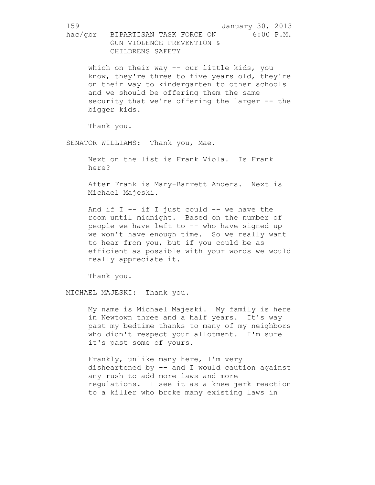159 January 30, 2013 hac/gbr BIPARTISAN TASK FORCE ON 6:00 P.M. GUN VIOLENCE PREVENTION & CHILDRENS SAFETY which on their way -- our little kids, you know, they're three to five years old, they're on their way to kindergarten to other schools and we should be offering them the same security that we're offering the larger -- the bigger kids. Thank you. SENATOR WILLIAMS: Thank you, Mae. Next on the list is Frank Viola. Is Frank here? After Frank is Mary-Barrett Anders. Next is Michael Majeski. And if  $I - -$  if  $I$  just could  $- -$  we have the room until midnight. Based on the number of people we have left to -- who have signed up we won't have enough time. So we really want to hear from you, but if you could be as efficient as possible with your words we would really appreciate it. Thank you. MICHAEL MAJESKI: Thank you. My name is Michael Majeski. My family is here in Newtown three and a half years. It's way past my bedtime thanks to many of my neighbors who didn't respect your allotment. I'm sure it's past some of yours. Frankly, unlike many here, I'm very

disheartened by -- and I would caution against any rush to add more laws and more regulations. I see it as a knee jerk reaction to a killer who broke many existing laws in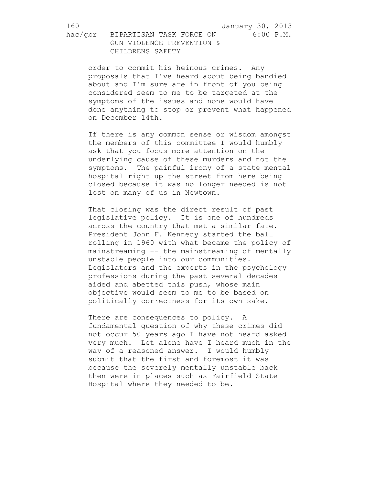hac/gbr BIPARTISAN TASK FORCE ON 6:00 P.M. GUN VIOLENCE PREVENTION & CHILDRENS SAFETY

order to commit his heinous crimes. Any proposals that I've heard about being bandied about and I'm sure are in front of you being considered seem to me to be targeted at the symptoms of the issues and none would have done anything to stop or prevent what happened on December 14th.

If there is any common sense or wisdom amongst the members of this committee I would humbly ask that you focus more attention on the underlying cause of these murders and not the symptoms. The painful irony of a state mental hospital right up the street from here being closed because it was no longer needed is not lost on many of us in Newtown.

That closing was the direct result of past legislative policy. It is one of hundreds across the country that met a similar fate. President John F. Kennedy started the ball rolling in 1960 with what became the policy of mainstreaming -- the mainstreaming of mentally unstable people into our communities. Legislators and the experts in the psychology professions during the past several decades aided and abetted this push, whose main objective would seem to me to be based on politically correctness for its own sake.

There are consequences to policy. A fundamental question of why these crimes did not occur 50 years ago I have not heard asked very much. Let alone have I heard much in the way of a reasoned answer. I would humbly submit that the first and foremost it was because the severely mentally unstable back then were in places such as Fairfield State Hospital where they needed to be.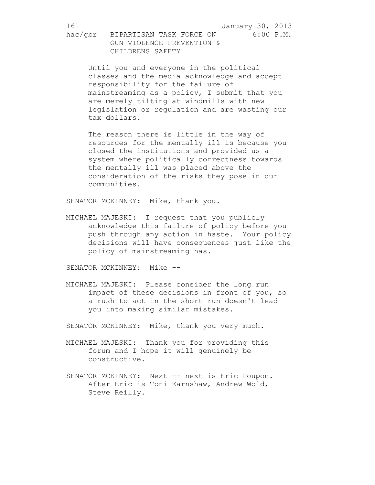hac/gbr BIPARTISAN TASK FORCE ON 6:00 P.M. GUN VIOLENCE PREVENTION & CHILDRENS SAFETY

Until you and everyone in the political classes and the media acknowledge and accept responsibility for the failure of mainstreaming as a policy, I submit that you are merely tilting at windmills with new legislation or regulation and are wasting our tax dollars.

The reason there is little in the way of resources for the mentally ill is because you closed the institutions and provided us a system where politically correctness towards the mentally ill was placed above the consideration of the risks they pose in our communities.

SENATOR MCKINNEY: Mike, thank you.

MICHAEL MAJESKI: I request that you publicly acknowledge this failure of policy before you push through any action in haste. Your policy decisions will have consequences just like the policy of mainstreaming has.

SENATOR MCKINNEY: Mike --

MICHAEL MAJESKI: Please consider the long run impact of these decisions in front of you, so a rush to act in the short run doesn't lead you into making similar mistakes.

SENATOR MCKINNEY: Mike, thank you very much.

- MICHAEL MAJESKI: Thank you for providing this forum and I hope it will genuinely be constructive.
- SENATOR MCKINNEY: Next -- next is Eric Poupon. After Eric is Toni Earnshaw, Andrew Wold, Steve Reilly.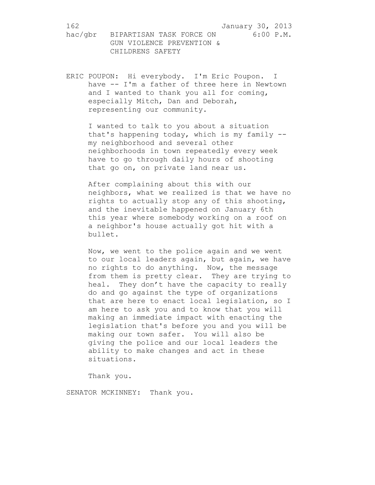ERIC POUPON: Hi everybody. I'm Eric Poupon. I have -- I'm a father of three here in Newtown and I wanted to thank you all for coming, especially Mitch, Dan and Deborah, representing our community.

I wanted to talk to you about a situation that's happening today, which is my family - my neighborhood and several other neighborhoods in town repeatedly every week have to go through daily hours of shooting that go on, on private land near us.

After complaining about this with our neighbors, what we realized is that we have no rights to actually stop any of this shooting, and the inevitable happened on January 6th this year where somebody working on a roof on a neighbor's house actually got hit with a bullet.

Now, we went to the police again and we went to our local leaders again, but again, we have no rights to do anything. Now, the message from them is pretty clear. They are trying to heal. They don't have the capacity to really do and go against the type of organizations that are here to enact local legislation, so I am here to ask you and to know that you will making an immediate impact with enacting the legislation that's before you and you will be making our town safer. You will also be giving the police and our local leaders the ability to make changes and act in these situations.

Thank you.

SENATOR MCKINNEY: Thank you.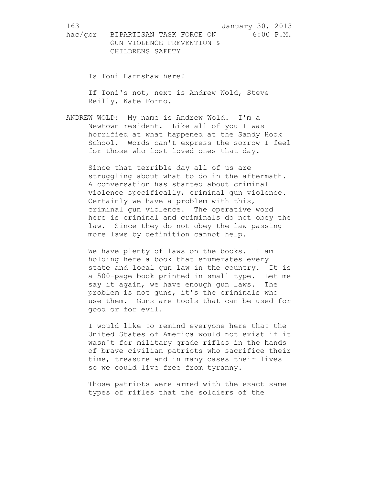hac/gbr BIPARTISAN TASK FORCE ON 6:00 P.M. GUN VIOLENCE PREVENTION & CHILDRENS SAFETY

Is Toni Earnshaw here?

If Toni's not, next is Andrew Wold, Steve Reilly, Kate Forno.

ANDREW WOLD: My name is Andrew Wold. I'm a Newtown resident. Like all of you I was horrified at what happened at the Sandy Hook School. Words can't express the sorrow I feel for those who lost loved ones that day.

Since that terrible day all of us are struggling about what to do in the aftermath. A conversation has started about criminal violence specifically, criminal gun violence. Certainly we have a problem with this, criminal gun violence. The operative word here is criminal and criminals do not obey the law. Since they do not obey the law passing more laws by definition cannot help.

We have plenty of laws on the books. I am holding here a book that enumerates every state and local gun law in the country. It is a 500-page book printed in small type. Let me say it again, we have enough gun laws. The problem is not guns, it's the criminals who use them. Guns are tools that can be used for good or for evil.

I would like to remind everyone here that the United States of America would not exist if it wasn't for military grade rifles in the hands of brave civilian patriots who sacrifice their time, treasure and in many cases their lives so we could live free from tyranny.

Those patriots were armed with the exact same types of rifles that the soldiers of the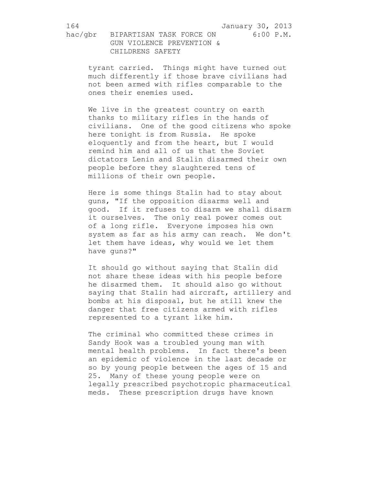tyrant carried. Things might have turned out much differently if those brave civilians had not been armed with rifles comparable to the ones their enemies used.

We live in the greatest country on earth thanks to military rifles in the hands of civilians. One of the good citizens who spoke here tonight is from Russia. He spoke eloquently and from the heart, but I would remind him and all of us that the Soviet dictators Lenin and Stalin disarmed their own people before they slaughtered tens of millions of their own people.

Here is some things Stalin had to stay about guns, "If the opposition disarms well and good. If it refuses to disarm we shall disarm it ourselves. The only real power comes out of a long rifle. Everyone imposes his own system as far as his army can reach. We don't let them have ideas, why would we let them have guns?"

It should go without saying that Stalin did not share these ideas with his people before he disarmed them. It should also go without saying that Stalin had aircraft, artillery and bombs at his disposal, but he still knew the danger that free citizens armed with rifles represented to a tyrant like him.

The criminal who committed these crimes in Sandy Hook was a troubled young man with mental health problems. In fact there's been an epidemic of violence in the last decade or so by young people between the ages of 15 and 25. Many of these young people were on legally prescribed psychotropic pharmaceutical meds. These prescription drugs have known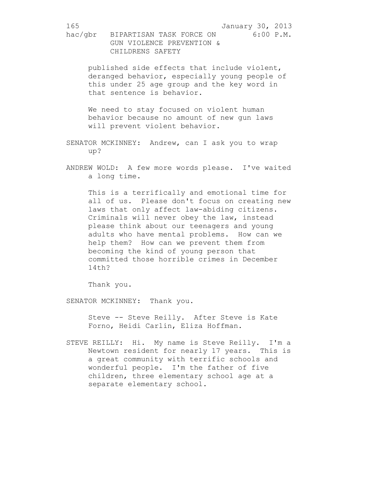165 January 30, 2013 hac/gbr BIPARTISAN TASK FORCE ON 6:00 P.M. GUN VIOLENCE PREVENTION & CHILDRENS SAFETY published side effects that include violent, deranged behavior, especially young people of this under 25 age group and the key word in that sentence is behavior. We need to stay focused on violent human behavior because no amount of new gun laws will prevent violent behavior. SENATOR MCKINNEY: Andrew, can I ask you to wrap up? ANDREW WOLD: A few more words please. I've waited a long time. This is a terrifically and emotional time for all of us. Please don't focus on creating new laws that only affect law-abiding citizens. Criminals will never obey the law, instead please think about our teenagers and young adults who have mental problems. How can we help them? How can we prevent them from

becoming the kind of young person that committed those horrible crimes in December 14th?

Thank you.

SENATOR MCKINNEY: Thank you.

Steve -- Steve Reilly. After Steve is Kate Forno, Heidi Carlin, Eliza Hoffman.

STEVE REILLY: Hi. My name is Steve Reilly. I'm a Newtown resident for nearly 17 years. This is a great community with terrific schools and wonderful people. I'm the father of five children, three elementary school age at a separate elementary school.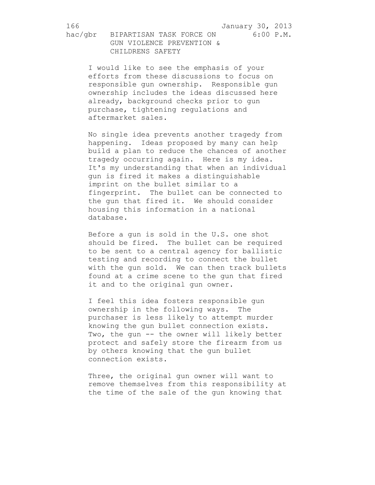I would like to see the emphasis of your efforts from these discussions to focus on responsible gun ownership. Responsible gun ownership includes the ideas discussed here already, background checks prior to gun purchase, tightening regulations and aftermarket sales.

No single idea prevents another tragedy from happening. Ideas proposed by many can help build a plan to reduce the chances of another tragedy occurring again. Here is my idea. It's my understanding that when an individual gun is fired it makes a distinguishable imprint on the bullet similar to a fingerprint. The bullet can be connected to the gun that fired it. We should consider housing this information in a national database.

Before a gun is sold in the U.S. one shot should be fired. The bullet can be required to be sent to a central agency for ballistic testing and recording to connect the bullet with the gun sold. We can then track bullets found at a crime scene to the gun that fired it and to the original gun owner.

I feel this idea fosters responsible gun ownership in the following ways. The purchaser is less likely to attempt murder knowing the gun bullet connection exists. Two, the gun -- the owner will likely better protect and safely store the firearm from us by others knowing that the gun bullet connection exists.

Three, the original gun owner will want to remove themselves from this responsibility at the time of the sale of the gun knowing that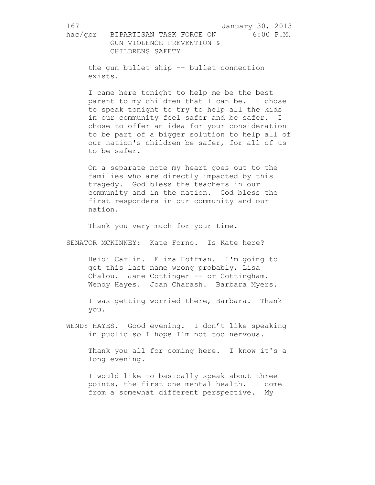the gun bullet ship -- bullet connection exists.

I came here tonight to help me be the best parent to my children that I can be. I chose to speak tonight to try to help all the kids in our community feel safer and be safer. I chose to offer an idea for your consideration to be part of a bigger solution to help all of our nation's children be safer, for all of us to be safer.

On a separate note my heart goes out to the families who are directly impacted by this tragedy. God bless the teachers in our community and in the nation. God bless the first responders in our community and our nation.

Thank you very much for your time.

SENATOR MCKINNEY: Kate Forno. Is Kate here?

Heidi Carlin. Eliza Hoffman. I'm going to get this last name wrong probably, Lisa Chalou. Jane Cottinger -- or Cottingham. Wendy Hayes. Joan Charash. Barbara Myers.

I was getting worried there, Barbara. Thank you.

WENDY HAYES. Good evening. I don't like speaking in public so I hope I'm not too nervous.

Thank you all for coming here. I know it's a long evening.

I would like to basically speak about three points, the first one mental health. I come from a somewhat different perspective. My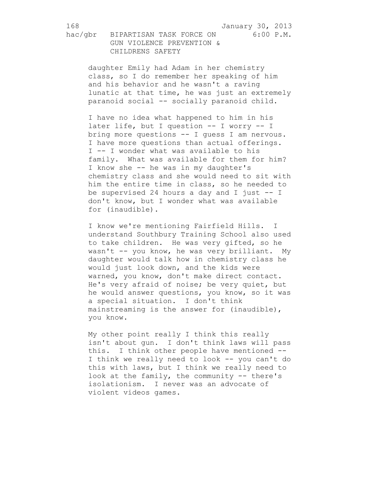hac/gbr BIPARTISAN TASK FORCE ON 6:00 P.M. GUN VIOLENCE PREVENTION & CHILDRENS SAFETY

daughter Emily had Adam in her chemistry class, so I do remember her speaking of him and his behavior and he wasn't a raving lunatic at that time, he was just an extremely paranoid social -- socially paranoid child.

I have no idea what happened to him in his later life, but I question -- I worry -- I bring more questions -- I guess I am nervous. I have more questions than actual offerings. I -- I wonder what was available to his family. What was available for them for him? I know she -- he was in my daughter's chemistry class and she would need to sit with him the entire time in class, so he needed to be supervised 24 hours a day and I just  $-1$ don't know, but I wonder what was available for (inaudible).

I know we're mentioning Fairfield Hills. I understand Southbury Training School also used to take children. He was very gifted, so he wasn't -- you know, he was very brilliant. My daughter would talk how in chemistry class he would just look down, and the kids were warned, you know, don't make direct contact. He's very afraid of noise; be very quiet, but he would answer questions, you know, so it was a special situation. I don't think mainstreaming is the answer for (inaudible), you know.

My other point really I think this really isn't about gun. I don't think laws will pass this. I think other people have mentioned -- I think we really need to look -- you can't do this with laws, but I think we really need to look at the family, the community -- there's isolationism. I never was an advocate of violent videos games.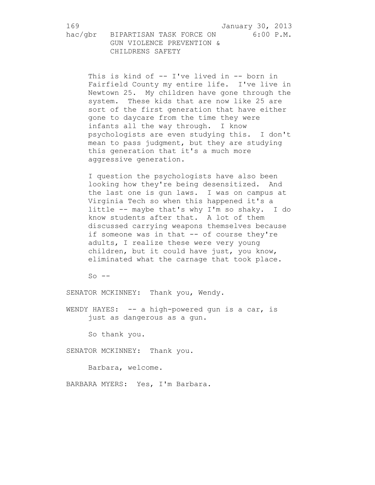hac/gbr BIPARTISAN TASK FORCE ON 6:00 P.M. GUN VIOLENCE PREVENTION & CHILDRENS SAFETY

This is kind of -- I've lived in -- born in Fairfield County my entire life. I've live in Newtown 25. My children have gone through the system. These kids that are now like 25 are sort of the first generation that have either gone to daycare from the time they were infants all the way through. I know psychologists are even studying this. I don't mean to pass judgment, but they are studying this generation that it's a much more aggressive generation.

I question the psychologists have also been looking how they're being desensitized. And the last one is gun laws. I was on campus at Virginia Tech so when this happened it's a little -- maybe that's why I'm so shaky. I do know students after that. A lot of them discussed carrying weapons themselves because if someone was in that -- of course they're adults, I realize these were very young children, but it could have just, you know, eliminated what the carnage that took place.

 $So$   $--$ 

SENATOR MCKINNEY: Thank you, Wendy.

WENDY HAYES: -- a high-powered gun is a car, is just as dangerous as a gun.

So thank you.

SENATOR MCKINNEY: Thank you.

Barbara, welcome.

BARBARA MYERS: Yes, I'm Barbara.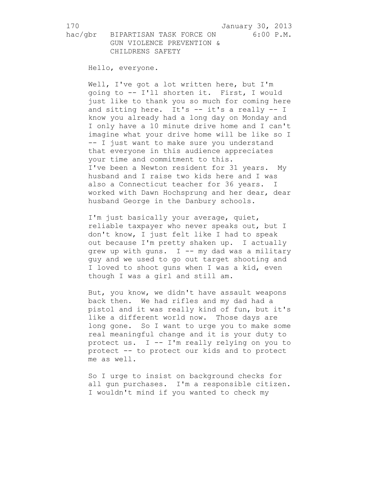Hello, everyone.

Well, I've got a lot written here, but I'm going to -- I'll shorten it. First, I would just like to thank you so much for coming here and sitting here. It's -- it's a really -- I know you already had a long day on Monday and I only have a 10 minute drive home and I can't imagine what your drive home will be like so I -- I just want to make sure you understand that everyone in this audience appreciates your time and commitment to this. I've been a Newton resident for 31 years. My husband and I raise two kids here and I was also a Connecticut teacher for 36 years. I worked with Dawn Hochsprung and her dear, dear husband George in the Danbury schools.

I'm just basically your average, quiet, reliable taxpayer who never speaks out, but I don't know, I just felt like I had to speak out because I'm pretty shaken up. I actually grew up with guns.  $I$  -- my dad was a military guy and we used to go out target shooting and I loved to shoot guns when I was a kid, even though I was a girl and still am.

But, you know, we didn't have assault weapons back then. We had rifles and my dad had a pistol and it was really kind of fun, but it's like a different world now. Those days are long gone. So I want to urge you to make some real meaningful change and it is your duty to protect us. I -- I'm really relying on you to protect -- to protect our kids and to protect me as well.

So I urge to insist on background checks for all gun purchases. I'm a responsible citizen. I wouldn't mind if you wanted to check my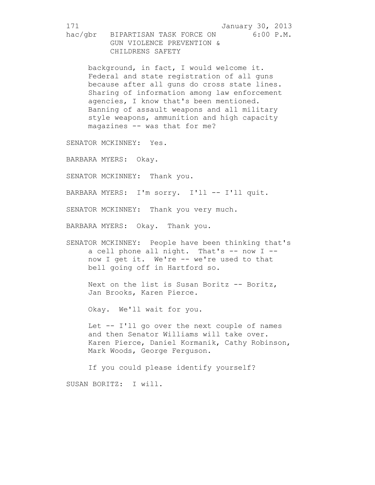background, in fact, I would welcome it. Federal and state registration of all guns because after all guns do cross state lines. Sharing of information among law enforcement agencies, I know that's been mentioned. Banning of assault weapons and all military style weapons, ammunition and high capacity magazines -- was that for me?

SENATOR MCKINNEY: Yes.

BARBARA MYERS: Okay.

SENATOR MCKINNEY: Thank you.

BARBARA MYERS: I'm sorry. I'll -- I'll quit.

SENATOR MCKINNEY: Thank you very much.

BARBARA MYERS: Okay. Thank you.

SENATOR MCKINNEY: People have been thinking that's a cell phone all night. That's  $-$  now I  $$ now I get it. We're -- we're used to that bell going off in Hartford so.

Next on the list is Susan Boritz -- Boritz, Jan Brooks, Karen Pierce.

Okay. We'll wait for you.

Let -- I'll go over the next couple of names and then Senator Williams will take over. Karen Pierce, Daniel Kormanik, Cathy Robinson, Mark Woods, George Ferguson.

If you could please identify yourself? SUSAN BORITZ: I will.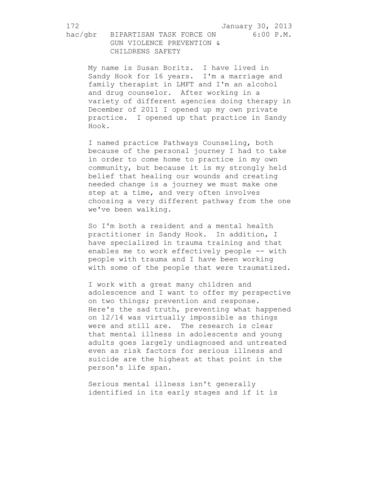hac/gbr BIPARTISAN TASK FORCE ON 6:00 P.M. GUN VIOLENCE PREVENTION & CHILDRENS SAFETY

My name is Susan Boritz. I have lived in Sandy Hook for 16 years. I'm a marriage and family therapist in LMFT and I'm an alcohol and drug counselor. After working in a variety of different agencies doing therapy in December of 2011 I opened up my own private practice. I opened up that practice in Sandy Hook.

I named practice Pathways Counseling, both because of the personal journey I had to take in order to come home to practice in my own community, but because it is my strongly held belief that healing our wounds and creating needed change is a journey we must make one step at a time, and very often involves choosing a very different pathway from the one we've been walking.

So I'm both a resident and a mental health practitioner in Sandy Hook. In addition, I have specialized in trauma training and that enables me to work effectively people -- with people with trauma and I have been working with some of the people that were traumatized.

I work with a great many children and adolescence and I want to offer my perspective on two things; prevention and response. Here's the sad truth, preventing what happened on 12/14 was virtually impossible as things were and still are. The research is clear that mental illness in adolescents and young adults goes largely undiagnosed and untreated even as risk factors for serious illness and suicide are the highest at that point in the person's life span.

Serious mental illness isn't generally identified in its early stages and if it is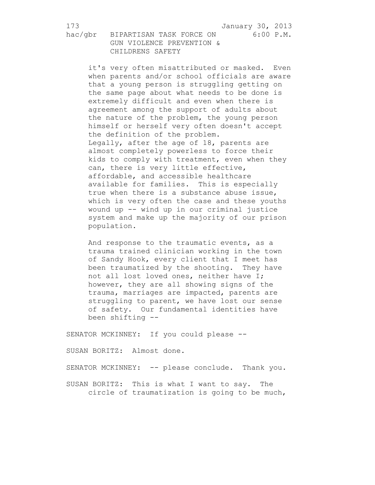it's very often misattributed or masked. Even when parents and/or school officials are aware that a young person is struggling getting on the same page about what needs to be done is extremely difficult and even when there is agreement among the support of adults about the nature of the problem, the young person himself or herself very often doesn't accept the definition of the problem. Legally, after the age of 18, parents are almost completely powerless to force their kids to comply with treatment, even when they can, there is very little effective, affordable, and accessible healthcare available for families. This is especially true when there is a substance abuse issue, which is very often the case and these youths wound up -- wind up in our criminal justice system and make up the majority of our prison population.

And response to the traumatic events, as a trauma trained clinician working in the town of Sandy Hook, every client that I meet has been traumatized by the shooting. They have not all lost loved ones, neither have I; however, they are all showing signs of the trauma, marriages are impacted, parents are struggling to parent, we have lost our sense of safety. Our fundamental identities have been shifting --

SENATOR MCKINNEY: If you could please --

SUSAN BORITZ: Almost done.

SENATOR MCKINNEY: -- please conclude. Thank you.

SUSAN BORITZ: This is what I want to say. The circle of traumatization is going to be much,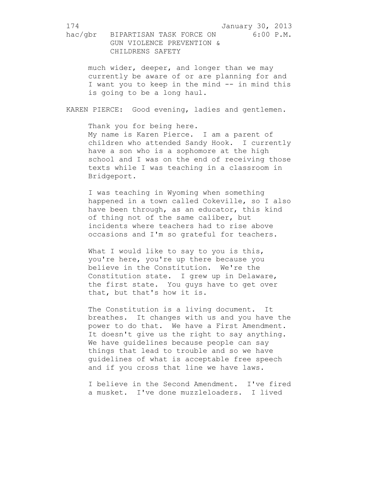much wider, deeper, and longer than we may currently be aware of or are planning for and I want you to keep in the mind -- in mind this is going to be a long haul.

KAREN PIERCE: Good evening, ladies and gentlemen.

Thank you for being here. My name is Karen Pierce. I am a parent of children who attended Sandy Hook. I currently have a son who is a sophomore at the high school and I was on the end of receiving those texts while I was teaching in a classroom in Bridgeport.

I was teaching in Wyoming when something happened in a town called Cokeville, so I also have been through, as an educator, this kind of thing not of the same caliber, but incidents where teachers had to rise above occasions and I'm so grateful for teachers.

What I would like to say to you is this, you're here, you're up there because you believe in the Constitution. We're the Constitution state. I grew up in Delaware, the first state. You guys have to get over that, but that's how it is.

The Constitution is a living document. It breathes. It changes with us and you have the power to do that. We have a First Amendment. It doesn't give us the right to say anything. We have guidelines because people can say things that lead to trouble and so we have guidelines of what is acceptable free speech and if you cross that line we have laws.

I believe in the Second Amendment. I've fired a musket. I've done muzzleloaders. I lived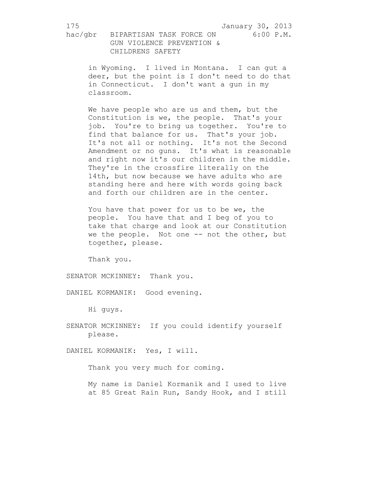in Wyoming. I lived in Montana. I can gut a deer, but the point is I don't need to do that in Connecticut. I don't want a gun in my classroom.

We have people who are us and them, but the Constitution is we, the people. That's your job. You're to bring us together. You're to find that balance for us. That's your job. It's not all or nothing. It's not the Second Amendment or no guns. It's what is reasonable and right now it's our children in the middle. They're in the crossfire literally on the 14th, but now because we have adults who are standing here and here with words going back and forth our children are in the center.

You have that power for us to be we, the people. You have that and I beg of you to take that charge and look at our Constitution we the people. Not one -- not the other, but together, please.

Thank you.

SENATOR MCKINNEY: Thank you.

DANIEL KORMANIK: Good evening.

Hi guys.

SENATOR MCKINNEY: If you could identify yourself please.

DANIEL KORMANIK: Yes, I will.

Thank you very much for coming.

My name is Daniel Kormanik and I used to live at 85 Great Rain Run, Sandy Hook, and I still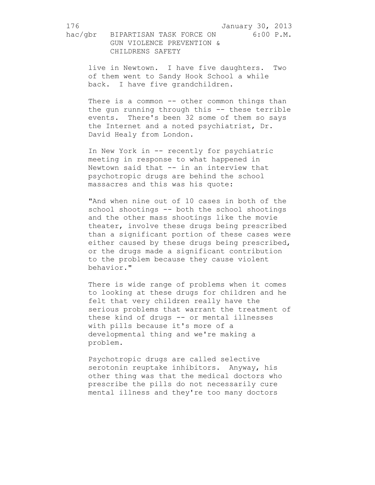live in Newtown. I have five daughters. Two of them went to Sandy Hook School a while back. I have five grandchildren.

There is a common -- other common things than the gun running through this -- these terrible events. There's been 32 some of them so says the Internet and a noted psychiatrist, Dr. David Healy from London.

In New York in -- recently for psychiatric meeting in response to what happened in Newtown said that -- in an interview that psychotropic drugs are behind the school massacres and this was his quote:

"And when nine out of 10 cases in both of the school shootings -- both the school shootings and the other mass shootings like the movie theater, involve these drugs being prescribed than a significant portion of these cases were either caused by these drugs being prescribed, or the drugs made a significant contribution to the problem because they cause violent behavior."

There is wide range of problems when it comes to looking at these drugs for children and he felt that very children really have the serious problems that warrant the treatment of these kind of drugs -- or mental illnesses with pills because it's more of a developmental thing and we're making a problem.

Psychotropic drugs are called selective serotonin reuptake inhibitors. Anyway, his other thing was that the medical doctors who prescribe the pills do not necessarily cure mental illness and they're too many doctors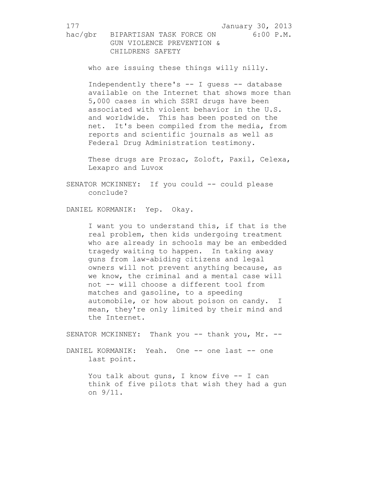who are issuing these things willy nilly.

Independently there's -- I guess -- database available on the Internet that shows more than 5,000 cases in which SSRI drugs have been associated with violent behavior in the U.S. and worldwide. This has been posted on the net. It's been compiled from the media, from reports and scientific journals as well as Federal Drug Administration testimony.

These drugs are Prozac, Zoloft, Paxil, Celexa, Lexapro and Luvox

SENATOR MCKINNEY: If you could -- could please conclude?

DANIEL KORMANIK: Yep. Okay.

I want you to understand this, if that is the real problem, then kids undergoing treatment who are already in schools may be an embedded tragedy waiting to happen. In taking away guns from law-abiding citizens and legal owners will not prevent anything because, as we know, the criminal and a mental case will not -- will choose a different tool from matches and gasoline, to a speeding automobile, or how about poison on candy. I mean, they're only limited by their mind and the Internet.

SENATOR MCKINNEY: Thank you -- thank you, Mr. --

DANIEL KORMANIK: Yeah. One -- one last -- one last point.

> You talk about guns, I know five -- I can think of five pilots that wish they had a gun on 9/11.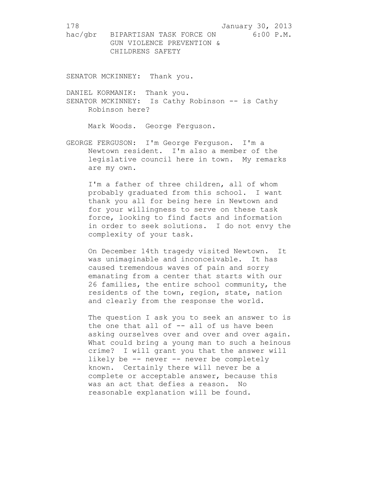SENATOR MCKINNEY: Thank you.

DANIEL KORMANIK: Thank you. SENATOR MCKINNEY: Is Cathy Robinson -- is Cathy Robinson here?

Mark Woods. George Ferguson.

GEORGE FERGUSON: I'm George Ferguson. I'm a Newtown resident. I'm also a member of the legislative council here in town. My remarks are my own.

I'm a father of three children, all of whom probably graduated from this school. I want thank you all for being here in Newtown and for your willingness to serve on these task force, looking to find facts and information in order to seek solutions. I do not envy the complexity of your task.

On December 14th tragedy visited Newtown. It was unimaginable and inconceivable. It has caused tremendous waves of pain and sorry emanating from a center that starts with our 26 families, the entire school community, the residents of the town, region, state, nation and clearly from the response the world.

The question I ask you to seek an answer to is the one that all of -- all of us have been asking ourselves over and over and over again. What could bring a young man to such a heinous crime? I will grant you that the answer will likely be -- never -- never be completely known. Certainly there will never be a complete or acceptable answer, because this was an act that defies a reason. No reasonable explanation will be found.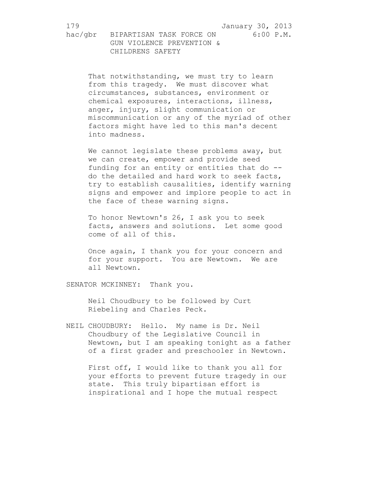> That notwithstanding, we must try to learn from this tragedy. We must discover what circumstances, substances, environment or chemical exposures, interactions, illness, anger, injury, slight communication or miscommunication or any of the myriad of other factors might have led to this man's decent into madness.

> We cannot legislate these problems away, but we can create, empower and provide seed funding for an entity or entities that do - do the detailed and hard work to seek facts, try to establish causalities, identify warning signs and empower and implore people to act in the face of these warning signs.

To honor Newtown's 26, I ask you to seek facts, answers and solutions. Let some good come of all of this.

Once again, I thank you for your concern and for your support. You are Newtown. We are all Newtown.

SENATOR MCKINNEY: Thank you.

Neil Choudbury to be followed by Curt Riebeling and Charles Peck.

NEIL CHOUDBURY: Hello. My name is Dr. Neil Choudbury of the Legislative Council in Newtown, but I am speaking tonight as a father of a first grader and preschooler in Newtown.

First off, I would like to thank you all for your efforts to prevent future tragedy in our state. This truly bipartisan effort is inspirational and I hope the mutual respect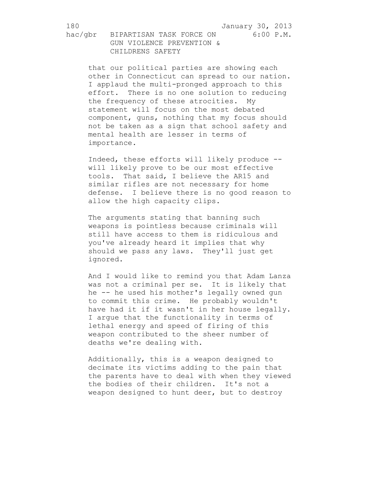that our political parties are showing each other in Connecticut can spread to our nation. I applaud the multi-pronged approach to this effort. There is no one solution to reducing the frequency of these atrocities. My statement will focus on the most debated component, guns, nothing that my focus should not be taken as a sign that school safety and mental health are lesser in terms of importance.

Indeed, these efforts will likely produce - will likely prove to be our most effective tools. That said, I believe the AR15 and similar rifles are not necessary for home defense. I believe there is no good reason to allow the high capacity clips.

The arguments stating that banning such weapons is pointless because criminals will still have access to them is ridiculous and you've already heard it implies that why should we pass any laws. They'll just get ignored.

And I would like to remind you that Adam Lanza was not a criminal per se. It is likely that he -- he used his mother's legally owned gun to commit this crime. He probably wouldn't have had it if it wasn't in her house legally. I argue that the functionality in terms of lethal energy and speed of firing of this weapon contributed to the sheer number of deaths we're dealing with.

Additionally, this is a weapon designed to decimate its victims adding to the pain that the parents have to deal with when they viewed the bodies of their children. It's not a weapon designed to hunt deer, but to destroy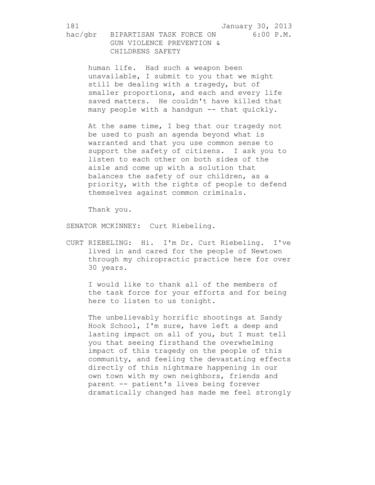human life. Had such a weapon been unavailable, I submit to you that we might still be dealing with a tragedy, but of smaller proportions, and each and every life saved matters. He couldn't have killed that many people with a handgun -- that quickly.

At the same time, I beg that our tragedy not be used to push an agenda beyond what is warranted and that you use common sense to support the safety of citizens. I ask you to listen to each other on both sides of the aisle and come up with a solution that balances the safety of our children, as a priority, with the rights of people to defend themselves against common criminals.

Thank you.

SENATOR MCKINNEY: Curt Riebeling.

CURT RIEBELING: Hi. I'm Dr. Curt Riebeling. I've lived in and cared for the people of Newtown through my chiropractic practice here for over 30 years.

I would like to thank all of the members of the task force for your efforts and for being here to listen to us tonight.

The unbelievably horrific shootings at Sandy Hook School, I'm sure, have left a deep and lasting impact on all of you, but I must tell you that seeing firsthand the overwhelming impact of this tragedy on the people of this community, and feeling the devastating effects directly of this nightmare happening in our own town with my own neighbors, friends and parent -- patient's lives being forever dramatically changed has made me feel strongly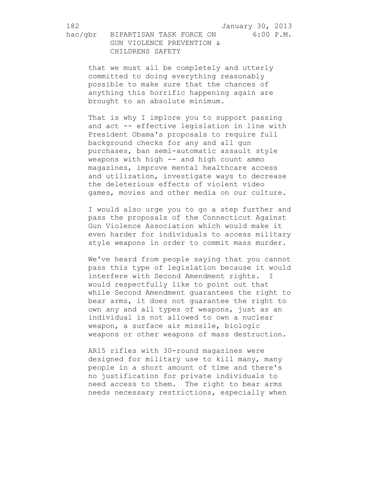hac/gbr BIPARTISAN TASK FORCE ON 6:00 P.M. GUN VIOLENCE PREVENTION & CHILDRENS SAFETY

that we must all be completely and utterly committed to doing everything reasonably possible to make sure that the chances of anything this horrific happening again are brought to an absolute minimum.

That is why I implore you to support passing and act -- effective legislation in line with President Obama's proposals to require full background checks for any and all gun purchases, ban semi-automatic assault style weapons with high -- and high count ammo magazines, improve mental healthcare access and utilization, investigate ways to decrease the deleterious effects of violent video games, movies and other media on our culture.

I would also urge you to go a step further and pass the proposals of the Connecticut Against Gun Violence Association which would make it even harder for individuals to access military style weapons in order to commit mass murder.

We've heard from people saying that you cannot pass this type of legislation because it would interfere with Second Amendment rights. I would respectfully like to point out that while Second Amendment guarantees the right to bear arms, it does not guarantee the right to own any and all types of weapons, just as an individual is not allowed to own a nuclear weapon, a surface air missile, biologic weapons or other weapons of mass destruction.

AR15 rifles with 30-round magazines were designed for military use to kill many, many people in a short amount of time and there's no justification for private individuals to need access to them. The right to bear arms needs necessary restrictions, especially when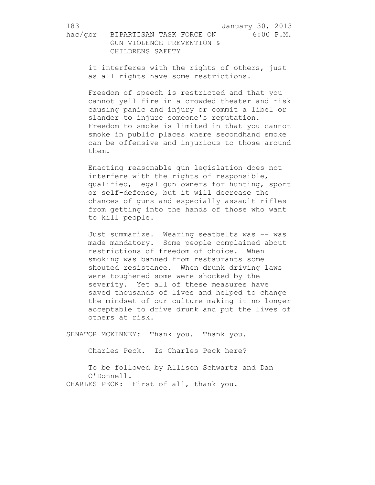it interferes with the rights of others, just as all rights have some restrictions.

Freedom of speech is restricted and that you cannot yell fire in a crowded theater and risk causing panic and injury or commit a libel or slander to injure someone's reputation. Freedom to smoke is limited in that you cannot smoke in public places where secondhand smoke can be offensive and injurious to those around them.

Enacting reasonable gun legislation does not interfere with the rights of responsible, qualified, legal gun owners for hunting, sport or self-defense, but it will decrease the chances of guns and especially assault rifles from getting into the hands of those who want to kill people.

Just summarize. Wearing seatbelts was -- was made mandatory. Some people complained about restrictions of freedom of choice. When smoking was banned from restaurants some shouted resistance. When drunk driving laws were toughened some were shocked by the severity. Yet all of these measures have saved thousands of lives and helped to change the mindset of our culture making it no longer acceptable to drive drunk and put the lives of others at risk.

SENATOR MCKINNEY: Thank you. Thank you.

Charles Peck. Is Charles Peck here?

To be followed by Allison Schwartz and Dan O'Donnell. CHARLES PECK: First of all, thank you.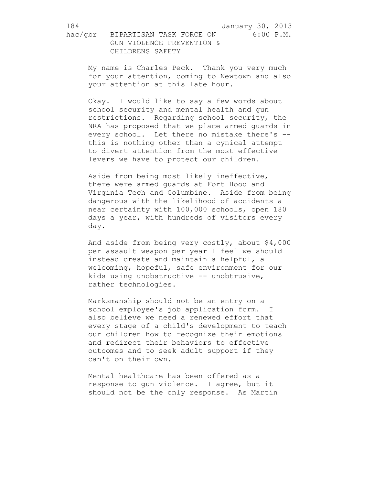hac/gbr BIPARTISAN TASK FORCE ON 6:00 P.M. GUN VIOLENCE PREVENTION & CHILDRENS SAFETY

My name is Charles Peck. Thank you very much for your attention, coming to Newtown and also your attention at this late hour.

Okay. I would like to say a few words about school security and mental health and gun restrictions. Regarding school security, the NRA has proposed that we place armed guards in every school. Let there no mistake there's - this is nothing other than a cynical attempt to divert attention from the most effective levers we have to protect our children.

Aside from being most likely ineffective, there were armed guards at Fort Hood and Virginia Tech and Columbine. Aside from being dangerous with the likelihood of accidents a near certainty with 100,000 schools, open 180 days a year, with hundreds of visitors every day.

And aside from being very costly, about \$4,000 per assault weapon per year I feel we should instead create and maintain a helpful, a welcoming, hopeful, safe environment for our kids using unobstructive -- unobtrusive, rather technologies.

Marksmanship should not be an entry on a school employee's job application form. I also believe we need a renewed effort that every stage of a child's development to teach our children how to recognize their emotions and redirect their behaviors to effective outcomes and to seek adult support if they can't on their own.

Mental healthcare has been offered as a response to gun violence. I agree, but it should not be the only response. As Martin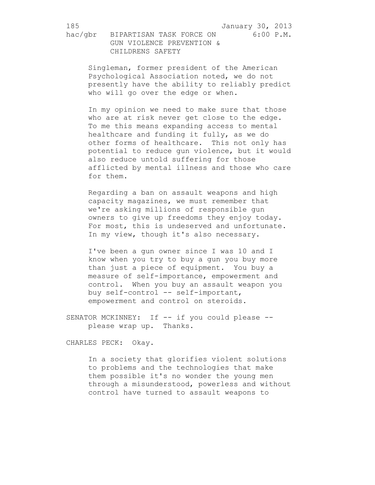Singleman, former president of the American Psychological Association noted, we do not presently have the ability to reliably predict who will go over the edge or when.

In my opinion we need to make sure that those who are at risk never get close to the edge. To me this means expanding access to mental healthcare and funding it fully, as we do other forms of healthcare. This not only has potential to reduce gun violence, but it would also reduce untold suffering for those afflicted by mental illness and those who care for them.

Regarding a ban on assault weapons and high capacity magazines, we must remember that we're asking millions of responsible gun owners to give up freedoms they enjoy today. For most, this is undeserved and unfortunate. In my view, though it's also necessary.

I've been a gun owner since I was 10 and I know when you try to buy a gun you buy more than just a piece of equipment. You buy a measure of self-importance, empowerment and control. When you buy an assault weapon you buy self-control -- self-important, empowerment and control on steroids.

SENATOR MCKINNEY: If -- if you could please -please wrap up. Thanks.

CHARLES PECK: Okay.

In a society that glorifies violent solutions to problems and the technologies that make them possible it's no wonder the young men through a misunderstood, powerless and without control have turned to assault weapons to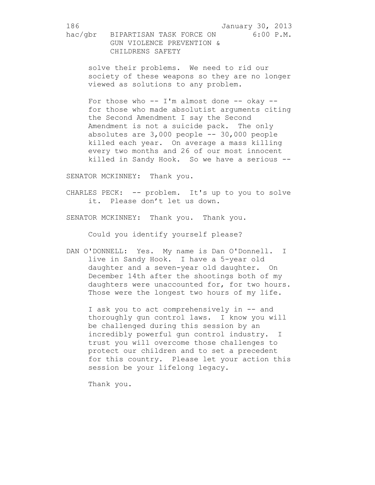> solve their problems. We need to rid our society of these weapons so they are no longer viewed as solutions to any problem.

> For those who  $--$  I'm almost done  $--$  okay  $-$ for those who made absolutist arguments citing the Second Amendment I say the Second Amendment is not a suicide pack. The only absolutes are 3,000 people -- 30,000 people killed each year. On average a mass killing every two months and 26 of our most innocent killed in Sandy Hook. So we have a serious --

SENATOR MCKINNEY: Thank you.

CHARLES PECK: -- problem. It's up to you to solve it. Please don't let us down.

SENATOR MCKINNEY: Thank you. Thank you.

Could you identify yourself please?

DAN O'DONNELL: Yes. My name is Dan O'Donnell. I live in Sandy Hook. I have a 5-year old daughter and a seven-year old daughter. On December 14th after the shootings both of my daughters were unaccounted for, for two hours. Those were the longest two hours of my life.

I ask you to act comprehensively in -- and thoroughly gun control laws. I know you will be challenged during this session by an incredibly powerful gun control industry. I trust you will overcome those challenges to protect our children and to set a precedent for this country. Please let your action this session be your lifelong legacy.

Thank you.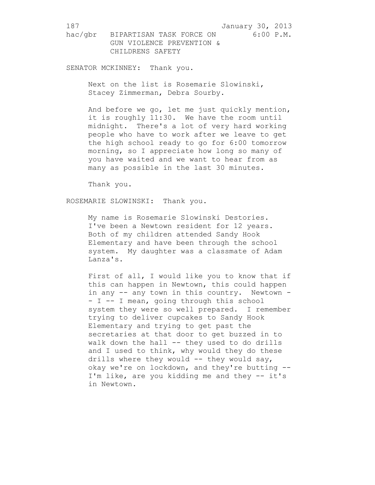SENATOR MCKINNEY: Thank you.

Next on the list is Rosemarie Slowinski, Stacey Zimmerman, Debra Sourby.

And before we go, let me just quickly mention, it is roughly 11:30. We have the room until midnight. There's a lot of very hard working people who have to work after we leave to get the high school ready to go for 6:00 tomorrow morning, so I appreciate how long so many of you have waited and we want to hear from as many as possible in the last 30 minutes.

Thank you.

ROSEMARIE SLOWINSKI: Thank you.

My name is Rosemarie Slowinski Destories. I've been a Newtown resident for 12 years. Both of my children attended Sandy Hook Elementary and have been through the school system. My daughter was a classmate of Adam Lanza's.

First of all, I would like you to know that if this can happen in Newtown, this could happen in any -- any town in this country. Newtown -- I -- I mean, going through this school system they were so well prepared. I remember trying to deliver cupcakes to Sandy Hook Elementary and trying to get past the secretaries at that door to get buzzed in to walk down the hall -- they used to do drills and I used to think, why would they do these drills where they would -- they would say, okay we're on lockdown, and they're butting -- I'm like, are you kidding me and they -- it's in Newtown.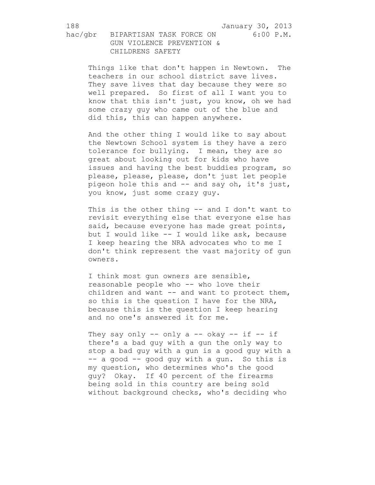Things like that don't happen in Newtown. The teachers in our school district save lives. They save lives that day because they were so well prepared. So first of all I want you to know that this isn't just, you know, oh we had some crazy guy who came out of the blue and did this, this can happen anywhere.

And the other thing I would like to say about the Newtown School system is they have a zero tolerance for bullying. I mean, they are so great about looking out for kids who have issues and having the best buddies program, so please, please, please, don't just let people pigeon hole this and -- and say oh, it's just, you know, just some crazy guy.

This is the other thing -- and I don't want to revisit everything else that everyone else has said, because everyone has made great points, but I would like -- I would like ask, because I keep hearing the NRA advocates who to me I don't think represent the vast majority of gun owners.

I think most gun owners are sensible, reasonable people who -- who love their children and want -- and want to protect them, so this is the question I have for the NRA, because this is the question I keep hearing and no one's answered it for me.

They say only  $--$  only a  $--$  okay  $--$  if  $--$  if there's a bad guy with a gun the only way to stop a bad guy with a gun is a good guy with a -- a good -- good guy with a gun. So this is my question, who determines who's the good guy? Okay. If 40 percent of the firearms being sold in this country are being sold without background checks, who's deciding who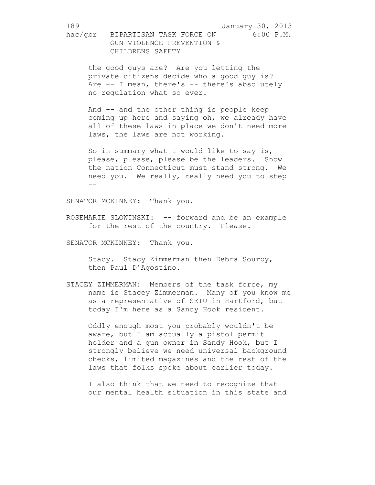the good guys are? Are you letting the private citizens decide who a good guy is? Are -- I mean, there's -- there's absolutely no regulation what so ever.

And -- and the other thing is people keep coming up here and saying oh, we already have all of these laws in place we don't need more laws, the laws are not working.

So in summary what I would like to say is, please, please, please be the leaders. Show the nation Connecticut must stand strong. We need you. We really, really need you to step  $-$ 

SENATOR MCKINNEY: Thank you.

ROSEMARIE SLOWINSKI: -- forward and be an example for the rest of the country. Please.

SENATOR MCKINNEY: Thank you.

Stacy. Stacy Zimmerman then Debra Sourby, then Paul D'Agostino.

STACEY ZIMMERMAN: Members of the task force, my name is Stacey Zimmerman. Many of you know me as a representative of SEIU in Hartford, but today I'm here as a Sandy Hook resident.

Oddly enough most you probably wouldn't be aware, but I am actually a pistol permit holder and a gun owner in Sandy Hook, but I strongly believe we need universal background checks, limited magazines and the rest of the laws that folks spoke about earlier today.

I also think that we need to recognize that our mental health situation in this state and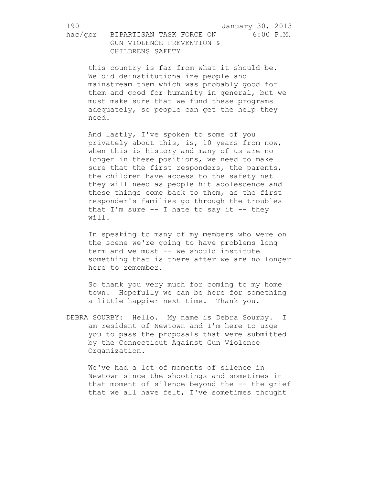this country is far from what it should be. We did deinstitutionalize people and mainstream them which was probably good for them and good for humanity in general, but we must make sure that we fund these programs adequately, so people can get the help they need.

And lastly, I've spoken to some of you privately about this, is, 10 years from now, when this is history and many of us are no longer in these positions, we need to make sure that the first responders, the parents, the children have access to the safety net they will need as people hit adolescence and these things come back to them, as the first responder's families go through the troubles that I'm sure  $--$  I hate to say it  $--$  they will.

In speaking to many of my members who were on the scene we're going to have problems long term and we must -- we should institute something that is there after we are no longer here to remember.

So thank you very much for coming to my home town. Hopefully we can be here for something a little happier next time. Thank you.

DEBRA SOURBY: Hello. My name is Debra Sourby. I am resident of Newtown and I'm here to urge you to pass the proposals that were submitted by the Connecticut Against Gun Violence Organization.

We've had a lot of moments of silence in Newtown since the shootings and sometimes in that moment of silence beyond the -- the grief that we all have felt, I've sometimes thought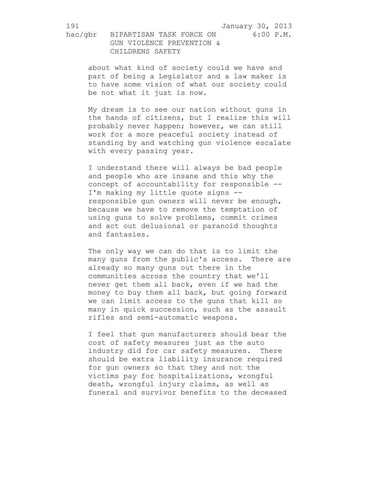hac/gbr BIPARTISAN TASK FORCE ON 6:00 P.M. GUN VIOLENCE PREVENTION & CHILDRENS SAFETY

about what kind of society could we have and part of being a Legislator and a law maker is to have some vision of what our society could be not what it just is now.

My dream is to see our nation without guns in the hands of citizens, but I realize this will probably never happen; however, we can still work for a more peaceful society instead of standing by and watching gun violence escalate with every passing year.

I understand there will always be bad people and people who are insane and this why the concept of accountability for responsible -- I'm making my little quote signs - responsible gun owners will never be enough, because we have to remove the temptation of using guns to solve problems, commit crimes and act out delusional or paranoid thoughts and fantasies.

The only way we can do that is to limit the many guns from the public's access. There are already so many guns out there in the communities across the country that we'll never get them all back, even if we had the money to buy them all back, but going forward we can limit access to the guns that kill so many in quick succession, such as the assault rifles and semi-automatic weapons.

I feel that gun manufacturers should bear the cost of safety measures just as the auto industry did for car safety measures. There should be extra liability insurance required for gun owners so that they and not the victims pay for hospitalizations, wrongful death, wrongful injury claims, as well as funeral and survivor benefits to the deceased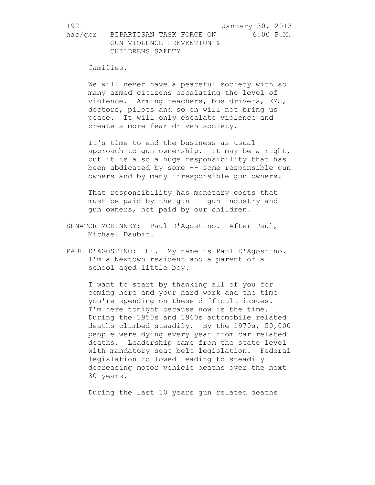families.

We will never have a peaceful society with so many armed citizens escalating the level of violence. Arming teachers, bus drivers, EMS, doctors, pilots and so on will not bring us peace. It will only escalate violence and create a more fear driven society.

It's time to end the business as usual approach to gun ownership. It may be a right, but it is also a huge responsibility that has been abdicated by some -- some responsible gun owners and by many irresponsible gun owners.

That responsibility has monetary costs that must be paid by the gun  $-$ - gun industry and gun owners, not paid by our children.

- SENATOR MCKINNEY: Paul D'Agostino. After Paul, Michael Daubit.
- PAUL D'AGOSTINO: Hi. My name is Paul D'Agostino. I'm a Newtown resident and a parent of a school aged little boy.

I want to start by thanking all of you for coming here and your hard work and the time you're spending on these difficult issues. I'm here tonight because now is the time. During the 1950s and 1960s automobile related deaths climbed steadily. By the 1970s, 50,000 people were dying every year from car related deaths. Leadership came from the state level with mandatory seat belt legislation. Federal legislation followed leading to steadily decreasing motor vehicle deaths over the next 30 years.

During the last 10 years gun related deaths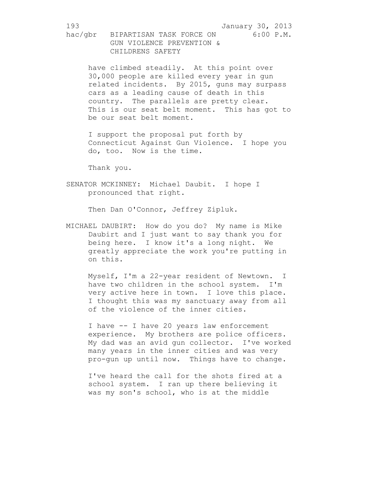have climbed steadily. At this point over 30,000 people are killed every year in gun related incidents. By 2015, guns may surpass cars as a leading cause of death in this country. The parallels are pretty clear. This is our seat belt moment. This has got to be our seat belt moment.

I support the proposal put forth by Connecticut Against Gun Violence. I hope you do, too. Now is the time.

Thank you.

SENATOR MCKINNEY: Michael Daubit. I hope I pronounced that right.

Then Dan O'Connor, Jeffrey Zipluk.

MICHAEL DAUBIRT: How do you do? My name is Mike Daubirt and I just want to say thank you for being here. I know it's a long night. We greatly appreciate the work you're putting in on this.

Myself, I'm a 22-year resident of Newtown. I have two children in the school system. I'm very active here in town. I love this place. I thought this was my sanctuary away from all of the violence of the inner cities.

I have -- I have 20 years law enforcement experience. My brothers are police officers. My dad was an avid gun collector. I've worked many years in the inner cities and was very pro-gun up until now. Things have to change.

I've heard the call for the shots fired at a school system. I ran up there believing it was my son's school, who is at the middle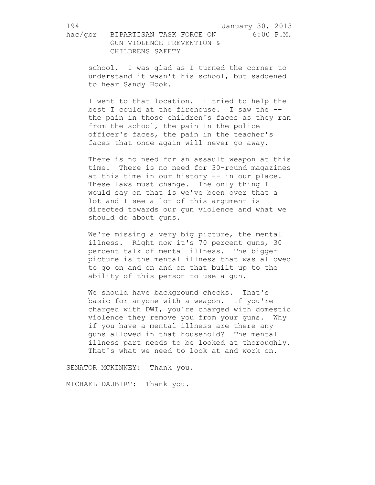school. I was glad as I turned the corner to understand it wasn't his school, but saddened to hear Sandy Hook.

I went to that location. I tried to help the best I could at the firehouse. I saw the - the pain in those children's faces as they ran from the school, the pain in the police officer's faces, the pain in the teacher's faces that once again will never go away.

There is no need for an assault weapon at this time. There is no need for 30-round magazines at this time in our history -- in our place. These laws must change. The only thing I would say on that is we've been over that a lot and I see a lot of this argument is directed towards our gun violence and what we should do about guns.

We're missing a very big picture, the mental illness. Right now it's 70 percent guns, 30 percent talk of mental illness. The bigger picture is the mental illness that was allowed to go on and on and on that built up to the ability of this person to use a gun.

We should have background checks. That's basic for anyone with a weapon. If you're charged with DWI, you're charged with domestic violence they remove you from your guns. Why if you have a mental illness are there any guns allowed in that household? The mental illness part needs to be looked at thoroughly. That's what we need to look at and work on.

SENATOR MCKINNEY: Thank you.

MICHAEL DAUBIRT: Thank you.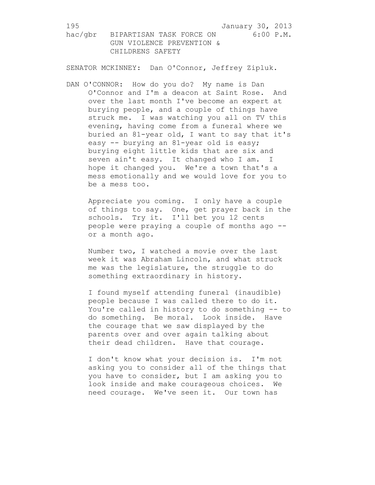SENATOR MCKINNEY: Dan O'Connor, Jeffrey Zipluk.

DAN O'CONNOR: How do you do? My name is Dan O'Connor and I'm a deacon at Saint Rose. And over the last month I've become an expert at burying people, and a couple of things have struck me. I was watching you all on TV this evening, having come from a funeral where we buried an 81-year old, I want to say that it's easy -- burying an 81-year old is easy; burying eight little kids that are six and seven ain't easy. It changed who I am. I hope it changed you. We're a town that's a mess emotionally and we would love for you to be a mess too.

Appreciate you coming. I only have a couple of things to say. One, get prayer back in the schools. Try it. I'll bet you 12 cents people were praying a couple of months ago - or a month ago.

Number two, I watched a movie over the last week it was Abraham Lincoln, and what struck me was the legislature, the struggle to do something extraordinary in history.

I found myself attending funeral (inaudible) people because I was called there to do it. You're called in history to do something -- to do something. Be moral. Look inside. Have the courage that we saw displayed by the parents over and over again talking about their dead children. Have that courage.

I don't know what your decision is. I'm not asking you to consider all of the things that you have to consider, but I am asking you to look inside and make courageous choices. We need courage. We've seen it. Our town has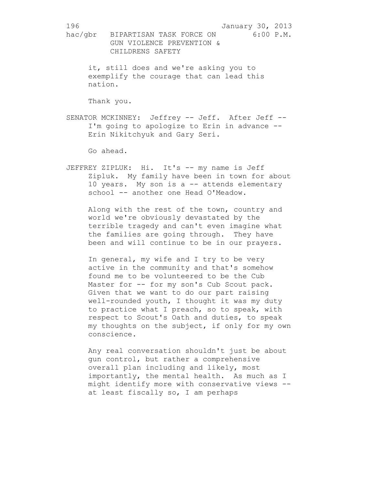it, still does and we're asking you to exemplify the courage that can lead this nation.

Thank you.

SENATOR MCKINNEY: Jeffrey -- Jeff. After Jeff --I'm going to apologize to Erin in advance -- Erin Nikitchyuk and Gary Seri.

Go ahead.

JEFFREY ZIPLUK: Hi. It's -- my name is Jeff Zipluk. My family have been in town for about 10 years. My son is a -- attends elementary school -- another one Head O'Meadow.

Along with the rest of the town, country and world we're obviously devastated by the terrible tragedy and can't even imagine what the families are going through. They have been and will continue to be in our prayers.

In general, my wife and I try to be very active in the community and that's somehow found me to be volunteered to be the Cub Master for -- for my son's Cub Scout pack. Given that we want to do our part raising well-rounded youth, I thought it was my duty to practice what I preach, so to speak, with respect to Scout's Oath and duties, to speak my thoughts on the subject, if only for my own conscience.

Any real conversation shouldn't just be about gun control, but rather a comprehensive overall plan including and likely, most importantly, the mental health. As much as I might identify more with conservative views - at least fiscally so, I am perhaps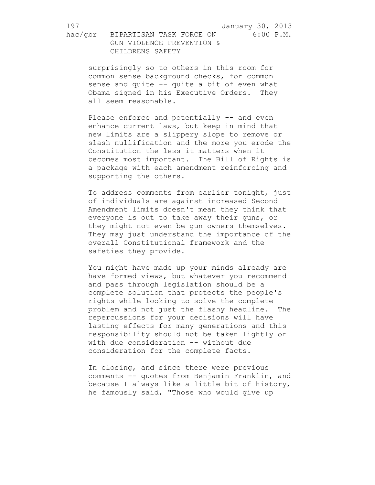hac/gbr BIPARTISAN TASK FORCE ON 6:00 P.M. GUN VIOLENCE PREVENTION & CHILDRENS SAFETY

surprisingly so to others in this room for common sense background checks, for common sense and quite -- quite a bit of even what Obama signed in his Executive Orders. They all seem reasonable.

Please enforce and potentially -- and even enhance current laws, but keep in mind that new limits are a slippery slope to remove or slash nullification and the more you erode the Constitution the less it matters when it becomes most important. The Bill of Rights is a package with each amendment reinforcing and supporting the others.

To address comments from earlier tonight, just of individuals are against increased Second Amendment limits doesn't mean they think that everyone is out to take away their guns, or they might not even be gun owners themselves. They may just understand the importance of the overall Constitutional framework and the safeties they provide.

You might have made up your minds already are have formed views, but whatever you recommend and pass through legislation should be a complete solution that protects the people's rights while looking to solve the complete problem and not just the flashy headline. The repercussions for your decisions will have lasting effects for many generations and this responsibility should not be taken lightly or with due consideration -- without due consideration for the complete facts.

In closing, and since there were previous comments -- quotes from Benjamin Franklin, and because I always like a little bit of history, he famously said, "Those who would give up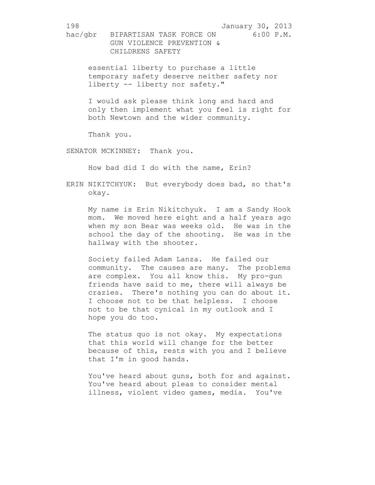essential liberty to purchase a little temporary safety deserve neither safety nor liberty -- liberty nor safety."

I would ask please think long and hard and only then implement what you feel is right for both Newtown and the wider community.

Thank you.

SENATOR MCKINNEY: Thank you.

How bad did I do with the name, Erin?

ERIN NIKITCHYUK: But everybody does bad, so that's okay.

My name is Erin Nikitchyuk. I am a Sandy Hook mom. We moved here eight and a half years ago when my son Bear was weeks old. He was in the school the day of the shooting. He was in the hallway with the shooter.

Society failed Adam Lanza. He failed our community. The causes are many. The problems are complex. You all know this. My pro-gun friends have said to me, there will always be crazies. There's nothing you can do about it. I choose not to be that helpless. I choose not to be that cynical in my outlook and I hope you do too.

The status quo is not okay. My expectations that this world will change for the better because of this, rests with you and I believe that I'm in good hands.

You've heard about guns, both for and against. You've heard about pleas to consider mental illness, violent video games, media. You've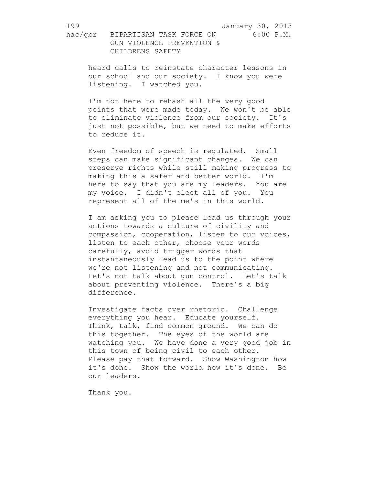hac/gbr BIPARTISAN TASK FORCE ON 6:00 P.M. GUN VIOLENCE PREVENTION & CHILDRENS SAFETY

heard calls to reinstate character lessons in our school and our society. I know you were listening. I watched you.

I'm not here to rehash all the very good points that were made today. We won't be able to eliminate violence from our society. It's just not possible, but we need to make efforts to reduce it.

Even freedom of speech is regulated. Small steps can make significant changes. We can preserve rights while still making progress to making this a safer and better world. I'm here to say that you are my leaders. You are my voice. I didn't elect all of you. You represent all of the me's in this world.

I am asking you to please lead us through your actions towards a culture of civility and compassion, cooperation, listen to our voices, listen to each other, choose your words carefully, avoid trigger words that instantaneously lead us to the point where we're not listening and not communicating. Let's not talk about gun control. Let's talk about preventing violence. There's a big difference.

Investigate facts over rhetoric. Challenge everything you hear. Educate yourself. Think, talk, find common ground. We can do this together. The eyes of the world are watching you. We have done a very good job in this town of being civil to each other. Please pay that forward. Show Washington how it's done. Show the world how it's done. Be our leaders.

Thank you.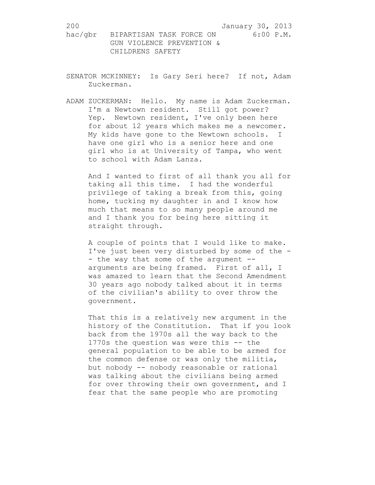- SENATOR MCKINNEY: Is Gary Seri here? If not, Adam Zuckerman.
- ADAM ZUCKERMAN: Hello. My name is Adam Zuckerman. I'm a Newtown resident. Still got power? Yep. Newtown resident, I've only been here for about 12 years which makes me a newcomer. My kids have gone to the Newtown schools. I have one girl who is a senior here and one girl who is at University of Tampa, who went to school with Adam Lanza.

And I wanted to first of all thank you all for taking all this time. I had the wonderful privilege of taking a break from this, going home, tucking my daughter in and I know how much that means to so many people around me and I thank you for being here sitting it straight through.

A couple of points that I would like to make. I've just been very disturbed by some of the - - the way that some of the argument -arguments are being framed. First of all, I was amazed to learn that the Second Amendment 30 years ago nobody talked about it in terms of the civilian's ability to over throw the government.

That this is a relatively new argument in the history of the Constitution. That if you look back from the 1970s all the way back to the 1770s the question was were this -- the general population to be able to be armed for the common defense or was only the militia, but nobody -- nobody reasonable or rational was talking about the civilians being armed for over throwing their own government, and I fear that the same people who are promoting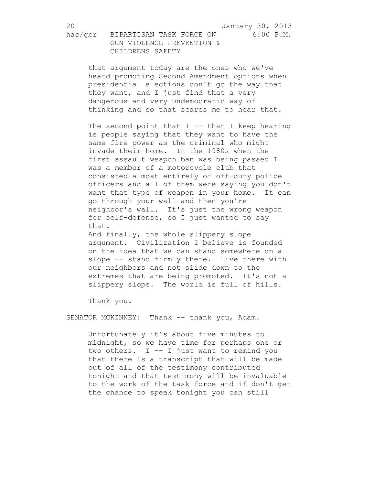that argument today are the ones who we've heard promoting Second Amendment options when presidential elections don't go the way that they want, and I just find that a very dangerous and very undemocratic way of thinking and so that scares me to hear that.

The second point that  $I$  -- that I keep hearing is people saying that they want to have the same fire power as the criminal who might invade their home. In the 1980s when the first assault weapon ban was being passed I was a member of a motorcycle club that consisted almost entirely of off-duty police officers and all of them were saying you don't want that type of weapon in your home. It can go through your wall and then you're neighbor's wall. It's just the wrong weapon for self-defense, so I just wanted to say that.

And finally, the whole slippery slope argument. Civilization I believe is founded on the idea that we can stand somewhere on a slope -- stand firmly there. Live there with our neighbors and not slide down to the extremes that are being promoted. It's not a slippery slope. The world is full of hills.

Thank you.

SENATOR MCKINNEY: Thank -- thank you, Adam.

Unfortunately it's about five minutes to midnight, so we have time for perhaps one or two others. I -- I just want to remind you that there is a transcript that will be made out of all of the testimony contributed tonight and that testimony will be invaluable to the work of the task force and if don't get the chance to speak tonight you can still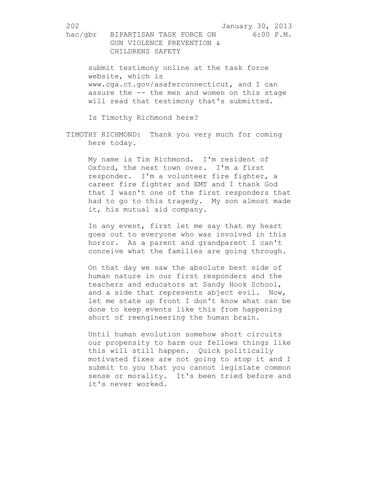submit testimony online at the task force website, which is www.cga.ct.gov/asaferconnecticut, and I can assure the -- the men and women on this stage will read that testimony that's submitted.

Is Timothy Richmond here?

TIMOTHY RICHMOND: Thank you very much for coming here today.

My name is Tim Richmond. I'm resident of Oxford, the next town over. I'm a first responder. I'm a volunteer fire fighter, a career fire fighter and EMT and I thank God that I wasn't one of the first responders that had to go to this tragedy. My son almost made it, his mutual aid company.

In any event, first let me say that my heart goes out to everyone who was involved in this horror. As a parent and grandparent I can't conceive what the families are going through.

On that day we saw the absolute best side of human nature in our first responders and the teachers and educators at Sandy Hook School, and a side that represents abject evil. Now, let me state up front I don't know what can be done to keep events like this from happening short of reengineering the human brain.

Until human evolution somehow short circuits our propensity to harm our fellows things like this will still happen. Quick politically motivated fixes are not going to stop it and I submit to you that you cannot legislate common sense or morality. It's been tried before and it's never worked.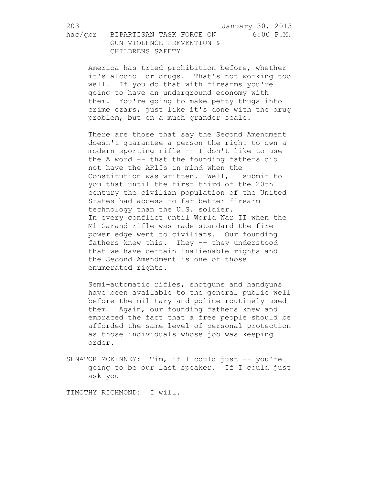America has tried prohibition before, whether it's alcohol or drugs. That's not working too well. If you do that with firearms you're going to have an underground economy with them. You're going to make petty thugs into crime czars, just like it's done with the drug problem, but on a much grander scale.

There are those that say the Second Amendment doesn't guarantee a person the right to own a modern sporting rifle -- I don't like to use the A word -- that the founding fathers did not have the AR15s in mind when the Constitution was written. Well, I submit to you that until the first third of the 20th century the civilian population of the United States had access to far better firearm technology than the U.S. soldier. In every conflict until World War II when the M1 Garand rifle was made standard the fire power edge went to civilians. Our founding fathers knew this. They -- they understood that we have certain inalienable rights and the Second Amendment is one of those enumerated rights.

Semi-automatic rifles, shotguns and handguns have been available to the general public well before the military and police routinely used them. Again, our founding fathers knew and embraced the fact that a free people should be afforded the same level of personal protection as those individuals whose job was keeping order.

SENATOR MCKINNEY: Tim, if I could just -- you're going to be our last speaker. If I could just ask you --

TIMOTHY RICHMOND: I will.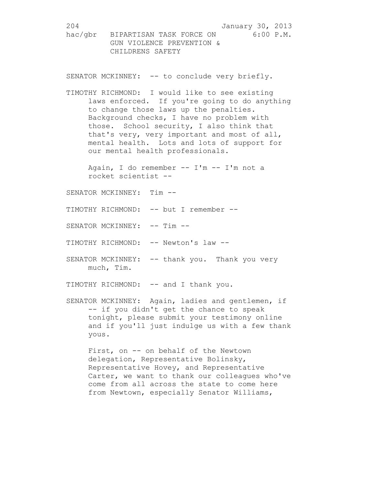SENATOR MCKINNEY: -- to conclude very briefly.

TIMOTHY RICHMOND: I would like to see existing laws enforced. If you're going to do anything to change those laws up the penalties. Background checks, I have no problem with those. School security, I also think that that's very, very important and most of all, mental health. Lots and lots of support for our mental health professionals.

Again, I do remember -- I'm -- I'm not a rocket scientist --

SENATOR MCKINNEY: Tim --

TIMOTHY RICHMOND: -- but I remember --

SENATOR MCKINNEY: -- Tim --

TIMOTHY RICHMOND: -- Newton's law --

SENATOR MCKINNEY: -- thank you. Thank you very much, Tim.

TIMOTHY RICHMOND: -- and I thank you.

SENATOR MCKINNEY: Again, ladies and gentlemen, if -- if you didn't get the chance to speak tonight, please submit your testimony online and if you'll just indulge us with a few thank yous.

First, on -- on behalf of the Newtown delegation, Representative Bolinsky, Representative Hovey, and Representative Carter, we want to thank our colleagues who've come from all across the state to come here from Newtown, especially Senator Williams,